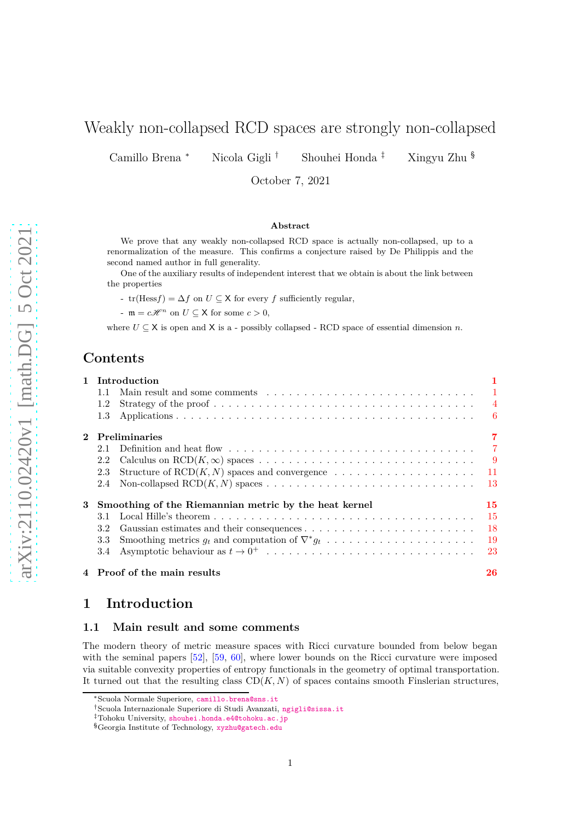# Weakly non-collapsed RCD spaces are strongly non-collapsed

Camillo Brena <sup>∗</sup> Nicola Gigli † Shouhei Honda ‡ Xingyu Zhu §

October 7, 2021

#### **Abstract**

We prove that any weakly non-collapsed RCD space is actually non-collapsed, up to a renormalization of the measure. This confirms a conjecture raised by De Philippis and the second named author in full generality.

One of the auxiliary results of independent interest that we obtain is about the link between the properties

-  $tr(Hess f) = \Delta f$  on  $U \subseteq X$  for every  $f$  sufficiently regular,

 $-m = c\mathscr{H}^n$  on  $U \subseteq \mathsf{X}$  for some  $c > 0$ ,

where  $U \subseteq X$  is open and X is a - possibly collapsed - RCD space of essential dimension *n*.

# **Contents**

|              | 1 Introduction                                                   | 1               |
|--------------|------------------------------------------------------------------|-----------------|
|              | 1.1                                                              | $\overline{1}$  |
|              | 1.2                                                              | $\overline{4}$  |
|              | 1.3                                                              | $-6$            |
| $\mathbf{2}$ | Preliminaries                                                    | 7               |
|              | 2.1                                                              | $\overline{7}$  |
|              | 2.2                                                              | $\overline{9}$  |
|              | 2.3                                                              | $\overline{11}$ |
|              | 2.4                                                              | -13             |
| 3            | Smoothing of the Riemannian metric by the heat kernel            | 15              |
|              | 3.1                                                              | -15             |
|              | 3.2                                                              | -18             |
|              | Smoothing metrics $g_t$ and computation of $\nabla^* g_t$<br>3.3 | <sup>19</sup>   |
|              | 3.4                                                              |                 |
|              | 4 Proof of the main results                                      | 26              |

# <span id="page-0-1"></span><span id="page-0-0"></span>**1 Introduction**

## **1.1 Main result and some comments**

The modern theory of metric measure spaces with Ricci curvature bounded from below began with the seminal papers [\[52\]](#page-30-0), [\[59,](#page-30-1) [60\]](#page-30-2), where lower bounds on the Ricci curvature were imposed via suitable convexity properties of entropy functionals in the geometry of optimal transportation. It turned out that the resulting class  $CD(K, N)$  of spaces contains smooth Finslerian structures,

<sup>∗</sup>Scuola Normale Superiore, <camillo.brena@sns.it>

<sup>†</sup>Scuola Internazionale Superiore di Studi Avanzati, <ngigli@sissa.it>

<sup>‡</sup>Tohoku University, <shouhei.honda.e4@tohoku.ac.jp>

<sup>§</sup>Georgia Institute of Technology, <xyzhu@gatech.edu>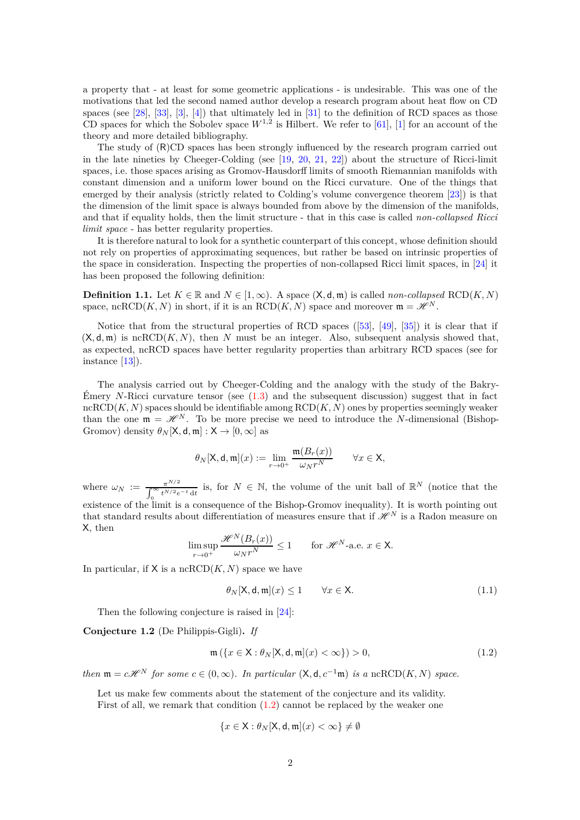a property that - at least for some geometric applications - is undesirable. This was one of the motivations that led the second named author develop a research program about heat flow on CD spaces (see [\[28\]](#page-29-0), [\[33\]](#page-29-1), [\[3\]](#page-28-0), [\[4\]](#page-28-1)) that ultimately led in [\[31\]](#page-29-2) to the definition of RCD spaces as those CD spaces for which the Sobolev space  $W^{1,2}$  is Hilbert. We refer to [\[61\]](#page-30-3), [\[1\]](#page-27-0) for an account of the theory and more detailed bibliography.

The study of (R)CD spaces has been strongly influenced by the research program carried out in the late nineties by Cheeger-Colding (see [\[19,](#page-28-2) [20,](#page-28-3) [21,](#page-28-4) [22\]](#page-29-3)) about the structure of Ricci-limit spaces, i.e. those spaces arising as Gromov-Hausdorff limits of smooth Riemannian manifolds with constant dimension and a uniform lower bound on the Ricci curvature. One of the things that emerged by their analysis (strictly related to Colding's volume convergence theorem [\[23\]](#page-29-4)) is that the dimension of the limit space is always bounded from above by the dimension of the manifolds, and that if equality holds, then the limit structure - that in this case is called *non-collapsed Ricci limit space* - has better regularity properties.

It is therefore natural to look for a synthetic counterpart of this concept, whose definition should not rely on properties of approximating sequences, but rather be based on intrinsic properties of the space in consideration. Inspecting the properties of non-collapsed Ricci limit spaces, in [\[24\]](#page-29-5) it has been proposed the following definition:

**Definition 1.1.** Let  $K \in \mathbb{R}$  and  $N \in [1, \infty)$ . A space  $(X, d, m)$  is called *non-collapsed* RCD(*K, N*) space, ncRCD(*K, N*) in short, if it is an  $\text{RCD}(K, N)$  space and moreover  $\mathfrak{m} = \mathcal{H}^N$ .

Notice that from the structural properties of RCD spaces ([\[53\]](#page-30-4), [\[49\]](#page-30-5), [\[35\]](#page-29-6)) it is clear that if  $(X, d, m)$  is ncRCD $(K, N)$ , then N must be an integer. Also, subsequent analysis showed that, as expected, ncRCD spaces have better regularity properties than arbitrary RCD spaces (see for instance [\[13\]](#page-28-5)).

The analysis carried out by Cheeger-Colding and the analogy with the study of the Bakry-Emery *N*-Ricci curvature tensor (see  $(1.3)$  and the subsequent discussion) suggest that in fact  $ncRCD(K, N)$  spaces should be identifiable among  $RCD(K, N)$  ones by properties seemingly weaker than the one  $\mathfrak{m} = \mathcal{H}^N$ . To be more precise we need to introduce the *N*-dimensional (Bishop-Gromov) density  $\theta_N[X, d, m] : X \to [0, \infty]$  as

$$
\theta_N[\mathsf{X},\mathsf{d},\mathfrak{m}](x) := \lim_{r \to 0^+} \frac{\mathfrak{m}(B_r(x))}{\omega_N r^N} \qquad \forall x \in \mathsf{X},
$$

where  $\omega_N := \frac{\pi^{N/2}}{\int_0^\infty t^{N/2} e^{-t} dt}$  is, for  $N \in \mathbb{N}$ , the volume of the unit ball of  $\mathbb{R}^N$  (notice that the existence of the limit is a consequence of the Bishop-Gromov inequality). It is worth pointing out

that standard results about differentiation of measures ensure that if  $\mathscr{H}^N$  is a Radon measure on X, then

$$
\limsup_{r \to 0^+} \frac{\mathcal{H}^N(B_r(x))}{\omega_N r^N} \le 1 \quad \text{for } \mathcal{H}^N \text{-a.e. } x \in \mathsf{X}.
$$

In particular, if  $X$  is a ncRCD $(K, N)$  space we have

<span id="page-1-2"></span>
$$
\theta_N[\mathsf{X}, \mathsf{d}, \mathfrak{m}](x) \le 1 \qquad \forall x \in \mathsf{X}.\tag{1.1}
$$

Then the following conjecture is raised in [\[24\]](#page-29-5):

<span id="page-1-1"></span>**Conjecture 1.2** (De Philippis-Gigli)**.** *If*

<span id="page-1-0"></span>
$$
\mathfrak{m}\left(\left\{x \in \mathsf{X}: \theta_N[\mathsf{X}, \mathsf{d}, \mathfrak{m}](x) < \infty\right\}\right) > 0,\tag{1.2}
$$

*then*  $\mathfrak{m} = c\mathcal{H}^N$  *for some*  $c \in (0, \infty)$ *. In particular*  $(\mathsf{X}, \mathsf{d}, c^{-1}\mathfrak{m})$  *is a* ncRCD(*K, N*) *space.* 

Let us make few comments about the statement of the conjecture and its validity. First of all, we remark that condition [\(1.2\)](#page-1-0) cannot be replaced by the weaker one

$$
\{x\in{\mathsf{X}}: \theta_N[{\mathsf{X}},{\mathsf{d}},{\mathfrak{m}}](x)<\infty\}\neq\emptyset
$$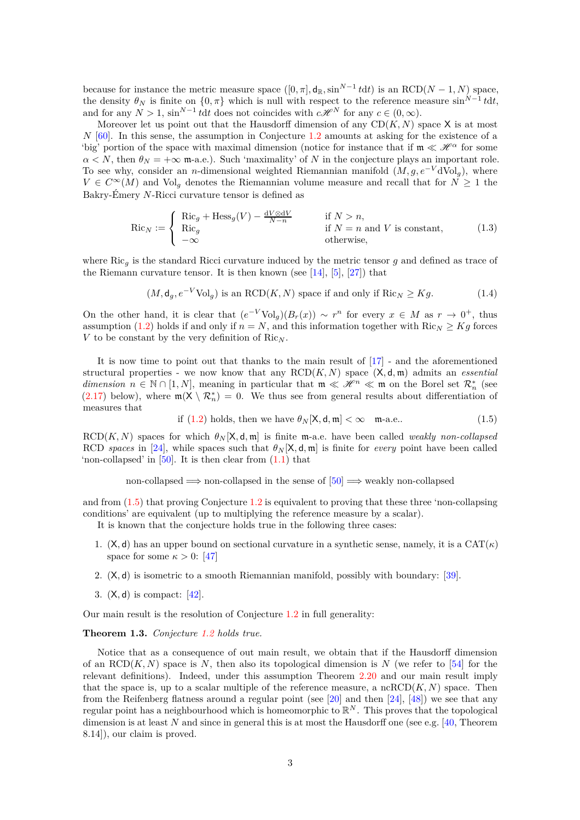because for instance the metric measure space  $([0, \pi], \mathsf{d}_\mathbb{R}, \sin^{N-1} t dt)$  is an RCD( $N-1, N$ ) space, the density  $\theta_N$  is finite on  $\{0, \pi\}$  which is null with respect to the reference measure  $\sin^{N-1} t dt$ , and for any  $N > 1$ ,  $\sin^{N-1} t dt$  does not coincides with  $c\mathcal{H}^N$  for any  $c \in (0, \infty)$ .

Moreover let us point out that the Hausdorff dimension of any  $CD(K, N)$  space X is at most *N* [\[60\]](#page-30-2). In this sense, the assumption in Conjecture [1.2](#page-1-1) amounts at asking for the existence of a 'big' portion of the space with maximal dimension (notice for instance that if  $\mathfrak{m} \ll \mathcal{H}^{\alpha}$  for some  $\alpha < N$ , then  $\theta_N = +\infty$  m-a.e.). Such 'maximality' of *N* in the conjecture plays an important role. To see why, consider an *n*-dimensional weighted Riemannian manifold  $(M, g, e^{-V}dVol_q)$ , where  $V \in C^{\infty}(M)$  and Vol<sub>g</sub> denotes the Riemannian volume measure and recall that for  $N \geq 1$  the Bakry-Émery *N*-Ricci curvature tensor is defined as

<span id="page-2-0"></span>
$$
\operatorname{Ric}_N := \begin{cases} \operatorname{Ric}_g + \operatorname{Hess}_g(V) - \frac{\mathrm{d}V \otimes \mathrm{d}V}{N - n} & \text{if } N > n, \\ \operatorname{Ric}_g & \text{if } N = n \text{ and } V \text{ is constant,} \\ -\infty & \text{otherwise,} \end{cases} \tag{1.3}
$$

where Ric*<sup>g</sup>* is the standard Ricci curvature induced by the metric tensor *g* and defined as trace of the Riemann curvature tensor. It is then known (see  $[14]$ ,  $[5]$ ,  $[27]$ ) that

<span id="page-2-2"></span>
$$
(M, \mathsf{d}_g, e^{-V} \text{Vol}_g) \text{ is an RCD}(K, N) \text{ space if and only if } \text{Ric}_N \ge Kg. \tag{1.4}
$$

On the other hand, it is clear that  $(e^{-V}Vol_g)(B_r(x)) \sim r^n$  for every  $x \in M$  as  $r \to 0^+$ , thus assumption [\(1.2\)](#page-1-0) holds if and only if  $n = N$ , and this information together with  $\text{Ric}_N \geq Kg$  forces *V* to be constant by the very definition of  $Ric_N$ .

It is now time to point out that thanks to the main result of [\[17\]](#page-28-8) - and the aforementioned structural properties - we now know that any RCD(*K, N*) space (X*,* d*,* m) admits an *essential dimension*  $n \in \mathbb{N} \cap [1, N]$ , meaning in particular that  $m \ll \mathcal{H}^n \ll m$  on the Borel set  $\mathcal{R}^*_n$  (see [\(2.17\)](#page-12-1) below), where  $m(X \setminus \mathcal{R}_n^*) = 0$ . We thus see from general results about differentiation of measures that

<span id="page-2-1"></span>if (1.2) holds, then we have 
$$
\theta_N[X, \mathbf{d}, \mathfrak{m}] < \infty
$$
  $\mathfrak{m}\text{-a.e.}$  (1.5)

 $RCD(K, N)$  spaces for which  $\theta_N[X, d, m]$  is finite m-a.e. have been called *weakly non-collapsed* RCD *spaces* in [\[24\]](#page-29-5), while spaces such that  $\theta_N$ [X, d, m] is finite for *every* point have been called 'non-collapsed' in  $[50]$ . It is then clear from  $(1.1)$  that

non-collapsed  $\implies$  non-collapsed in the sense of  $[50] \implies$  weakly non-collapsed

and from [\(1.5\)](#page-2-1) that proving Conjecture [1.2](#page-1-1) is equivalent to proving that these three 'non-collapsing conditions' are equivalent (up to multiplying the reference measure by a scalar).

It is known that the conjecture holds true in the following three cases:

- 1. (X, d) has an upper bound on sectional curvature in a synthetic sense, namely, it is a  $CAT(\kappa)$ space for some  $\kappa > 0$ : [\[47\]](#page-30-7)
- 2. (X*,* d) is isometric to a smooth Riemannian manifold, possibly with boundary: [\[39\]](#page-29-8).
- 3. (X*,* d) is compact: [\[42\]](#page-29-9).

Our main result is the resolution of Conjecture [1.2](#page-1-1) in full generality:

#### <span id="page-2-3"></span>**Theorem 1.3.** *Conjecture [1.2](#page-1-1) holds true.*

Notice that as a consequence of out main result, we obtain that if the Hausdorff dimension of an  $RCD(K, N)$  space is N, then also its topological dimension is N (we refer to [\[54\]](#page-30-8) for the relevant definitions). Indeed, under this assumption Theorem [2.20](#page-13-0) and our main result imply that the space is, up to a scalar multiple of the reference measure, a ncRCD $(K, N)$  space. Then from the Reifenberg flatness around a regular point (see [\[20\]](#page-28-3) and then [\[24\]](#page-29-5), [\[48\]](#page-30-9)) we see that any regular point has a neighbourhood which is homeomorphic to  $\mathbb{R}^N$ . This proves that the topological dimension is at least N and since in general this is at most the Hausdorff one (see e.g. [\[40,](#page-29-10) Theorem 8.14]), our claim is proved.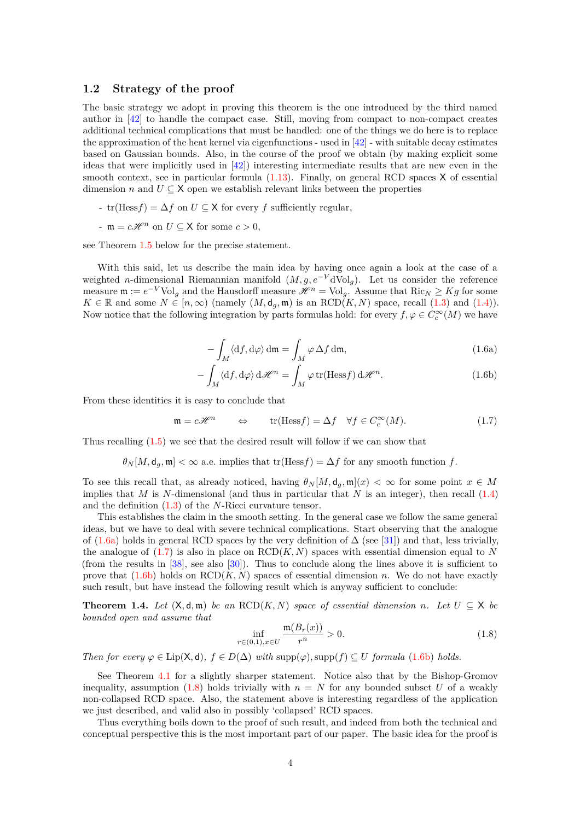#### <span id="page-3-0"></span>**1.2 Strategy of the proof**

The basic strategy we adopt in proving this theorem is the one introduced by the third named author in [\[42\]](#page-29-9) to handle the compact case. Still, moving from compact to non-compact creates additional technical complications that must be handled: one of the things we do here is to replace the approximation of the heat kernel via eigenfunctions - used in  $[42]$  - with suitable decay estimates based on Gaussian bounds. Also, in the course of the proof we obtain (by making explicit some ideas that were implicitly used in  $[42]$ ) interesting intermediate results that are new even in the smooth context, see in particular formula  $(1.13)$ . Finally, on general RCD spaces X of essential dimension *n* and  $U \subseteq X$  open we establish relevant links between the properties

- tr(Hess*f*) =  $\Delta f$  on  $U \subseteq X$  for every *f* sufficiently regular,
- $-m = c\mathscr{H}^n$  on  $U \subseteq X$  for some  $c > 0$ ,

see Theorem [1.5](#page-5-1) below for the precise statement.

With this said, let us describe the main idea by having once again a look at the case of a weighted *n*-dimensional Riemannian manifold (*M, g, e*−*<sup>V</sup>* dVol*g*). Let us consider the reference measure  $\mathfrak{m} := e^{-V} \text{Vol}_g$  and the Hausdorff measure  $\mathcal{H}^n = \text{Vol}_g$ . Assume that  $\text{Ric}_N \geq Kg$  for some  $K \in \mathbb{R}$  and some  $N \in [n, \infty)$  (namely  $(M, d_q, \mathfrak{m})$  is an  $RCD(K, N)$  space, recall  $(1.3)$  and  $(1.4)$ ). Now notice that the following integration by parts formulas hold: for every  $f, \varphi \in C_c^{\infty}(M)$  we have

<span id="page-3-3"></span><span id="page-3-1"></span>
$$
-\int_{M} \langle \mathrm{d}f, \mathrm{d}\varphi \rangle \, \mathrm{d}\mathfrak{m} = \int_{M} \varphi \, \Delta f \, \mathrm{d}\mathfrak{m},\tag{1.6a}
$$

$$
-\int_{M} \langle df, d\varphi \rangle d\mathscr{H}^{n} = \int_{M} \varphi \operatorname{tr}(\operatorname{Hess} f) d\mathscr{H}^{n}.
$$
 (1.6b)

From these identities it is easy to conclude that

<span id="page-3-2"></span>
$$
\mathfrak{m} = c\mathscr{H}^n \qquad \Leftrightarrow \qquad \text{tr}(\text{Hess}f) = \Delta f \quad \forall f \in C_c^{\infty}(M). \tag{1.7}
$$

Thus recalling [\(1.5\)](#page-2-1) we see that the desired result will follow if we can show that

 $\theta_N[M, d_g, \mathfrak{m}] < \infty$  a.e. implies that tr(Hess*f*) = ∆*f* for any smooth function *f*.

To see this recall that, as already noticed, having  $\theta_N[M, d_g, m](x) < \infty$  for some point  $x \in M$ implies that *M* is *N*-dimensional (and thus in particular that *N* is an integer), then recall  $(1.4)$ and the definition [\(1.3\)](#page-2-0) of the *N*-Ricci curvature tensor.

This establishes the claim in the smooth setting. In the general case we follow the same general ideas, but we have to deal with severe technical complications. Start observing that the analogue of [\(1.6a\)](#page-3-1) holds in general RCD spaces by the very definition of  $\Delta$  (see [\[31\]](#page-29-2)) and that, less trivially, the analogue of  $(1.7)$  is also in place on  $RCD(K, N)$  spaces with essential dimension equal to N (from the results in  $[38]$ , see also  $[30]$ ). Thus to conclude along the lines above it is sufficient to prove that  $(1.6b)$  holds on  $RCD(K, N)$  spaces of essential dimension *n*. We do not have exactly such result, but have instead the following result which is anyway sufficient to conclude:

<span id="page-3-5"></span>**Theorem 1.4.** *Let*  $(X, d, m)$  *be an*  $RCD(K, N)$  *space of essential dimension n. Let*  $U \subseteq X$  *be bounded open and assume that*

<span id="page-3-4"></span>
$$
\inf_{r \in (0,1), x \in U} \frac{\mathfrak{m}(B_r(x))}{r^n} > 0.
$$
\n(1.8)

*Then for every*  $\varphi \in \text{Lip}(\mathsf{X},\mathsf{d})$ *,*  $f \in D(\Delta)$  *with* supp $(\varphi)$ *,* supp $(f) \subseteq U$  *formula* [\(1.6b\)](#page-3-3) *holds.* 

See Theorem [4.1](#page-25-1) for a slightly sharper statement. Notice also that by the Bishop-Gromov inequality, assumption [\(1.8\)](#page-3-4) holds trivially with  $n = N$  for any bounded subset U of a weakly non-collapsed RCD space. Also, the statement above is interesting regardless of the application we just described, and valid also in possibly 'collapsed' RCD spaces.

Thus everything boils down to the proof of such result, and indeed from both the technical and conceptual perspective this is the most important part of our paper. The basic idea for the proof is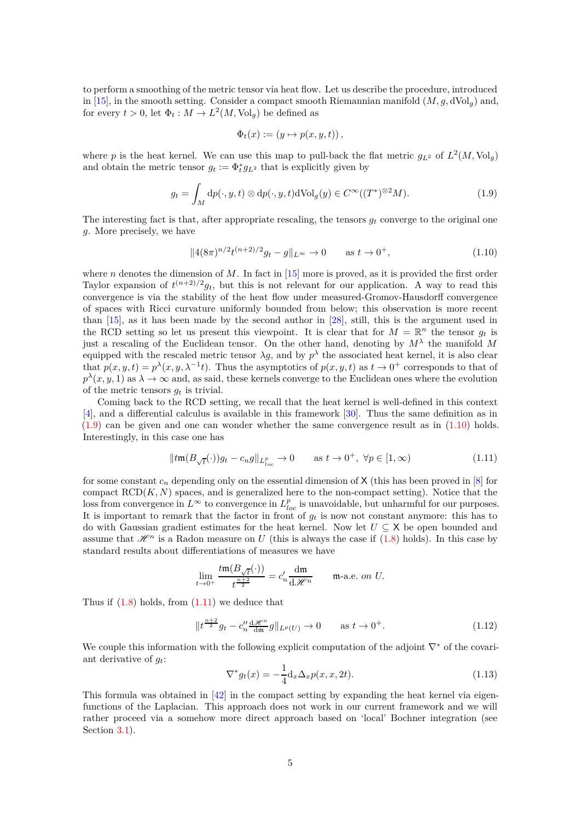to perform a smoothing of the metric tensor via heat flow. Let us describe the procedure, introduced in [\[15\]](#page-28-9), in the smooth setting. Consider a compact smooth Riemannian manifold  $(M, g, dVol_q)$  and, for every  $t > 0$ , let  $\Phi_t : M \to L^2(M, \text{Vol}_g)$  be defined as

$$
\Phi_t(x) := (y \mapsto p(x, y, t)),
$$

where *p* is the heat kernel. We can use this map to pull-back the flat metric  $g_{L^2}$  of  $L^2(M, \text{Vol}_g)$ and obtain the metric tensor  $g_t := \Phi_t^* g_{L^2}$  that is explicitly given by

<span id="page-4-1"></span>
$$
g_t = \int_M dp(\cdot, y, t) \otimes dp(\cdot, y, t) dVol_g(y) \in C^\infty((T^*)^{\otimes 2}M). \tag{1.9}
$$

The interesting fact is that, after appropriate rescaling, the tensors *g<sup>t</sup>* converge to the original one *g*. More precisely, we have

<span id="page-4-2"></span>
$$
||4(8\pi)^{n/2}t^{(n+2)/2}g_t - g||_{L^{\infty}} \to 0 \quad \text{as } t \to 0^+,
$$
 (1.10)

where *n* denotes the dimension of *M*. In fact in [\[15\]](#page-28-9) more is proved, as it is provided the first order Taylor expansion of  $t^{(n+2)/2}g_t$ , but this is not relevant for our application. A way to read this convergence is via the stability of the heat flow under measured-Gromov-Hausdorff convergence of spaces with Ricci curvature uniformly bounded from below; this observation is more recent than [\[15\]](#page-28-9), as it has been made by the second author in [\[28\]](#page-29-0), still, this is the argument used in the RCD setting so let us present this viewpoint. It is clear that for  $M = \mathbb{R}^n$  the tensor  $g_t$  is just a rescaling of the Euclidean tensor. On the other hand, denoting by *M<sup>λ</sup>* the manifold *M* equipped with the rescaled metric tensor  $\lambda g$ , and by  $p^{\lambda}$  the associated heat kernel, it is also clear that  $p(x, y, t) = p^{\lambda}(x, y, \lambda^{-1}t)$ . Thus the asymptotics of  $p(x, y, t)$  as  $t \to 0^+$  corresponds to that of  $p^{\lambda}(x, y, 1)$  as  $\lambda \to \infty$  and, as said, these kernels converge to the Euclidean ones where the evolution of the metric tensors *g<sup>t</sup>* is trivial.

Coming back to the RCD setting, we recall that the heat kernel is well-defined in this context [\[4\]](#page-28-1), and a differential calculus is available in this framework [\[30\]](#page-29-12). Thus the same definition as in  $(1.9)$  can be given and one can wonder whether the same convergence result as in  $(1.10)$  holds. Interestingly, in this case one has

<span id="page-4-3"></span>
$$
||tm(B_{\sqrt{t}}(\cdot))g_t - c_n g||_{L^p_{loc}} \to 0 \quad \text{as } t \to 0^+, \ \forall p \in [1, \infty)
$$
 (1.11)

for some constant  $c_n$  depending only on the essential dimension of X (this has been proved in [\[8\]](#page-28-10) for compact  $RCD(K, N)$  spaces, and is generalized here to the non-compact setting). Notice that the loss from convergence in  $L^{\infty}$  to convergence in  $L^{p}_{loc}$  is unavoidable, but unharmful for our purposes. It is important to remark that the factor in front of  $g_t$  is now not constant anymore: this has to do with Gaussian gradient estimates for the heat kernel. Now let *<sup>U</sup>* <sup>⊆</sup> <sup>X</sup> be open bounded and assume that  $\mathcal{H}^n$  is a Radon measure on *U* (this is always the case if [\(1.8\)](#page-3-4) holds). In this case by standard results about differentiations of measures we have

$$
\lim_{t \to 0^+} \frac{t \mathfrak{m}(B_{\sqrt{t}}(\cdot))}{t^{\frac{n+2}{2}}} = c'_n \frac{d\mathfrak{m}}{d\mathscr{H}^n} \qquad \text{m-a.e. on } U.
$$

Thus if  $(1.8)$  holds, from  $(1.11)$  we deduce that

<span id="page-4-4"></span>
$$
\|t^{\frac{n+2}{2}}g_t - c_n'' \frac{d\mathcal{H}^n}{dm} g\|_{L^p(U)} \to 0 \qquad \text{as } t \to 0^+.
$$
 (1.12)

We couple this information with the following explicit computation of the adjoint  $\nabla^*$  of the covariant derivative of *gt*:

<span id="page-4-0"></span>
$$
\nabla^* g_t(x) = -\frac{1}{4} \mathrm{d}_x \Delta_x p(x, x, 2t). \tag{1.13}
$$

This formula was obtained in [\[42\]](#page-29-9) in the compact setting by expanding the heat kernel via eigenfunctions of the Laplacian. This approach does not work in our current framework and we will rather proceed via a somehow more direct approach based on 'local' Bochner integration (see Section [3.1\)](#page-14-1).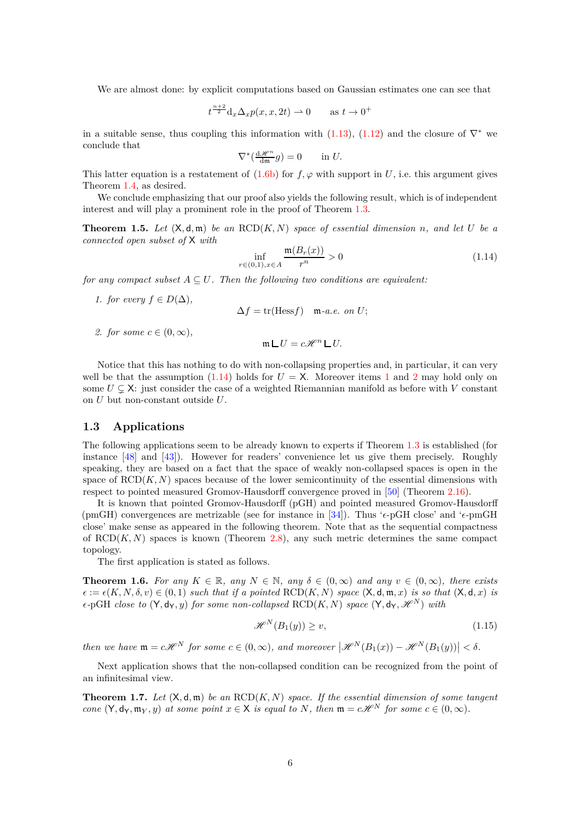We are almost done: by explicit computations based on Gaussian estimates one can see that

$$
t^{\frac{n+2}{2}} \mathrm{d}_x \Delta_x p(x, x, 2t) \rightharpoonup 0 \qquad \text{as } t \to 0^+
$$

in a suitable sense, thus coupling this information with [\(1.13\)](#page-4-0), [\(1.12\)](#page-4-4) and the closure of  $\nabla^*$  we conclude that

$$
\nabla^*(\tfrac{\mathrm{d}\mathscr{H}^n}{\mathrm{d}\mathfrak{m}}g) = 0 \qquad \text{in } U.
$$

This latter equation is a restatement of  $(1.6b)$  for  $f, \varphi$  with support in *U*, i.e. this argument gives Theorem [1.4,](#page-3-5) as desired.

We conclude emphasizing that our proof also yields the following result, which is of independent interest and will play a prominent role in the proof of Theorem [1.3.](#page-2-3)

<span id="page-5-1"></span>**Theorem 1.5.** *Let*  $(X, d, m)$  *be an*  $RCD(K, N)$  *space of essential dimension n, and let U be a connected open subset of* X *with*

<span id="page-5-2"></span>
$$
\inf_{r \in (0,1), x \in A} \frac{\mathfrak{m}(B_r(x))}{r^n} > 0
$$
\n(1.14)

<span id="page-5-3"></span>*for any compact subset*  $A \subseteq U$ *. Then the following two conditions are equivalent:* 

*1. for every*  $f \in D(\Delta)$ ,

 $\Delta f = \text{tr}(\text{Hess} f)$  m-*a.e.* on *U*;

<span id="page-5-4"></span>*2. for some*  $c \in (0, \infty)$ ,

$$
\mathfrak{m} \sqcup U = c\mathscr{H}^n \sqcup U.
$$

Notice that this has nothing to do with non-collapsing properties and, in particular, it can very well be that the assumption  $(1.14)$  holds for  $U = X$ . Moreover items [1](#page-5-3) and [2](#page-5-4) may hold only on some  $U \subseteq X$ : just consider the case of a weighted Riemannian manifold as before with *V* constant on *U* but non-constant outside *U*.

#### <span id="page-5-0"></span>**1.3 Applications**

The following applications seem to be already known to experts if Theorem [1.3](#page-2-3) is established (for instance [\[48\]](#page-30-9) and [\[43\]](#page-30-10)). However for readers' convenience let us give them precisely. Roughly speaking, they are based on a fact that the space of weakly non-collapsed spaces is open in the space of  $\text{RCD}(K, N)$  spaces because of the lower semicontinuity of the essential dimensions with respect to pointed measured Gromov-Hausdorff convergence proved in [\[50\]](#page-30-6) (Theorem [2.16\)](#page-12-2).

It is known that pointed Gromov-Hausdorff (pGH) and pointed measured Gromov-Hausdorff (pmGH) convergences are metrizable (see for instance in [\[34\]](#page-29-13)). Thus '*ǫ*-pGH close' and '*ǫ*-pmGH close' make sense as appeared in the following theorem. Note that as the sequential compactness of  $RCD(K, N)$  spaces is known (Theorem [2.8\)](#page-11-0), any such metric determines the same compact topology.

The first application is stated as follows.

<span id="page-5-6"></span>**Theorem 1.6.** *For any*  $K \in \mathbb{R}$ *, any*  $N \in \mathbb{N}$ *, any*  $\delta \in (0, \infty)$  *and any*  $v \in (0, \infty)$ *, there exists*  $\epsilon := \epsilon(K, N, \delta, v) \in (0, 1)$  *such that if a pointed*  $\text{RCD}(K, N)$  *space*  $(X, \mathsf{d}, \mathfrak{m}, x)$  *is so that*  $(X, \mathsf{d}, x)$  *is*  $\epsilon$ -pGH *close to*  $(Y, d_Y, y)$  *for some non-collapsed* RCD(*K, N*) *space*  $(Y, d_Y, \mathcal{H}^N)$  *with* 

<span id="page-5-7"></span>
$$
\mathcal{H}^N(B_1(y)) \ge v,\tag{1.15}
$$

 $\mathcal{H}^N(B_1(x)) - \mathcal{H}^N(B_1(y)) < \delta.$ <br> *then* we have  $m = c\mathcal{H}^N$  for some  $c \in (0, \infty)$ , and moreover  $|\mathcal{H}^N(B_1(x)) - \mathcal{H}^N(B_1(y))| < \delta.$ 

Next application shows that the non-collapsed condition can be recognized from the point of an infinitesimal view.

<span id="page-5-5"></span>**Theorem 1.7.** Let  $(X, d, m)$  be an  $RCD(K, N)$  space. If the essential dimension of some tangent *cone*  $(Y, d_Y, m_Y, y)$  *at some point*  $x \in X$  *is equal to*  $N$ *, then*  $m = c\mathcal{H}^N$  *for some*  $c \in (0, \infty)$ *.*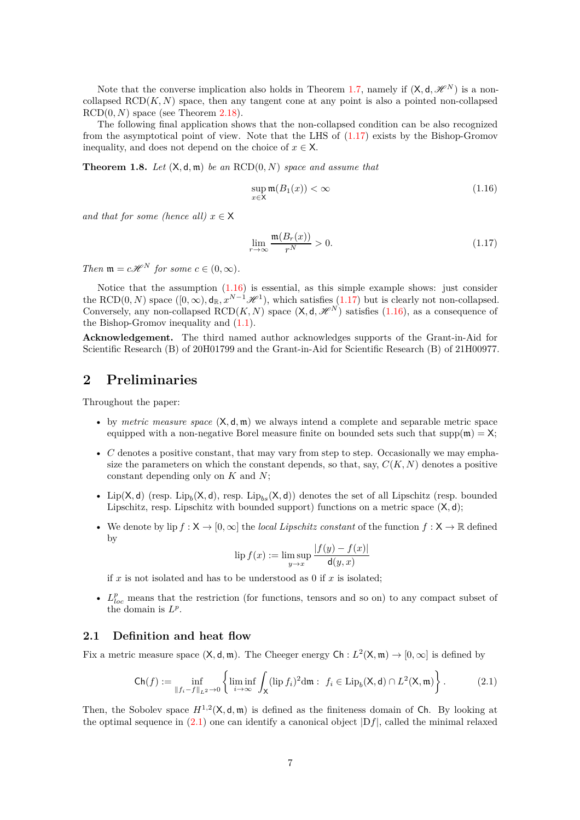Note that the converse implication also holds in Theorem [1.7,](#page-5-5) namely if  $(X, d, \mathscr{H}^N)$  is a noncollapsed  $RCD(K, N)$  space, then any tangent cone at any point is also a pointed non-collapsed  $RCD(0, N)$  space (see Theorem [2.18\)](#page-13-1).

The following final application shows that the non-collapsed condition can be also recognized from the asymptotical point of view. Note that the LHS of  $(1.17)$  exists by the Bishop-Gromov inequality, and does not depend on the choice of  $x \in X$ .

<span id="page-6-5"></span>**Theorem 1.8.** *Let*  $(X, d, m)$  *be an*  $RCD(0, N)$  *space and assume that* 

<span id="page-6-3"></span>
$$
\sup_{x \in \mathsf{X}} \mathfrak{m}(B_1(x)) < \infty \tag{1.16}
$$

*and that for some (hence all)*  $x \in X$ 

<span id="page-6-2"></span>
$$
\lim_{r \to \infty} \frac{\mathfrak{m}(B_r(x))}{r^N} > 0. \tag{1.17}
$$

*Then*  $\mathfrak{m} = c\mathcal{H}^N$  *for some*  $c \in (0, \infty)$ *.* 

Notice that the assumption [\(1.16\)](#page-6-3) is essential, as this simple example shows: just consider the RCD(0*, N*) space  $([0, \infty), d_{\mathbb{R}}, x^{N-1} \mathcal{H}^1)$ , which satisfies [\(1.17\)](#page-6-2) but is clearly not non-collapsed. Conversely, any non-collapsed  $\text{RCD}(K, N)$  space  $(\mathsf{X}, \mathsf{d}, \mathscr{H}^N)$  satisfies [\(1.16\)](#page-6-3), as a consequence of the Bishop-Gromov inequality and [\(1.1\)](#page-1-2).

**Acknowledgement.** The third named author acknowledges supports of the Grant-in-Aid for Scientific Research (B) of 20H01799 and the Grant-in-Aid for Scientific Research (B) of 21H00977.

# <span id="page-6-0"></span>**2 Preliminaries**

Throughout the paper:

- by *metric measure space* (X*,* d*,* m) we always intend a complete and separable metric space equipped with a non-negative Borel measure finite on bounded sets such that  $supp(m) = X$ ;
- *C* denotes a positive constant, that may vary from step to step. Occasionally we may emphasize the parameters on which the constant depends, so that, say,  $C(K, N)$  denotes a positive constant depending only on *K* and *N*;
- Lip(X,d) (resp. Lip<sub>b</sub>(X,d), resp. Lip<sub>bs</sub>(X,d)) denotes the set of all Lipschitz (resp. bounded Lipschitz, resp. Lipschitz with bounded support) functions on a metric space (X*,* d);
- We denote by  $\text{lip } f : X \to [0, \infty]$  the *local Lipschitz constant* of the function  $f : X \to \mathbb{R}$  defined by

$$
\lim_{y \to x} f(x) := \limsup_{y \to x} \frac{|f(y) - f(x)|}{\mathsf{d}(y, x)}
$$

if  $x$  is not isolated and has to be understood as 0 if  $x$  is isolated;

•  $L_{loc}^p$  means that the restriction (for functions, tensors and so on) to any compact subset of the domain is  $L^p$ .

### <span id="page-6-1"></span>**2.1 Definition and heat flow**

Fix a metric measure space  $(X, d, \mathfrak{m})$ . The Cheeger energy  $\mathsf{Ch}: L^2(X, \mathfrak{m}) \to [0, \infty]$  is defined by

<span id="page-6-4"></span>
$$
\mathsf{Ch}(f) := \inf_{\|f_i - f\|_{L^2} \to 0} \left\{ \liminf_{i \to \infty} \int_X (\text{lip } f_i)^2 \, \mathrm{d}\mathfrak{m} : f_i \in \text{Lip}_b(\mathsf{X}, \mathsf{d}) \cap L^2(\mathsf{X}, \mathfrak{m}) \right\}.
$$
 (2.1)

Then, the Sobolev space  $H^{1,2}(\mathsf{X},\mathsf{d},\mathfrak{m})$  is defined as the finiteness domain of Ch. By looking at the optimal sequence in  $(2.1)$  one can identify a canonical object  $|Df|$ , called the minimal relaxed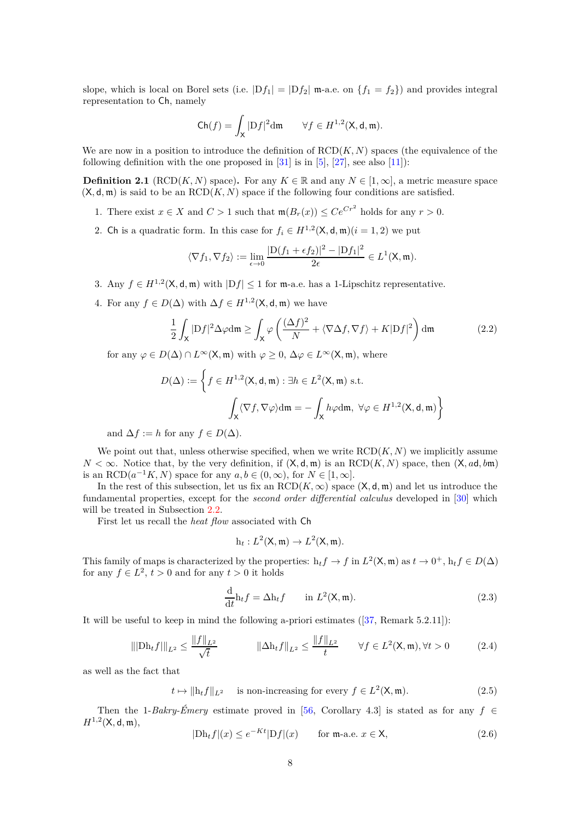slope, which is local on Borel sets (i.e.  $|Df_1| = |Df_2|$  m-a.e. on  $\{f_1 = f_2\}$ ) and provides integral representation to Ch, namely

$$
\mathsf{Ch}(f) = \int_{\mathsf{X}} |{\mathrm{D}} f|^2 \mathrm{d} \mathfrak{m} \qquad \forall f \in H^{1,2}(\mathsf{X}, \mathsf{d}, \mathfrak{m}).
$$

We are now in a position to introduce the definition of  $RCD(K, N)$  spaces (the equivalence of the following definition with the one proposed in  $[31]$  is in  $[5]$ ,  $[27]$ , see also  $[11]$ ):

<span id="page-7-0"></span>**Definition 2.1** (RCD(*K, N*) space). For any  $K \in \mathbb{R}$  and any  $N \in [1, \infty]$ , a metric measure space  $(X, d, m)$  is said to be an  $RCD(K, N)$  space if the following four conditions are satisfied.

- 1. There exist  $x \in X$  and  $C > 1$  such that  $\mathfrak{m}(B_r(x)) \le Ce^{Cr^2}$  holds for any  $r > 0$ .
- 2. Ch is a quadratic form. In this case for  $f_i \in H^{1,2}(\mathsf{X}, \mathsf{d}, \mathfrak{m})$  ( $i = 1, 2$ ) we put

$$
\langle \nabla f_1, \nabla f_2 \rangle := \lim_{\epsilon \to 0} \frac{|D(f_1 + \epsilon f_2)|^2 - |Df_1|^2}{2\epsilon} \in L^1(\mathsf{X}, \mathfrak{m}).
$$

- 3. Any  $f \in H^{1,2}(\mathsf{X}, \mathsf{d}, \mathfrak{m})$  with  $|Df| \leq 1$  for  $\mathfrak{m}$ -a.e. has a 1-Lipschitz representative.
- 4. For any  $f \in D(\Delta)$  with  $\Delta f \in H^{1,2}(\mathsf{X}, \mathsf{d}, \mathfrak{m})$  we have

<span id="page-7-4"></span>
$$
\frac{1}{2} \int_{\mathsf{X}} |\mathrm{D}f|^2 \Delta \varphi \mathrm{d}\mathfrak{m} \ge \int_{\mathsf{X}} \varphi \left( \frac{(\Delta f)^2}{N} + \langle \nabla \Delta f, \nabla f \rangle + K |\mathrm{D}f|^2 \right) \mathrm{d}\mathfrak{m} \tag{2.2}
$$

for any  $\varphi \in D(\Delta) \cap L^{\infty}(\mathsf{X}, \mathfrak{m})$  with  $\varphi \geq 0$ ,  $\Delta \varphi \in L^{\infty}(\mathsf{X}, \mathfrak{m})$ , where

$$
D(\Delta) := \left\{ f \in H^{1,2}(\mathsf{X}, \mathsf{d}, \mathfrak{m}) : \exists h \in L^2(\mathsf{X}, \mathfrak{m}) \text{ s.t. } \right\}
$$

$$
\int_{\mathsf{X}} \langle \nabla f, \nabla \varphi \rangle \mathrm{dm} = - \int_{\mathsf{X}} h \varphi \mathrm{dm}, \ \forall \varphi \in H^{1,2}(\mathsf{X}, \mathsf{d}, \mathfrak{m}) \right\}
$$

and  $\Delta f := h$  for any  $f \in D(\Delta)$ .

We point out that, unless otherwise specified, when we write  $RCD(K, N)$  we implicitly assume  $N < \infty$ . Notice that, by the very definition, if  $(X, d, m)$  is an RCD $(K, N)$  space, then  $(X, ad, bm)$ is an  $\text{RCD}(a^{-1}K, N)$  space for any  $a, b \in (0, \infty)$ , for  $N \in [1, \infty]$ .

In the rest of this subsection, let us fix an  $RCD(K,\infty)$  space  $(X,d,\mathfrak{m})$  and let us introduce the fundamental properties, except for the *second order differential calculus* developed in [\[30\]](#page-29-12) which will be treated in Subsection [2.2.](#page-8-0)

First let us recall the *heat flow* associated with Ch

$$
h_t: L^2(\mathsf{X}, \mathfrak{m}) \to L^2(\mathsf{X}, \mathfrak{m}).
$$

This family of maps is characterized by the properties:  $h_t f \to f$  in  $L^2(\mathsf{X}, \mathfrak{m})$  as  $t \to 0^+$ ,  $h_t f \in D(\Delta)$ for any  $f \in L^2$ ,  $t > 0$  and for any  $t > 0$  it holds

<span id="page-7-1"></span>
$$
\frac{\mathrm{d}}{\mathrm{d}t} \mathbf{h}_t f = \Delta \mathbf{h}_t f \qquad \text{in } L^2(\mathsf{X}, \mathfrak{m}). \tag{2.3}
$$

It will be useful to keep in mind the following a-priori estimates ([\[37,](#page-29-14) Remark 5.2.11]):

<span id="page-7-2"></span>
$$
\|\|\text{Dh}_t f\|\|_{L^2} \le \frac{\|f\|_{L^2}}{\sqrt{t}} \qquad \|\Delta \text{h}_t f\|_{L^2} \le \frac{\|f\|_{L^2}}{t} \qquad \forall f \in L^2(\mathsf{X}, \mathfrak{m}), \forall t > 0 \qquad (2.4)
$$

as well as the fact that

<span id="page-7-3"></span> $t \mapsto ||h_t f||_{L^2}$  is non-increasing for every  $f \in L^2(\mathsf{X}, \mathfrak{m})$ . (2.5)

Then the 1-*Bakry-Émery* estimate proved in [\[56,](#page-30-11) Corollary 4.3] is stated as for any *f* ∈  $H^{1,2}(\mathsf{X}, \mathsf{d}, \mathfrak{m}),$ 

$$
|\text{Dh}_t f|(x) \le e^{-Kt} |\text{D}f|(x) \qquad \text{for } \mathfrak{m}\text{-a.e. } x \in \mathsf{X},\tag{2.6}
$$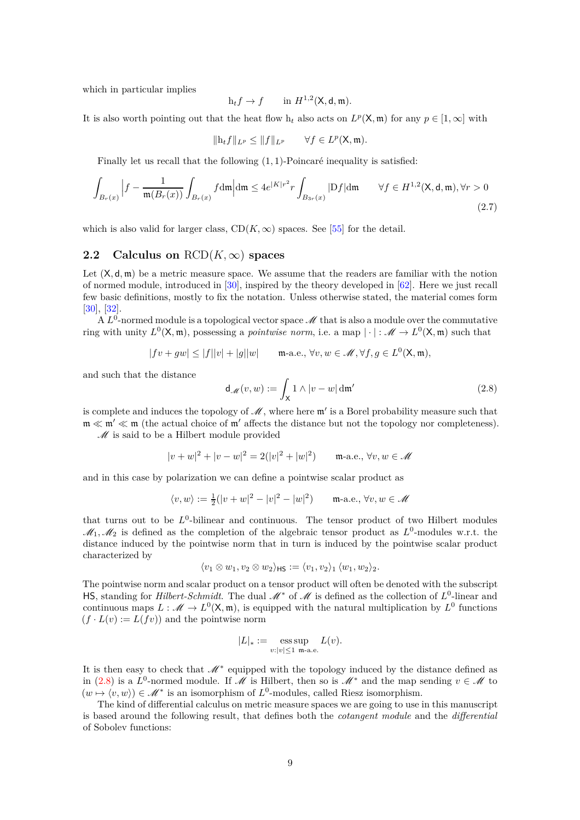which in particular implies

$$
h_t f \to f \qquad \text{in } H^{1,2}(\mathsf{X}, \mathsf{d}, \mathfrak{m}).
$$

It is also worth pointing out that the heat flow  $h_t$  also acts on  $L^p(\mathsf{X}, \mathfrak{m})$  for any  $p \in [1, \infty]$  with

$$
\|\mathrm{h}_t f\|_{L^p} \le \|f\|_{L^p} \qquad \forall f \in L^p(\mathsf{X}, \mathfrak{m}).
$$

Finally let us recall that the following (1*,* 1)-Poincaré inequality is satisfied:

<span id="page-8-2"></span>
$$
\int_{B_r(x)} \left| f - \frac{1}{\mathfrak{m}(B_r(x))} \int_{B_r(x)} f d\mathfrak{m} \right| d\mathfrak{m} \le 4e^{|K|r^2} r \int_{B_{3r}(x)} |Df| d\mathfrak{m} \qquad \forall f \in H^{1,2}(\mathsf{X}, \mathsf{d}, \mathfrak{m}), \forall r > 0
$$
\n(2.7)

which is also valid for larger class,  $CD(K, \infty)$  spaces. See [\[55\]](#page-30-12) for the detail.

### <span id="page-8-0"></span>**2.2** Calculus on  $RCD(K,\infty)$  spaces

Let  $(X, d, \mathfrak{m})$  be a metric measure space. We assume that the readers are familiar with the notion of normed module, introduced in [\[30\]](#page-29-12), inspired by the theory developed in [\[62\]](#page-30-13). Here we just recall few basic definitions, mostly to fix the notation. Unless otherwise stated, the material comes form [\[30\]](#page-29-12), [\[32\]](#page-29-15).

 $A L^0$ -normed module is a topological vector space  $\mathscr M$  that is also a module over the commutative ring with unity  $L^0(\mathsf{X}, \mathfrak{m})$ , possessing a *pointwise norm*, i.e. a map  $|\cdot|: \mathscr{M} \to L^0(\mathsf{X}, \mathfrak{m})$  such that

$$
|fv+gw|\leq |f||v|+|g||w| \qquad \text{m-a.e., } \forall v,w \in \mathscr{M}, \forall f,g \in L^0(\mathsf{X},\mathfrak{m}),
$$

and such that the distance

<span id="page-8-1"></span>
$$
\mathsf{d}_{\mathscr{M}}(v,w) := \int_{\mathsf{X}} 1 \wedge |v - w| \, \mathsf{d}\mathfrak{m}' \tag{2.8}
$$

is complete and induces the topology of  $\mathcal{M}$ , where here  $\mathfrak{m}'$  is a Borel probability measure such that  $m \ll m' \ll m$  (the actual choice of m' affects the distance but not the topology nor completeness).

 $\mathcal M$  is said to be a Hilbert module provided

$$
|v+w|^2 + |v-w|^2 = 2(|v|^2 + |w|^2) \qquad \text{m-a.e., } \forall v, w \in \mathcal{M}
$$

and in this case by polarization we can define a pointwise scalar product as

$$
\langle v, w \rangle := \frac{1}{2}(|v + w|^2 - |v|^2 - |w|^2) \qquad \text{m-a.e., } \forall v, w \in \mathcal{M}
$$

that turns out to be  $L^0$ -bilinear and continuous. The tensor product of two Hilbert modules  $\mathcal{M}_1, \mathcal{M}_2$  is defined as the completion of the algebraic tensor product as  $L^0$ -modules w.r.t. the distance induced by the pointwise norm that in turn is induced by the pointwise scalar product characterized by

$$
\langle v_1 \otimes w_1, v_2 \otimes w_2 \rangle_{\mathsf{HS}} := \langle v_1, v_2 \rangle_1 \langle w_1, w_2 \rangle_2.
$$

The pointwise norm and scalar product on a tensor product will often be denoted with the subscript HS, standing for *Hilbert-Schmidt*. The dual  $M^*$  of  $M$  is defined as the collection of  $L^0$ -linear and continuous maps  $L: \mathcal{M} \to L^0(\mathsf{X}, \mathfrak{m})$ , is equipped with the natural multiplication by  $L^0$  functions  $(f \cdot L(v) := L(fv))$  and the pointwise norm

$$
|L|_* := \operatorname*{ess\,sup}_{v:|v| \leq 1} L(v).
$$

It is then easy to check that  $\mathcal{M}^*$  equipped with the topology induced by the distance defined as in [\(2.8\)](#page-8-1) is a *L*<sup>0</sup>-normed module. If M is Hilbert, then so is M<sup>\*</sup> and the map sending  $v \in M$  to  $(w \mapsto \langle v, w \rangle) \in \mathcal{M}^*$  is an isomorphism of  $L^0$ -modules, called Riesz isomorphism.

The kind of differential calculus on metric measure spaces we are going to use in this manuscript is based around the following result, that defines both the *cotangent module* and the *differential* of Sobolev functions: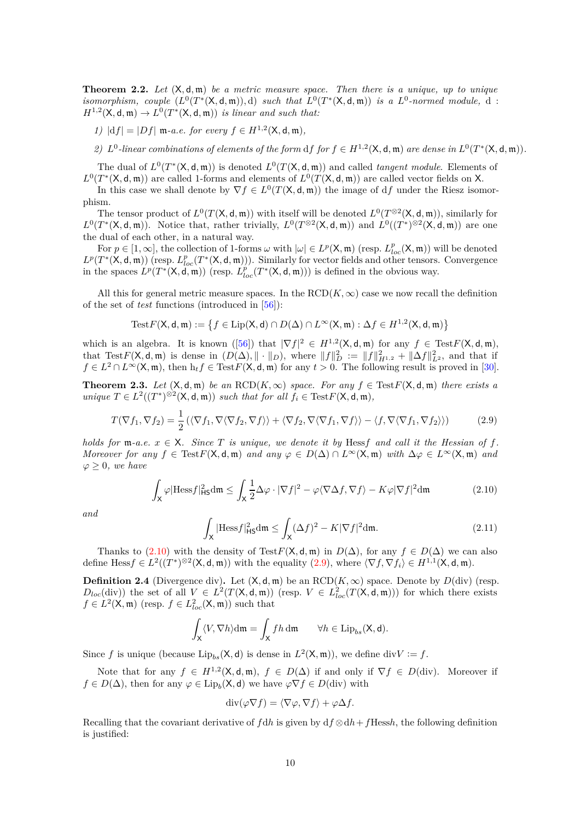**Theorem 2.2.** *Let* (X*,* d*,* m) *be a metric measure space. Then there is a unique, up to unique isomorphism, couple*  $(L^0(T^*(X, d, m)), d)$  *such that*  $L^0(T^*(X, d, m))$  *is a*  $L^0$ -normed module, d:  $H^{1,2}(\mathsf{X}, \mathsf{d}, \mathfrak{m}) \to L^0(T^*(\mathsf{X}, \mathsf{d}, \mathfrak{m}))$  *is linear and such that:* 

*1*)  $|df| = |Df|$  **m**-a.e. for every  $f \in H^{1,2}(\mathsf{X}, \mathsf{d}, \mathfrak{m})$ *,* 

*2)*  $L^0$ -linear combinations of elements of the form  $df$  for  $f \in H^{1,2}(\mathsf{X}, \mathsf{d}, \mathfrak{m})$  are dense in  $L^0(T^*(\mathsf{X}, \mathsf{d}, \mathfrak{m}))$ .

The dual of  $L^0(T^*(X, d, \mathfrak{m}))$  is denoted  $L^0(T(X, d, \mathfrak{m}))$  and called *tangent module*. Elements of  $L^0(T^*(X, \mathsf{d}, \mathfrak{m}))$  are called 1-forms and elements of  $L^0(T(X, \mathsf{d}, \mathfrak{m}))$  are called vector fields on X.

In this case we shall denote by  $\nabla f \in L^0(T(\mathsf{X}, \mathsf{d}, \mathfrak{m}))$  the image of df under the Riesz isomorphism.

The tensor product of  $L^0(T(\mathsf{X}, \mathsf{d}, \mathfrak{m}))$  with itself will be denoted  $L^0(T^{\otimes 2}(\mathsf{X}, \mathsf{d}, \mathfrak{m}))$ , similarly for  $L^0(T^*(X, \mathsf{d}, \mathfrak{m}))$ . Notice that, rather trivially,  $L^0(T^{\otimes 2}(X, \mathsf{d}, \mathfrak{m}))$  and  $L^0((T^*)^{\otimes 2}(X, \mathsf{d}, \mathfrak{m}))$  are one the dual of each other, in a natural way.

For  $p \in [1, \infty]$ , the collection of 1-forms  $\omega$  with  $|\omega| \in L^p(\mathsf{X}, \mathfrak{m})$  (resp.  $L^p_{loc}(\mathsf{X}, \mathfrak{m})$ ) will be denoted  $L^p(T^*(X, \mathsf{d}, \mathfrak{m}))$  (resp.  $L^p_{loc}(T^*(X, \mathsf{d}, \mathfrak{m}))$ ). Similarly for vector fields and other tensors. Convergence in the spaces  $L^p(T^*(X, \mathbf{d}, \mathfrak{m}))$  (resp.  $L^p_{loc}(T^*(X, \mathbf{d}, \mathfrak{m}))$ ) is defined in the obvious way.

All this for general metric measure spaces. In the  $RCD(K,\infty)$  case we now recall the definition of the set of *test* functions (introduced in [\[56\]](#page-30-11)):

$$
\mathrm{Test}F(\mathsf{X},\mathsf{d},\mathfrak{m}):=\left\{f\in\mathrm{Lip}(\mathsf{X},\mathsf{d})\cap D(\Delta)\cap L^\infty(\mathsf{X},\mathfrak{m}):\Delta f\in H^{1,2}(\mathsf{X},\mathsf{d},\mathfrak{m})\right\}
$$

which is an algebra. It is known ([\[56\]](#page-30-11)) that  $|\nabla f|^2 \in H^{1,2}(\mathsf{X},\mathsf{d},\mathfrak{m})$  for any  $f \in \text{Test}F(\mathsf{X},\mathsf{d},\mathfrak{m})$ , that Test $F(\mathsf{X}, \mathsf{d}, \mathfrak{m})$  is dense in  $(D(\Delta), \| \cdot \|_D)$ , where  $||f||_D^2 := ||f||_{H^{1,2}}^2 + ||\Delta f||_{L^2}^2$ , and that if  $f \in L^2 \cap L^\infty(\mathsf{X}, \mathfrak{m})$ , then  $h_t f \in TestF(\mathsf{X}, \mathsf{d}, \mathfrak{m})$  for any  $t > 0$ . The following result is proved in [\[30\]](#page-29-12).

**Theorem 2.3.** *Let*  $(X, d, m)$  *be an*  $RCD(K, \infty)$  *space. For any*  $f \in TestF(X, d, m)$  *there exists a unique*  $T \in L^2((T^*)^{\otimes 2}(\mathsf{X}, \mathsf{d}, \mathfrak{m}))$  *such that for all*  $f_i \in \text{Test}F(\mathsf{X}, \mathsf{d}, \mathfrak{m}),$ 

<span id="page-9-1"></span>
$$
T(\nabla f_1, \nabla f_2) = \frac{1}{2} \left( \langle \nabla f_1, \nabla \langle \nabla f_2, \nabla f \rangle \rangle + \langle \nabla f_2, \nabla \langle \nabla f_1, \nabla f \rangle \rangle - \langle f, \nabla \langle \nabla f_1, \nabla f_2 \rangle \rangle \right) \tag{2.9}
$$

*holds for*  $m-a.e.$   $x \in X$ *. Since T is unique, we denote it by* Hess*f* and call *it the Hessian of*  $f$ *. Moreover for any*  $f \in \text{Test } F(\mathsf{X}, \mathsf{d}, \mathfrak{m})$  *and any*  $\varphi \in D(\Delta) \cap L^{\infty}(\mathsf{X}, \mathfrak{m})$  *with*  $\Delta \varphi \in L^{\infty}(\mathsf{X}, \mathfrak{m})$  *and*  $\varphi \geq 0$ *, we have* 

<span id="page-9-0"></span>
$$
\int_{\mathsf{X}} \varphi |\text{Hess} f|_{\text{H}\mathsf{S}}^2 \text{d}\mathfrak{m} \le \int_{\mathsf{X}} \frac{1}{2} \Delta \varphi \cdot |\nabla f|^2 - \varphi \langle \nabla \Delta f, \nabla f \rangle - K \varphi |\nabla f|^2 \text{d}\mathfrak{m} \tag{2.10}
$$

*and*

<span id="page-9-2"></span>
$$
\int_{\mathsf{X}} |\text{Hess} f|_{\text{HS}}^2 \text{d}\mathfrak{m} \le \int_{\mathsf{X}} (\Delta f)^2 - K |\nabla f|^2 \text{d}\mathfrak{m}.\tag{2.11}
$$

Thanks to [\(2.10\)](#page-9-0) with the density of Test $F(\mathsf{X}, \mathsf{d}, \mathfrak{m})$  in  $D(\Delta)$ , for any  $f \in D(\Delta)$  we can also define  $\text{Hess} f \in L^2((T^*)^{\otimes 2}(\mathsf{X}, \mathsf{d}, \mathfrak{m}))$  with the equality  $(2.9)$ , where  $\langle \nabla f, \nabla f_i \rangle \in H^{1,1}(\mathsf{X}, \mathsf{d}, \mathfrak{m})$ .

**Definition 2.4** (Divergence div). Let  $(X, d, m)$  be an  $RCD(K, \infty)$  space. Denote by  $D(\text{div})$  (resp.  $D_{loc}(\text{div}))$  the set of all  $V \in L^2(T(\mathsf{X},\mathsf{d},\mathfrak{m}))$  (resp.  $V \in L^2_{loc}(T(\mathsf{X},\mathsf{d},\mathfrak{m}))$ ) for which there exists  $f \in L^2(\mathsf{X}, \mathfrak{m})$  (resp.  $f \in L^2_{loc}(\mathsf{X}, \mathfrak{m})$ ) such that

$$
\int_{\mathsf{X}} \langle V, \nabla h \rangle \mathrm{d}\mathfrak{m} = \int_{\mathsf{X}} f h \, \mathrm{d}\mathfrak{m} \qquad \forall h \in \text{Lip}_{bs}(\mathsf{X}, \mathsf{d}).
$$

Since *f* is unique (because  $\text{Lip}_{bs}(\mathsf{X}, \mathsf{d})$  is dense in  $L^2(\mathsf{X}, \mathfrak{m})$ ), we define div $V := f$ .

Note that for any  $f \in H^{1,2}(\mathsf{X},\mathsf{d},\mathfrak{m})$ ,  $f \in D(\Delta)$  if and only if  $\nabla f \in D(\text{div})$ . Moreover if  $f \in D(\Delta)$ , then for any  $\varphi \in \text{Lip}_b(\mathsf{X}, \mathsf{d})$  we have  $\varphi \nabla f \in D(\text{div})$  with

$$
\operatorname{div}(\varphi \nabla f) = \langle \nabla \varphi, \nabla f \rangle + \varphi \Delta f.
$$

Recalling that the covariant derivative of  $f dh$  is given by  $df \otimes dh + f$ Hess*h*, the following definition is justified: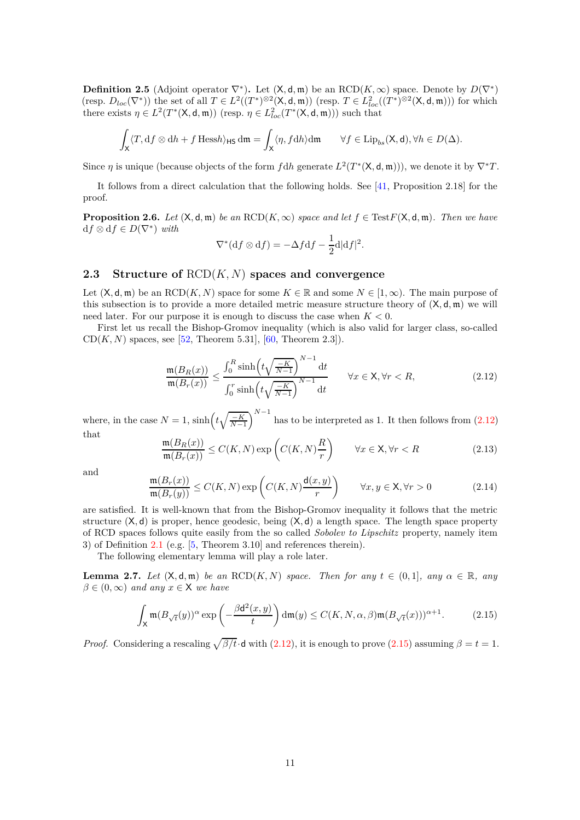**Definition 2.5** (Adjoint operator  $\nabla^*$ ). Let  $(X, d, m)$  be an RCD( $K, \infty$ ) space. Denote by  $D(\nabla^*)$ (resp.  $D_{loc}(\nabla^*)$ ) the set of all  $T \in L^2((T^*)^{\otimes 2}(\mathsf{X},\mathsf{d},\mathfrak{m}))$  (resp.  $T \in L^2_{loc}((T^*)^{\otimes 2}(\mathsf{X},\mathsf{d},\mathfrak{m}))$ ) for which there exists  $\eta \in L^2(T^*(\mathsf{X}, \mathsf{d}, \mathfrak{m}))$  (resp.  $\eta \in L^2_{loc}(T^*(\mathsf{X}, \mathsf{d}, \mathfrak{m}))$ ) such that

$$
\int_{\mathsf{X}} \langle T, \mathrm{d} f \otimes \mathrm{d} h + f \operatorname{Hess} h \rangle_{\mathsf{H}\mathsf{S}} \, \mathrm{d}\mathfrak{m} = \int_{\mathsf{X}} \langle \eta, f \mathrm{d} h \rangle \mathrm{d}\mathfrak{m} \qquad \forall f \in \operatorname{Lip}_{bs}(\mathsf{X},\mathsf{d}), \forall h \in D(\Delta).
$$

Since  $\eta$  is unique (because objects of the form  $f dh$  generate  $L^2(T^*(X, d, m)))$ , we denote it by  $\nabla^* T$ .

It follows from a direct calculation that the following holds. See [\[41,](#page-29-16) Proposition 2.18] for the proof.

<span id="page-10-6"></span>**Proposition 2.6.** *Let*  $(X, d, m)$  *be an* RCD $(K, \infty)$  *space and let*  $f \in TestF(X, d, m)$ *. Then we have*  $df \otimes df \in D(\nabla^*)$  *with* 

$$
\nabla^*(\mathrm{d}f\otimes\mathrm{d}f)=-\Delta f\mathrm{d}f-\frac{1}{2}\mathrm{d}|\mathrm{d}f|^2.
$$

## <span id="page-10-0"></span>**2.3 Structure of** RCD(*K, N*) **spaces and convergence**

Let  $(X, \mathsf{d}, \mathfrak{m})$  be an RCD $(K, N)$  space for some  $K \in \mathbb{R}$  and some  $N \in [1, \infty)$ . The main purpose of this subsection is to provide a more detailed metric measure structure theory of (X*,* d*,* m) we will need later. For our purpose it is enough to discuss the case when  $K < 0$ .

First let us recall the Bishop-Gromov inequality (which is also valid for larger class, so-called  $CD(K, N)$  spaces, see [\[52,](#page-30-0) Theorem 5.31], [\[60,](#page-30-2) Theorem 2.3]).

<span id="page-10-1"></span>
$$
\frac{\mathfrak{m}(B_R(x))}{\mathfrak{m}(B_r(x))} \le \frac{\int_0^R \sinh\left(t\sqrt{\frac{-K}{N-1}}\right)^{N-1} dt}{\int_0^r \sinh\left(t\sqrt{\frac{-K}{N-1}}\right)^{N-1} dt} \qquad \forall x \in \mathsf{X}, \forall r < R,\tag{2.12}
$$

where, in the case  $N = 1$ ,  $\sinh(t\sqrt{\frac{-K}{N-1}})$  $N^{-1}$  has to be interpreted as 1. It then follows from  $(2.12)$ that

<span id="page-10-3"></span>
$$
\frac{\mathfrak{m}(B_R(x))}{\mathfrak{m}(B_r(x))} \le C(K, N) \exp\left(C(K, N)\frac{R}{r}\right) \qquad \forall x \in \mathsf{X}, \forall r < R \tag{2.13}
$$

and

<span id="page-10-4"></span>
$$
\frac{\mathfrak{m}(B_r(x))}{\mathfrak{m}(B_r(y))} \le C(K, N) \exp\left(C(K, N) \frac{\mathsf{d}(x, y)}{r}\right) \qquad \forall x, y \in \mathsf{X}, \forall r > 0 \tag{2.14}
$$

are satisfied. It is well-known that from the Bishop-Gromov inequality it follows that the metric structure  $(X, d)$  is proper, hence geodesic, being  $(X, d)$  a length space. The length space property of RCD spaces follows quite easily from the so called *Sobolev to Lipschitz* property, namely item 3) of Definition [2.1](#page-7-0) (e.g. [\[5,](#page-28-7) Theorem 3.10] and references therein).

The following elementary lemma will play a role later.

<span id="page-10-5"></span>**Lemma 2.7.** *Let*  $(X, d, m)$  *be an*  $RCD(K, N)$  *space. Then for any*  $t \in (0, 1]$ *, any*  $\alpha \in \mathbb{R}$ *, any*  $\beta \in (0, \infty)$  *and any*  $x \in \mathsf{X}$  *we have* 

<span id="page-10-2"></span>
$$
\int_{\mathsf{X}} \mathfrak{m}(B_{\sqrt{t}}(y))^{\alpha} \exp\left(-\frac{\beta \mathsf{d}^{2}(x, y)}{t}\right) \mathrm{d}\mathfrak{m}(y) \le C(K, N, \alpha, \beta) \mathfrak{m}(B_{\sqrt{t}}(x)))^{\alpha+1}.
$$
 (2.15)

*Proof.* Considering a rescaling  $\sqrt{\beta/t} \cdot d$  with [\(2.12\)](#page-10-1), it is enough to prove [\(2.15\)](#page-10-2) assuming  $\beta = t = 1$ .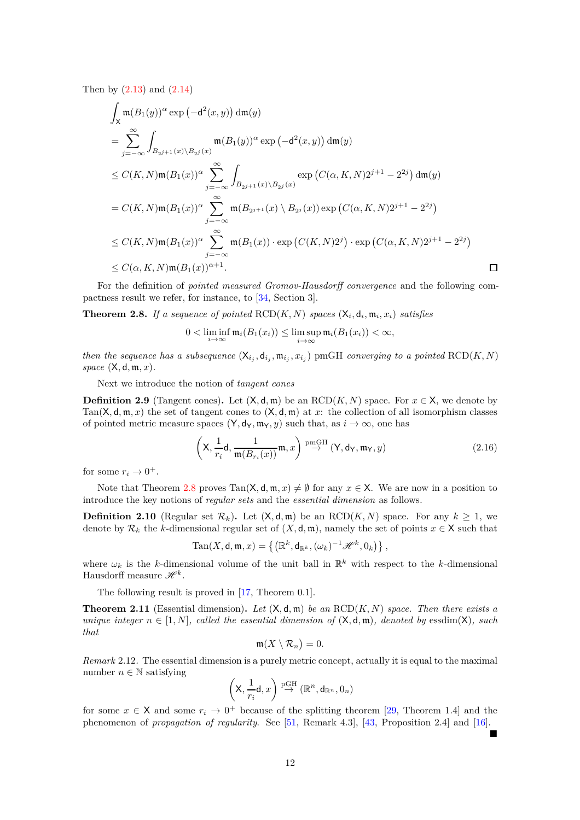Then by [\(2.13\)](#page-10-3) and [\(2.14\)](#page-10-4)

$$
\int_{X} \mathfrak{m}(B_{1}(y))^{\alpha} \exp(-d^{2}(x, y)) d\mathfrak{m}(y)
$$
\n
$$
= \sum_{j=-\infty}^{\infty} \int_{B_{2^{j+1}}(x) \backslash B_{2^{j}}(x)} \mathfrak{m}(B_{1}(y))^{\alpha} \exp(-d^{2}(x, y)) d\mathfrak{m}(y)
$$
\n
$$
\leq C(K, N) \mathfrak{m}(B_{1}(x))^{\alpha} \sum_{j=-\infty}^{\infty} \int_{B_{2^{j+1}}(x) \backslash B_{2^{j}}(x)} \exp(C(\alpha, K, N)2^{j+1} - 2^{2j}) d\mathfrak{m}(y)
$$
\n
$$
= C(K, N) \mathfrak{m}(B_{1}(x))^{\alpha} \sum_{j=-\infty}^{\infty} \mathfrak{m}(B_{2^{j+1}}(x) \backslash B_{2^{j}}(x)) \exp(C(\alpha, K, N)2^{j+1} - 2^{2j})
$$
\n
$$
\leq C(K, N) \mathfrak{m}(B_{1}(x))^{\alpha} \sum_{j=-\infty}^{\infty} \mathfrak{m}(B_{1}(x)) \cdot \exp(C(K, N)2^{j}) \cdot \exp(C(\alpha, K, N)2^{j+1} - 2^{2j})
$$
\n
$$
\leq C(\alpha, K, N) \mathfrak{m}(B_{1}(x))^{\alpha+1}.
$$

For the definition of *pointed measured Gromov-Hausdorff convergence* and the following compactness result we refer, for instance, to [\[34,](#page-29-13) Section 3].

<span id="page-11-0"></span>**Theorem 2.8.** If a sequence of pointed  $\text{RCD}(K, N)$  spaces  $(X_i, d_i, m_i, x_i)$  satisfies

$$
0 < \liminf_{i \to \infty} \mathfrak{m}_i(B_1(x_i)) \le \limsup_{i \to \infty} \mathfrak{m}_i(B_1(x_i)) < \infty,
$$

*then the sequence has a subsequence*  $(X_{i_j}, d_{i_j}, m_{i_j}, x_{i_j})$  pmGH *converging to a pointed* RCD $(K, N)$ *space* (X*,* d*,* m*, x*)*.*

Next we introduce the notion of *tangent cones*

**Definition 2.9** (Tangent cones). Let  $(X, d, m)$  be an  $RCD(K, N)$  space. For  $x \in X$ , we denote by Tan( $X, d, m, x$ ) the set of tangent cones to  $(X, d, m)$  at x; the collection of all isomorphism classes of pointed metric measure spaces  $(Y, d_Y, m_Y, y)$  such that, as  $i \to \infty$ , one has

<span id="page-11-3"></span>
$$
\left(\mathsf{X}, \frac{1}{r_i}\mathsf{d}, \frac{1}{\mathfrak{m}(B_{r_i}(x))}\mathfrak{m}, x\right) \stackrel{\text{pmGH}}{\rightarrow} (\mathsf{Y}, \mathsf{d}_{\mathsf{Y}}, \mathfrak{m}_{\mathsf{Y}}, y) \tag{2.16}
$$

for some  $r_i \to 0^+$ .

Note that Theorem [2.8](#page-11-0) proves  $\text{Tan}(X, d, \mathfrak{m}, x) \neq \emptyset$  for any  $x \in X$ . We are now in a position to introduce the key notions of *regular sets* and the *essential dimension* as follows.

**Definition 2.10** (Regular set  $\mathcal{R}_k$ ). Let  $(X, \mathsf{d}, \mathfrak{m})$  be an RCD $(K, N)$  space. For any  $k \geq 1$ , we denote by  $\mathcal{R}_k$  the *k*-dimensional regular set of  $(X, \mathsf{d}, \mathfrak{m})$ , namely the set of points  $x \in \mathsf{X}$  such that

$$
\mathrm{Tan}(X,\mathsf{d},\mathfrak{m},x)=\left\{\left(\mathbb{R}^k,\mathsf{d}_{\mathbb{R}^k},(\omega_k)^{-1}\mathscr{H}^k,0_k\right)\right\},\,
$$

where  $\omega_k$  is the *k*-dimensional volume of the unit ball in  $\mathbb{R}^k$  with respect to the *k*-dimensional Hausdorff measure  $\mathscr{H}^k$ .

The following result is proved in [\[17,](#page-28-8) Theorem 0.1].

<span id="page-11-2"></span>**Theorem 2.11** (Essential dimension). Let  $(X, d, m)$  be an  $RCD(K, N)$  space. Then there exists a *unique integer*  $n \in [1, N]$ *, called the essential dimension of*  $(X, d, m)$ *, denoted by* essdim(X)*, such that*

$$
\mathfrak{m}(X\setminus \mathcal{R}_n)=0.
$$

<span id="page-11-1"></span>*Remark* 2.12*.* The essential dimension is a purely metric concept, actually it is equal to the maximal number  $n \in \mathbb{N}$  satisfying

$$
\left(\mathsf{X}, \frac{1}{r_i}\mathsf{d}, x\right) \stackrel{\mathrm{pGH}}{\rightarrow} (\mathbb{R}^n, \mathsf{d}_{\mathbb{R}^n}, 0_n)
$$

for some  $x \in X$  and some  $r_i \to 0^+$  because of the splitting theorem [\[29,](#page-29-17) Theorem 1.4] and the phenomenon of *propagation of regularity*. See [\[51,](#page-30-14) Remark 4.3], [\[43,](#page-30-10) Proposition 2.4] and [\[16\]](#page-28-12).  $\blacksquare$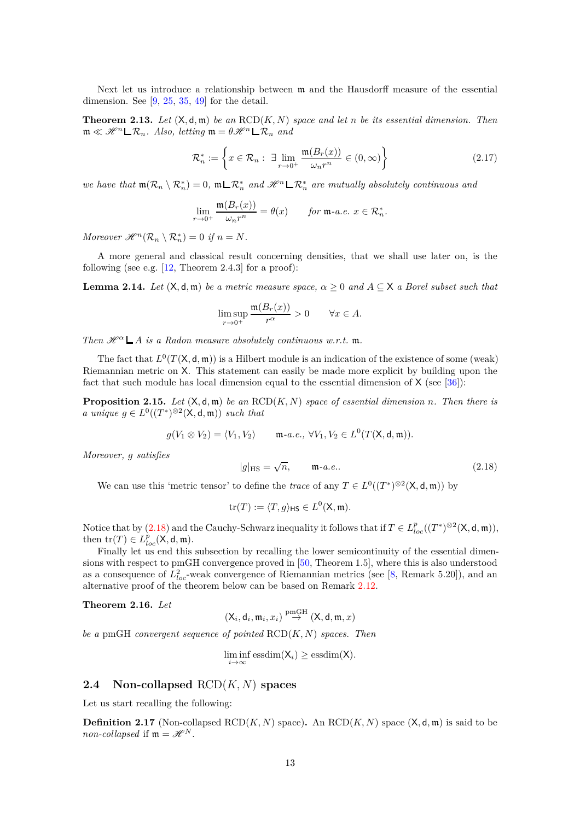Next let us introduce a relationship between m and the Hausdorff measure of the essential dimension. See  $[9, 25, 35, 49]$  $[9, 25, 35, 49]$  $[9, 25, 35, 49]$  $[9, 25, 35, 49]$  $[9, 25, 35, 49]$  $[9, 25, 35, 49]$  for the detail.

<span id="page-12-4"></span>**Theorem 2.13.** Let  $(X, d, m)$  be an  $RCD(K, N)$  space and let *n* be its essential dimension. Then  $\mathfrak{m} \ll \mathscr{H}^n \square \mathcal{R}_n$ . Also, letting  $\mathfrak{m} = \theta \mathscr{H}^n \square \mathcal{R}_n$  and

<span id="page-12-1"></span>
$$
\mathcal{R}_n^* := \left\{ x \in \mathcal{R}_n : \exists \lim_{r \to 0^+} \frac{\mathfrak{m}(B_r(x))}{\omega_n r^n} \in (0, \infty) \right\}
$$
 (2.17)

*we have that*  $m(\mathcal{R}_n \setminus \mathcal{R}_n^*) = 0$ ,  $m \sqcup \mathcal{R}_n^*$  *and*  $\mathcal{H}^n \sqcup \mathcal{R}_n^*$  *are mutually absolutely continuous and* 

$$
\lim_{r \to 0^+} \frac{\mathfrak{m}(B_r(x))}{\omega_n r^n} = \theta(x) \quad \text{for } \mathfrak{m}\text{-}a.e. \ x \in \mathcal{R}_n^*.
$$

*Moreover*  $\mathscr{H}^n(\mathcal{R}_n \setminus \mathcal{R}_n^*) = 0$  *if*  $n = N$ *.* 

A more general and classical result concerning densities, that we shall use later on, is the following (see e.g.  $[12,$  Theorem 2.4.3] for a proof):

<span id="page-12-5"></span>**Lemma 2.14.** *Let*  $(X, d, m)$  *be a metric measure space,*  $\alpha \geq 0$  *and*  $A \subseteq X$  *a Borel subset such that* 

$$
\limsup_{r \to 0^+} \frac{\mathfrak{m}(B_r(x))}{r^{\alpha}} > 0 \quad \forall x \in A.
$$

*Then*  $\mathscr{H}^{\alpha} \mathsf{L}$  *A is a Radon measure absolutely continuous w.r.t.* **m**.

The fact that  $L^0(T(\mathsf{X}, \mathsf{d}, \mathfrak{m}))$  is a Hilbert module is an indication of the existence of some (weak) Riemannian metric on X. This statement can easily be made more explicit by building upon the fact that such module has local dimension equal to the essential dimension of  $X$  (see [\[36\]](#page-29-19)):

**Proposition 2.15.** *Let* (X*,* d*,* m) *be an* RCD(*K, N*) *space of essential dimension n. Then there is a* unique  $g \in L^0((T^*)^{\otimes 2}(\mathsf{X}, \mathsf{d}, \mathfrak{m}))$  *such that* 

$$
g(V_1 \otimes V_2) = \langle V_1, V_2 \rangle \qquad \mathfrak{m}\text{-}a.e., \ \forall V_1, V_2 \in L^0(T(\mathsf{X}, \mathsf{d}, \mathfrak{m})).
$$

*Moreover, g satisfies*

<span id="page-12-3"></span>
$$
|g|_{\text{HS}} = \sqrt{n}, \qquad \mathfrak{m}\text{-}a.e.. \tag{2.18}
$$

We can use this 'metric tensor' to define the *trace* of any  $T \in L^0((T^*)^{\otimes 2}(\mathsf{X}, \mathsf{d}, \mathfrak{m}))$  by

$$
\operatorname{tr}(T) := \langle T, g \rangle_{\mathsf{HS}} \in L^0(\mathsf{X}, \mathfrak{m}).
$$

Notice that by  $(2.18)$  and the Cauchy-Schwarz inequality it follows that if  $T \in L_{loc}^p((T^*)^{\otimes 2}(\mathsf{X},\mathsf{d},\mathfrak{m})),$ then  $\mathrm{tr}(T) \in L_{loc}^p(\mathsf{X}, \mathsf{d}, \mathfrak{m}).$ 

Finally let us end this subsection by recalling the lower semicontinuity of the essential dimensions with respect to pmGH convergence proved in [\[50,](#page-30-6) Theorem 1.5], where this is also understood as a consequence of  $L^2_{loc}$ -weak convergence of Riemannian metrics (see [\[8,](#page-28-10) Remark 5.20]), and an alternative proof of the theorem below can be based on Remark [2.12.](#page-11-1)

<span id="page-12-2"></span>**Theorem 2.16.** *Let*

$$
(\mathsf{X}_i,\mathsf{d}_i,\mathfrak{m}_i,x_i)\stackrel{\mathrm{pmGH}}{\rightarrow}(\mathsf{X},\mathsf{d},\mathfrak{m},x)
$$

*be a* pmGH *convergent sequence of pointed* RCD(*K, N*) *spaces. Then*

$$
\liminf_{i \to \infty} \operatorname{essdim}(\mathsf{X}_i) \ge \operatorname{essdim}(\mathsf{X}).
$$

## <span id="page-12-0"></span>**2.4 Non-collapsed** RCD(*K, N*) **spaces**

Let us start recalling the following:

**Definition 2.17** (Non-collapsed RCD(*K, N*) space). An RCD(*K, N*) space ( $X$ ,  $d$ ,  $m$ ) is said to be *non-collapsed* if  $m = \mathcal{H}^N$ .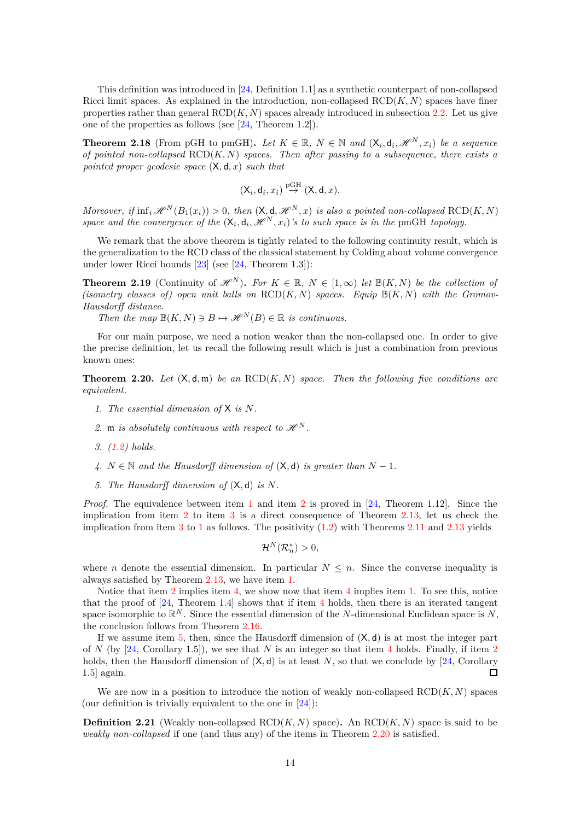This definition was introduced in [\[24,](#page-29-5) Definition 1.1] as a synthetic counterpart of non-collapsed Ricci limit spaces. As explained in the introduction, non-collapsed  $RCD(K, N)$  spaces have finer properties rather than general  $RCD(K, N)$  spaces already introduced in subsection [2.2.](#page-8-0) Let us give one of the properties as follows (see [\[24,](#page-29-5) Theorem 1.2]).

<span id="page-13-1"></span>**Theorem 2.18** (From pGH to pmGH). Let  $K \in \mathbb{R}$ ,  $N \in \mathbb{N}$  and  $(X_i, d_i, \mathcal{H}^N, x_i)$  be a sequence *of pointed non-collapsed* RCD(*K, N*) *spaces. Then after passing to a subsequence, there exists a pointed proper geodesic space* (X*,* d*, x*) *such that*

$$
(\mathsf{X}_i,\mathsf{d}_i,x_i)\stackrel{\mathrm{pGH}}{\rightarrow}(\mathsf{X},\mathsf{d},x).
$$

*Moreover, if*  $\inf_i \mathcal{H}^N(B_1(x_i)) > 0$ , then  $(X, d, \mathcal{H}^N, x)$  *is also a pointed non-collapsed* RCD $(K, N)$ *space and the convergence of the*  $(X_i, d_i, \mathcal{H}^N, x_i)$ 's to such space is in the pmGH topology.

We remark that the above theorem is tightly related to the following continuity result, which is the generalization to the RCD class of the classical statement by Colding about volume convergence under lower Ricci bounds [\[23\]](#page-29-4) (see [\[24,](#page-29-5) Theorem 1.3]):

<span id="page-13-7"></span>**Theorem 2.19** (Continuity of  $\mathcal{H}^N$ ). For  $K \in \mathbb{R}$ ,  $N \in [1,\infty)$  let  $\mathbb{B}(K,N)$  be the collection of  $(i$ sometry classes of) open unit balls on  $\text{RCD}(K, N)$  spaces. Equip  $\mathbb{B}(K, N)$  with the Gromov-*Hausdorff distance.*

*Then the map*  $\mathbb{B}(K,N) \ni B \mapsto \mathcal{H}^N(B) \in \mathbb{R}$  *is continuous.* 

For our main purpose, we need a notion weaker than the non-collapsed one. In order to give the precise definition, let us recall the following result which is just a combination from previous known ones:

<span id="page-13-2"></span><span id="page-13-0"></span>**Theorem 2.20.** Let  $(X, d, m)$  be an  $RCD(K, N)$  space. Then the following five conditions are *equivalent.*

- <span id="page-13-3"></span>*1. The essential dimension of* X *is N.*
- <span id="page-13-4"></span>2. **m** *is absolutely continuous with respect to*  $\mathcal{H}^N$ .
- <span id="page-13-5"></span>*3. [\(1.2\)](#page-1-0) holds.*
- <span id="page-13-6"></span>*4.*  $N \in \mathbb{N}$  and the Hausdorff dimension of  $(X, d)$  *is greater than*  $N - 1$ *.*
- *5. The Hausdorff dimension of* (X*,* d) *is N.*

*Proof.* The equivalence between item [1](#page-13-2) and item [2](#page-13-3) is proved in [\[24,](#page-29-5) Theorem 1.12]. Since the implication from item [2](#page-13-3) to item [3](#page-13-4) is a direct consequence of Theorem [2.13,](#page-12-4) let us check the implication from item [3](#page-13-4) to [1](#page-13-2) as follows. The positivity  $(1.2)$  with Theorems [2.11](#page-11-2) and [2.13](#page-12-4) yields

$$
\mathcal{H}^N(\mathcal{R}_n^*)>0,
$$

where *n* denote the essential dimension. In particular  $N \leq n$ . Since the converse inequality is always satisfied by Theorem [2.13,](#page-12-4) we have item [1.](#page-13-2)

Notice that item [2](#page-13-3) implies item [4,](#page-13-5) we show now that item [4](#page-13-5) implies item [1.](#page-13-2) To see this, notice that the proof of  $[24,$  $[24,$  $[24,$  Theorem 1.4] shows that if item 4 holds, then there is an iterated tangent space isomorphic to R *<sup>N</sup>* . Since the essential dimension of the *N*-dimensional Euclidean space is *N*, the conclusion follows from Theorem [2.16.](#page-12-2)

If we assume item [5,](#page-13-6) then, since the Hausdorff dimension of (X*,* d) is at most the integer part of *N* (by [\[24,](#page-29-5) Corollary 1.5]), we see that *N* is an integer so that item [4](#page-13-5) holds. Finally, if item [2](#page-13-3) holds, then the Hausdorff dimension of  $(X, d)$  is at least N, so that we conclude by [\[24,](#page-29-5) Corollary 1.5] again.  $\Box$ 

We are now in a position to introduce the notion of weakly non-collapsed  $RCD(K, N)$  spaces (our definition is trivially equivalent to the one in [\[24\]](#page-29-5)):

**Definition 2.21** (Weakly non-collapsed  $\text{RCD}(K, N)$  space). An  $\text{RCD}(K, N)$  space is said to be *weakly non-collapsed* if one (and thus any) of the items in Theorem [2.20](#page-13-0) is satisfied.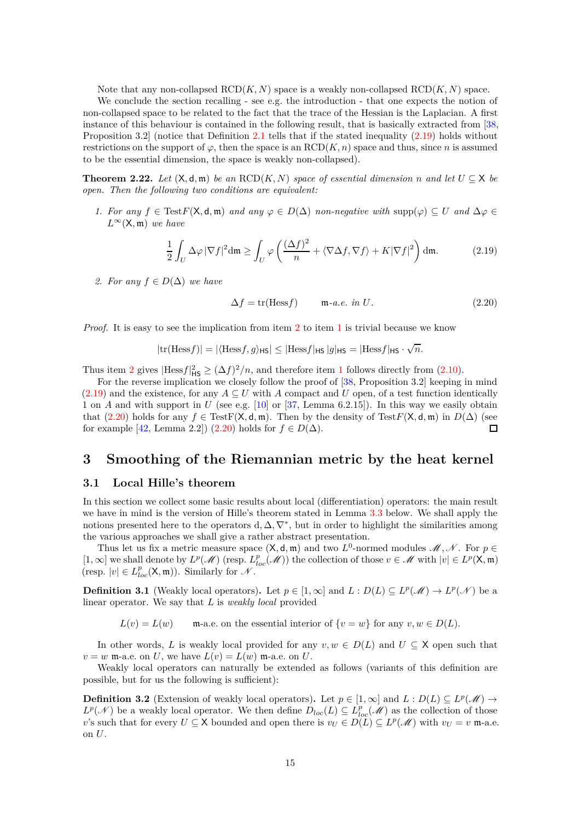Note that any non-collapsed RCD(*K, N*) space is a weakly non-collapsed RCD(*K, N*) space.

We conclude the section recalling - see e.g. the introduction - that one expects the notion of non-collapsed space to be related to the fact that the trace of the Hessian is the Laplacian. A first instance of this behaviour is contained in the following result, that is basically extracted from [\[38,](#page-29-11) Proposition 3.2] (notice that Definition [2.1](#page-7-0) tells that if the stated inequality [\(2.19\)](#page-14-2) holds without restrictions on the support of  $\varphi$ , then the space is an RCD(*K, n*) space and thus, since *n* is assumed to be the essential dimension, the space is weakly non-collapsed).

<span id="page-14-6"></span><span id="page-14-4"></span>**Theorem 2.22.** *Let*  $(X, d, m)$  *be an*  $RCD(K, N)$  *space of essential dimension n and let*  $U \subseteq X$  *be open. Then the following two conditions are equivalent:*

*1. For any*  $f \in TestF(\mathsf{X}, \mathsf{d}, \mathfrak{m})$  *and* any  $\varphi \in D(\Delta)$  *non-negative with* supp $(\varphi) \subseteq U$  *and*  $\Delta \varphi \in$  $L^{\infty}(\mathsf{X}, \mathfrak{m})$  *we have* 

<span id="page-14-2"></span>
$$
\frac{1}{2} \int_{U} \Delta \varphi \, |\nabla f|^2 \, \mathrm{d}\mathfrak{m} \ge \int_{U} \varphi \left( \frac{(\Delta f)^2}{n} + \langle \nabla \Delta f, \nabla f \rangle + K |\nabla f|^2 \right) \, \mathrm{d}\mathfrak{m}.\tag{2.19}
$$

<span id="page-14-3"></span>*2. For any*  $f \in D(\Delta)$  *we have* 

<span id="page-14-5"></span>
$$
\Delta f = \text{tr}(\text{Hess}f) \qquad \text{m-a.e. in } U. \tag{2.20}
$$

*Proof.* It is easy to see the implication from item [2](#page-14-3) to item [1](#page-14-4) is trivial because we know

$$
|\text{tr}(\text{Hess} f)| = |\langle \text{Hess} f, g \rangle_{\text{HS}}| \leq |\text{Hess} f|_{\text{HS}} |g|_{\text{HS}} = |\text{Hess} f|_{\text{HS}} \cdot \sqrt{n}.
$$

Thus item [2](#page-14-3) gives  $|Hess f|_{\text{HS}}^2 \geq (\Delta f)^2/n$ , and therefore item [1](#page-14-4) follows directly from [\(2.10\)](#page-9-0).

For the reverse implication we closely follow the proof of [\[38,](#page-29-11) Proposition 3.2] keeping in mind  $(2.19)$  and the existence, for any  $A \subseteq U$  with *A* compact and *U* open, of a test function identically 1 on *A* and with support in *U* (see e.g. [\[10\]](#page-28-15) or [\[37,](#page-29-14) Lemma 6.2.15]). In this way we easily obtain that [\(2.20\)](#page-14-5) holds for any *f* ∈ TestF( $X$ ,  $d$ ,  $m$ ). Then by the density of Test*F*( $X$ ,  $d$ ,  $m$ ) in *D*( $\Delta$ ) (see<br>for example [42, Lemma 2.2]) (2.20) holds for *f* ∈ *D*( $\Delta$ ). for example  $[42, \text{Lemma } 2.2]$  [\(2.20\)](#page-14-5) holds for  $f \in D(\Delta)$ .

## <span id="page-14-0"></span>**3 Smoothing of the Riemannian metric by the heat kernel**

#### <span id="page-14-1"></span>**3.1 Local Hille's theorem**

In this section we collect some basic results about local (differentiation) operators: the main result we have in mind is the version of Hille's theorem stated in Lemma [3.3](#page-15-0) below. We shall apply the notions presented here to the operators  $d, \Delta, \nabla^*$ , but in order to highlight the similarities among the various approaches we shall give a rather abstract presentation.

Thus let us fix a metric measure space  $(X, d, m)$  and two  $L^0$ -normed modules  $\mathcal{M}, \mathcal{N}$ . For  $p \in$ [1, ∞] we shall denote by  $L^p(\mathcal{M})$  (resp.  $L^p_{loc}(\mathcal{M})$ ) the collection of those  $v \in \mathcal{M}$  with  $|v| \in L^p(\mathsf{X}, \mathfrak{m})$ (resp.  $|v| \in L^p_{loc}(\mathsf{X}, \mathfrak{m})$ ). Similarly for  $\mathcal N$ .

**Definition 3.1** (Weakly local operators). Let  $p \in [1, \infty]$  and  $L : D(L) \subseteq L^p(\mathcal{M}) \to L^p(\mathcal{N})$  be a linear operator. We say that *L* is *weakly local* provided

 $L(v) = L(w)$  m-a.e. on the essential interior of  $\{v = w\}$  for any  $v, w \in D(L)$ .

In other words, *L* is weakly local provided for any  $v, w \in D(L)$  and  $U \subseteq X$  open such that  $v = w$  m-a.e. on *U*, we have  $L(v) = L(w)$  m-a.e. on *U*.

Weakly local operators can naturally be extended as follows (variants of this definition are possible, but for us the following is sufficient):

**Definition 3.2** (Extension of weakly local operators). Let  $p \in [1, \infty]$  and  $L : D(L) \subseteq L^p(\mathcal{M}) \to$  $L^p(\mathcal{N})$  be a weakly local operator. We then define  $D_{loc}(L) \subseteq L^p_{loc}(\mathcal{M})$  as the collection of those *v*'s such that for every  $U \subseteq X$  bounded and open there is  $v_U \in D(L) \subseteq L^p(\mathcal{M})$  with  $v_U = v$  m-a.e. on *U*.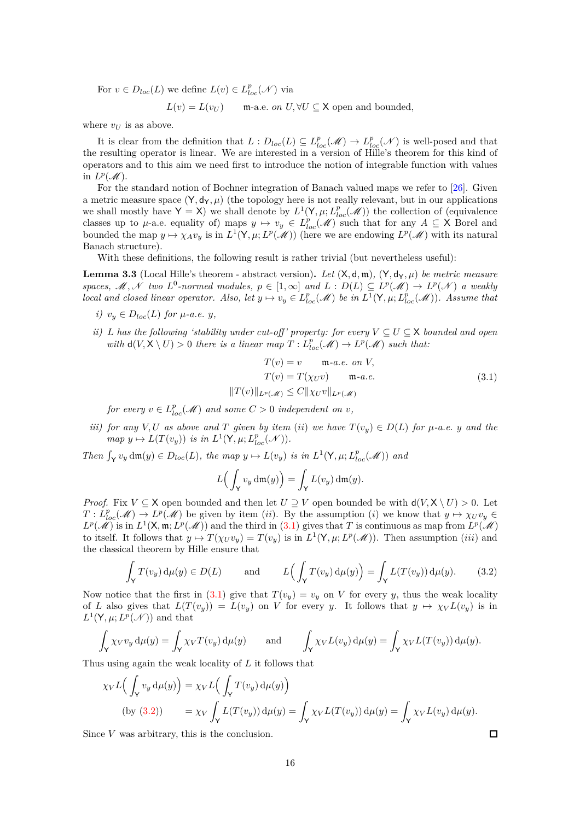For  $v \in D_{loc}(L)$  we define  $L(v) \in L_{loc}^p(\mathcal{N})$  via

 $L(v) = L(v_U)$  m-a.e. *on U,*  $\forall U \subseteq \mathsf{X}$  open and bounded,

where  $v_U$  is as above.

It is clear from the definition that  $L: D_{loc}(L) \subseteq L_{loc}^p(\mathcal{M}) \to L_{loc}^p(\mathcal{M})$  is well-posed and that the resulting operator is linear. We are interested in a version of Hille's theorem for this kind of operators and to this aim we need first to introduce the notion of integrable function with values in  $L^p(\mathcal{M})$ .

For the standard notion of Bochner integration of Banach valued maps we refer to [\[26\]](#page-29-20). Given a metric measure space  $(Y, d_Y, \mu)$  (the topology here is not really relevant, but in our applications we shall mostly have  $Y = X$ ) we shall denote by  $L^1(Y, \mu; L_{loc}^p(\mathcal{M}))$  the collection of (equivalence classes up to *µ*-a.e. equality of) maps  $y \mapsto v_y \in L_{loc}^p(\mathcal{M})$  such that for any  $A \subseteq X$  Borel and bounded the map  $y \mapsto \chi_A v_y$  is in  $L^1(\mathsf{Y}, \mu; L^p(\mathscr{M}))$  (here we are endowing  $L^p(\mathscr{M})$  with its natural Banach structure).

With these definitions, the following result is rather trivial (but nevertheless useful):

<span id="page-15-0"></span>**Lemma 3.3** (Local Hille's theorem - abstract version). Let  $(X, d, m)$ ,  $(Y, d_Y, \mu)$  be metric measure *spaces,*  $M, \mathcal{N}$  *two*  $L^0$ -normed modules,  $p \in [1, \infty]$  and  $L : D(L) \subseteq L^p(\mathcal{M}) \to L^p(\mathcal{N})$  *a weakly local and closed linear operator. Also, let*  $y \mapsto v_y \in L_{loc}^p(\mathcal{M})$  *be in*  $L^1(\mathsf{Y}, \mu; L_{loc}^p(\mathcal{M}))$ *. Assume that* 

- *i*)  $v_y \in D_{loc}(L)$  *for*  $\mu$ *-a.e. y*,
- *ii) L has the following 'stability under cut-off' property: for every*  $V \subseteq U \subseteq X$  *bounded and open with*  $d(V, X \setminus U) > 0$  *there is a linear map*  $T: L^p_{loc}(\mathcal{M}) \to L^p(\mathcal{M})$  *such that:*

$$
T(v) = v \qquad \mathfrak{m}\text{-}a.e. \text{ on } V,
$$

$$
T(v) = T(\chi_{U}v) \qquad \mathfrak{m}\text{-}a.e.
$$

$$
||T(v)||_{L^{p}(\mathcal{M})} \leq C||\chi_{U}v||_{L^{p}(\mathcal{M})}
$$
(3.1)

 $\Box$ 

<span id="page-15-1"></span>*for every*  $v \in L^p_{loc}(\mathcal{M})$  *and some*  $C > 0$  *independent on v,* 

*iii)* for any  $V, U$  as above and  $T$  given by item (*ii*) we have  $T(v_y) \in D(L)$  for  $\mu$ -a.e.  $y$  and the  $map y \mapsto L(T(v_y))$  *is in*  $L^1(\mathsf{Y}, \mu; L^p_{loc}(\mathscr{N})).$ 

*Then*  $\int_Y v_y \, dm(y) \in D_{loc}(L)$ , the map  $y \mapsto L(v_y)$  is in  $L^1(Y, \mu; L^p_{loc}(\mathcal{M}))$  and

$$
L\Big(\int_{\mathsf{Y}} v_y \, \mathrm{d}\mathfrak{m}(y)\Big) = \int_{\mathsf{Y}} L(v_y) \, \mathrm{d}\mathfrak{m}(y).
$$

*Proof.* Fix  $V \subseteq X$  open bounded and then let  $U \supseteq V$  open bounded be with  $d(V, X \setminus U) > 0$ . Let  $T: L_{loc}^p(\mathcal{M}) \to L^p(\mathcal{M})$  be given by item (*ii*). By the assumption (*i*) we know that  $y \mapsto \chi_U v_y \in L^p(\mathcal{M})$  $L^p(\mathcal{M})$  is in  $L^1(\mathsf{X}, \mathfrak{m}; L^p(\mathcal{M}))$  and the third in [\(3.1\)](#page-15-1) gives that *T* is continuous as map from  $L^p(\mathcal{M})$ to itself. It follows that  $y \mapsto T(\chi_U v_y) = T(v_y)$  is in  $L^1(\mathsf{Y}, \mu; L^p(\mathscr{M}))$ . Then assumption *(iii)* and the classical theorem by Hille ensure that

<span id="page-15-2"></span>
$$
\int_{\mathsf{Y}} T(v_y) \, \mathrm{d}\mu(y) \in D(L) \qquad \text{and} \qquad L\Big(\int_{\mathsf{Y}} T(v_y) \, \mathrm{d}\mu(y)\Big) = \int_{\mathsf{Y}} L(T(v_y)) \, \mathrm{d}\mu(y). \tag{3.2}
$$

Now notice that the first in [\(3.1\)](#page-15-1) give that  $T(v_y) = v_y$  on *V* for every *y*, thus the weak locality of *L* also gives that  $L(T(v_y)) = L(v_y)$  on *V* for every *y*. It follows that  $y \mapsto \chi_V L(v_y)$  is in  $L^1(\mathsf{Y}, \mu; L^p(\mathcal{N}))$  and that

$$
\int_{\mathsf{Y}} \chi_V v_y \, \mathrm{d}\mu(y) = \int_{\mathsf{Y}} \chi_V T(v_y) \, \mathrm{d}\mu(y) \quad \text{and} \quad \int_{\mathsf{Y}} \chi_V L(v_y) \, \mathrm{d}\mu(y) = \int_{\mathsf{Y}} \chi_V L(T(v_y)) \, \mathrm{d}\mu(y).
$$

Thus using again the weak locality of *L* it follows that

$$
\chi_V L\Big(\int_Y v_y d\mu(y)\Big) = \chi_V L\Big(\int_Y T(v_y) d\mu(y)\Big)
$$
  
(by (3.2)) 
$$
= \chi_V \int_Y L(T(v_y)) d\mu(y) = \int_Y \chi_V L(T(v_y)) d\mu(y) = \int_Y \chi_V L(v_y) d\mu(y).
$$

Since *V* was arbitrary, this is the conclusion.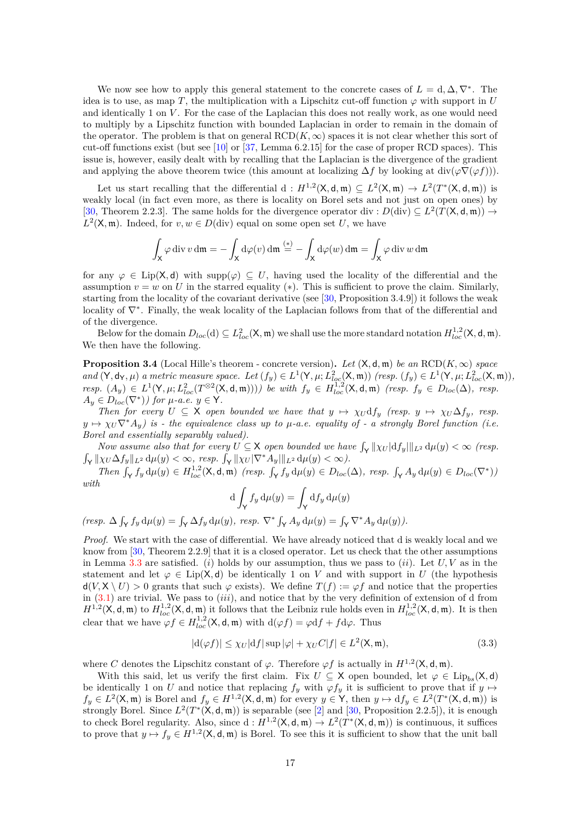We now see how to apply this general statement to the concrete cases of  $L = d, \Delta, \nabla^*$ . The idea is to use, as map *T*, the multiplication with a Lipschitz cut-off function  $\varphi$  with support in *U* and identically 1 on *V* . For the case of the Laplacian this does not really work, as one would need to multiply by a Lipschitz function with bounded Laplacian in order to remain in the domain of the operator. The problem is that on general  $RCD(K,\infty)$  spaces it is not clear whether this sort of cut-off functions exist (but see [\[10\]](#page-28-15) or [\[37,](#page-29-14) Lemma 6.2.15] for the case of proper RCD spaces). This issue is, however, easily dealt with by recalling that the Laplacian is the divergence of the gradient and applying the above theorem twice (this amount at localizing  $\Delta f$  by looking at div( $\varphi \nabla (\varphi f)$ )).

Let us start recalling that the differential  $d : H^{1,2}(\mathsf{X}, \mathsf{d}, \mathfrak{m}) \subseteq L^2(\mathsf{X}, \mathfrak{m}) \to L^2(T^*(\mathsf{X}, \mathsf{d}, \mathfrak{m}))$  is weakly local (in fact even more, as there is locality on Borel sets and not just on open ones) by [\[30,](#page-29-12) Theorem 2.2.3]. The same holds for the divergence operator div:  $D(\text{div}) \subseteq L^2(T(\mathsf{X}, \mathsf{d}, \mathfrak{m})) \rightarrow$  $L^2(\mathsf{X}, \mathfrak{m})$ . Indeed, for  $v, w \in D(\text{div})$  equal on some open set *U*, we have

$$
\int_{\mathsf{X}} \varphi \operatorname{div} v \operatorname{d}\!{\mathfrak{m}} = -\int_{\mathsf{X}} d\varphi(v) \operatorname{d}\!{\mathfrak{m}} \stackrel{(*)}{=} -\int_{\mathsf{X}} d\varphi(w) \operatorname{d}\!{\mathfrak{m}} = \int_{\mathsf{X}} \varphi \operatorname{div} w \operatorname{d}\!{\mathfrak{m}}
$$

for any  $\varphi \in \text{Lip}(X, d)$  with supp $(\varphi) \subseteq U$ , having used the locality of the differential and the assumption  $v = w$  on *U* in the starred equality (\*). This is sufficient to prove the claim. Similarly, starting from the locality of the covariant derivative (see [\[30,](#page-29-12) Proposition 3.4.9]) it follows the weak locality of ∇<sup>∗</sup> . Finally, the weak locality of the Laplacian follows from that of the differential and of the divergence.

Below for the domain  $D_{loc}(d) \subseteq L^2_{loc}(\mathsf{X}, \mathfrak{m})$  we shall use the more standard notation  $H^{1,2}_{loc}(\mathsf{X}, \mathsf{d}, \mathfrak{m})$ . We then have the following.

<span id="page-16-1"></span>**Proposition 3.4** (Local Hille's theorem - concrete version). Let  $(X, d, m)$  be an  $RCD(K, \infty)$  space and  $(Y, d_Y, \mu)$  a metric measure space. Let  $(f_y) \in L^1(Y, \mu; L^2_{loc}(X, \mathfrak{m}))$  (resp.  $(f_y) \in L^1(Y, \mu; L^2_{loc}(X, \mathfrak{m})),$ resp.  $(A_y) \in L^1(\mathsf{Y}, \mu; L^2_{loc}(T^{\otimes 2}(\mathsf{X}, \mathsf{d}, \mathfrak{m}))))$  be with  $f_y \in H^{1,2}_{loc}(\mathsf{X}, \mathsf{d}, \mathfrak{m})$  (resp.  $f_y \in D_{loc}(\Delta)$ , resp.  $A_y \in D_{loc}(\nabla^*)$ *) for*  $\mu$ *-a.e.*  $y \in \mathsf{Y}$ *.* 

*Then for every*  $U \subseteq X$  *open bounded we have that*  $y \mapsto \chi_U \mathrm{d} f_y$  *(resp.*  $y \mapsto \chi_U \Delta f_y$ *, resp.*  $y \mapsto \chi_U \nabla^* A_y$  is - the equivalence class up to  $\mu$ -a.e. equality of - a strongly Borel function (i.e. *Borel and essentially separably valued).*

*Now assume also that for every*  $U \subseteq X$  *open bounded we have*  $\int_Y ||\chi_U| \mathrm{d} f_y||_{L^2} \, \mathrm{d}\mu(y) < \infty$  (resp.  $\int_{\mathsf{Y}} ||\chi_{U} \Delta f_{y}||_{L^{2}} \, \mathrm{d}\mu(y) < \infty$ , resp.  $\int_{\mathsf{Y}} ||\chi_{U}|\nabla^{*} A_{y}|| ||_{L^{2}} \, \mathrm{d}\mu(y) < \infty$ ).

Then  $\int_{\mathsf{Y}} f_y d\mu(y) \in H_{loc}^{1,2}(\mathsf{X},\mathsf{d},\mathfrak{m})$  (resp.  $\int_{\mathsf{Y}} f_y d\mu(y) \in D_{loc}(\Delta)$ , resp.  $\int_{\mathsf{Y}} A_y d\mu(y) \in D_{loc}(\nabla^*)$ ) *with*

$$
\mathrm{d}\int_{\mathsf{Y}} f_y \,\mathrm{d}\mu(y) = \int_{\mathsf{Y}} \mathrm{d} f_y \,\mathrm{d}\mu(y)
$$

 $\label{eq:resp} \text{(resp. } \Delta \int_{\mathsf{Y}} f_y \, \mathrm{d}\mu(y) = \int_{\mathsf{Y}} \Delta f_y \, \mathrm{d}\mu(y), \text{ resp. } \nabla^* \int_{\mathsf{Y}} A_y \, \mathrm{d}\mu(y) = \int_{\mathsf{Y}} \nabla^* A_y \, \mathrm{d}\mu(y) .$ 

*Proof.* We start with the case of differential. We have already noticed that d is weakly local and we know from [\[30,](#page-29-12) Theorem 2.2.9] that it is a closed operator. Let us check that the other assumptions in Lemma [3.3](#page-15-0) are satisfied. (*i*) holds by our assumption, thus we pass to (*ii*). Let *U, V* as in the statement and let  $\varphi \in \text{Lip}(X, d)$  be identically 1 on *V* and with support in *U* (the hypothesis  $d(V, X \setminus U) > 0$  grants that such  $\varphi$  exists). We define  $T(f) := \varphi f$  and notice that the properties in [\(3.1\)](#page-15-1) are trivial. We pass to (*iii*), and notice that by the very definition of extension of d from  $H^{1,2}(\mathsf{X}, \mathsf{d}, \mathfrak{m})$  to  $H^{1,2}_{loc}(\mathsf{X}, \mathsf{d}, \mathfrak{m})$  it follows that the Leibniz rule holds even in  $H^{1,2}_{loc}(\mathsf{X}, \mathsf{d}, \mathfrak{m})$ . It is then clear that we have  $\varphi f \in H_{loc}^{1,2}(X, \mathsf{d}, \mathfrak{m})$  with  $d(\varphi f) = \varphi df + f d\varphi$ . Thus

<span id="page-16-0"></span>
$$
|d(\varphi f)| \leq \chi_U |df| \sup |\varphi| + \chi_U C|f| \in L^2(\mathsf{X}, \mathfrak{m}),\tag{3.3}
$$

where *C* denotes the Lipschitz constant of  $\varphi$ . Therefore  $\varphi f$  is actually in  $H^{1,2}(\mathsf{X}, \mathsf{d}, \mathfrak{m})$ .

With this said, let us verify the first claim. Fix  $U \subseteq X$  open bounded, let  $\varphi \in \text{Lip}_{bs}(X, d)$ be identically 1 on *U* and notice that replacing  $f_y$  with  $\varphi f_y$  it is sufficient to prove that if  $y \mapsto$  $f_y \in L^2(\mathsf{X}, \mathfrak{m})$  is Borel and  $f_y \in H^{1,2}(\mathsf{X}, \mathsf{d}, \mathfrak{m})$  for every  $y \in \mathsf{Y}$ , then  $y \mapsto df_y \in L^2(T^*(\mathsf{X}, \mathsf{d}, \mathfrak{m}))$  is strongly Borel. Since  $L^2(T^*(X, d, m))$  is separable (see [\[2\]](#page-27-1) and [\[30,](#page-29-12) Proposition 2.2.5]), it is enough to check Borel regularity. Also, since  $d: H^{1,2}(\mathsf{X}, \mathsf{d}, \mathfrak{m}) \to L^2(T^*(\mathsf{X}, \mathsf{d}, \mathfrak{m}))$  is continuous, it suffices to prove that  $y \mapsto f_y \in H^{1,2}(\mathsf{X}, \mathsf{d}, \mathfrak{m})$  is Borel. To see this it is sufficient to show that the unit ball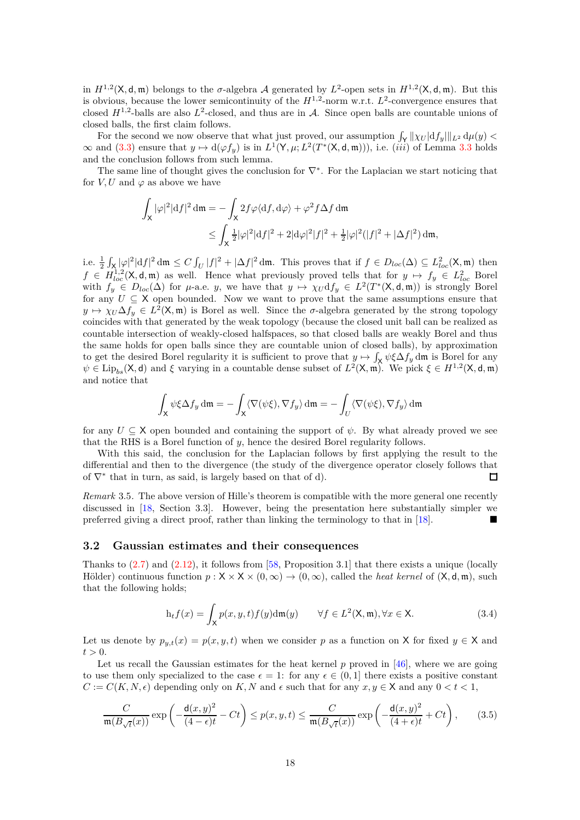in  $H^{1,2}(\mathsf{X}, \mathsf{d}, \mathfrak{m})$  belongs to the  $\sigma$ -algebra A generated by  $L^2$ -open sets in  $H^{1,2}(\mathsf{X}, \mathsf{d}, \mathfrak{m})$ . But this is obvious, because the lower semicontinuity of the  $H^{1,2}$ -norm w.r.t.  $L^2$ -convergence ensures that closed  $H^{1,2}$ -balls are also  $L^2$ -closed, and thus are in A. Since open balls are countable unions of closed balls, the first claim follows.

For the second we now observe that what just proved, our assumption  $\int_{\mathsf{Y}} ||\chi_U| \mathrm{d} f_y||_{L^2} \, \mathrm{d}\mu(y)$  $\infty$  and [\(3.3\)](#page-16-0) ensure that  $y \mapsto d(\varphi f_y)$  is in  $L^1(\mathsf{Y}, \mu; L^2(T^*(\mathsf{X}, \mathsf{d}, \mathfrak{m})))$ , i.e. *(iii)* of Lemma [3.3](#page-15-0) holds and the conclusion follows from such lemma.

The same line of thought gives the conclusion for  $\nabla^*$ . For the Laplacian we start noticing that for  $V, U$  and  $\varphi$  as above we have

$$
\int_{\mathsf{X}} |\varphi|^2 |\mathrm{d} f|^2 \, \mathrm{d}\mathfrak{m} = -\int_{\mathsf{X}} 2f \varphi \langle \mathrm{d} f, \mathrm{d}\varphi \rangle + \varphi^2 f \Delta f \, \mathrm{d}\mathfrak{m}
$$
\n
$$
\leq \int_{\mathsf{X}} \frac{1}{2} |\varphi|^2 |\mathrm{d} f|^2 + 2|\mathrm{d}\varphi|^2 |f|^2 + \frac{1}{2} |\varphi|^2 (|f|^2 + |\Delta f|^2) \, \mathrm{d}\mathfrak{m},
$$

i.e.  $\frac{1}{2} \int_{\mathsf{X}} |\varphi|^2 |df|^2 dm \leq C \int_U |f|^2 + |\Delta f|^2 dm$ . This proves that if  $f \in D_{loc}(\Delta) \subseteq L^2_{loc}(\mathsf{X}, \mathfrak{m})$  then  $f \in H_{loc}^{1,2}(\mathsf{X}, \mathsf{d}, \mathfrak{m})$  as well. Hence what previously proved tells that for  $y \mapsto f_y \in L_{loc}^2$  Borel with  $f_y \in D_{loc}(\Delta)$  for  $\mu$ -a.e. *y*, we have that  $y \mapsto \chi_U df_y \in L^2(T^*(X, \mathsf{d}, \mathfrak{m}))$  is strongly Borel for any  $U \subseteq X$  open bounded. Now we want to prove that the same assumptions ensure that  $y \mapsto \chi_U \Delta f_y \in L^2(\mathsf{X}, \mathfrak{m})$  is Borel as well. Since the *σ*-algebra generated by the strong topology coincides with that generated by the weak topology (because the closed unit ball can be realized as countable intersection of weakly-closed halfspaces, so that closed balls are weakly Borel and thus the same holds for open balls since they are countable union of closed balls), by approximation to get the desired Borel regularity it is sufficient to prove that  $y \mapsto \int_X \psi \xi \Delta f_y$  dm is Borel for any  $\psi \in \text{Lip}_{bs}(\mathsf{X}, \mathsf{d})$  and  $\xi$  varying in a countable dense subset of  $L^2(\mathsf{X}, \mathfrak{m})$ . We pick  $\xi \in H^{1,2}(\mathsf{X}, \mathsf{d}, \mathfrak{m})$ and notice that

$$
\int_{\mathsf{X}} \psi \xi \Delta f_y \, \mathrm{d}\mathfrak{m} = -\int_{\mathsf{X}} \langle \nabla(\psi \xi), \nabla f_y \rangle \, \mathrm{d}\mathfrak{m} = -\int_{U} \langle \nabla(\psi \xi), \nabla f_y \rangle \, \mathrm{d}\mathfrak{m}
$$

for any  $U \subseteq X$  open bounded and containing the support of  $\psi$ . By what already proved we see that the RHS is a Borel function of *y*, hence the desired Borel regularity follows.

With this said, the conclusion for the Laplacian follows by first applying the result to the differential and then to the divergence (the study of the divergence operator closely follows that of  $\nabla^*$  that in turn, as said, is largely based on that of d).  $\Box$ 

*Remark* 3.5*.* The above version of Hille's theorem is compatible with the more general one recently discussed in [\[18,](#page-28-16) Section 3.3]. However, being the presentation here substantially simpler we preferred giving a direct proof, rather than linking the terminology to that in [\[18\]](#page-28-16).

#### <span id="page-17-0"></span>**3.2 Gaussian estimates and their consequences**

Thanks to  $(2.7)$  and  $(2.12)$ , it follows from [\[58,](#page-30-15) Proposition 3.1] that there exists a unique (locally Hölder) continuous function  $p: X \times X \times (0, \infty) \rightarrow (0, \infty)$ , called the *heat kernel* of  $(X, d, m)$ , such that the following holds;

<span id="page-17-2"></span>
$$
h_t f(x) = \int_X p(x, y, t) f(y) dm(y) \qquad \forall f \in L^2(\mathsf{X}, \mathfrak{m}), \forall x \in \mathsf{X}.
$$
 (3.4)

Let us denote by  $p_{y,t}(x) = p(x, y, t)$  when we consider p as a function on X for fixed  $y \in X$  and  $t > 0$ .

Let us recall the Gaussian estimates for the heat kernel p proved in [\[46\]](#page-30-16), where we are going to use them only specialized to the case  $\epsilon = 1$ : for any  $\epsilon \in (0, 1]$  there exists a positive constant  $C := C(K, N, \epsilon)$  depending only on *K, N* and  $\epsilon$  such that for any  $x, y \in X$  and any  $0 < t < 1$ ,

<span id="page-17-1"></span>
$$
\frac{C}{\mathfrak{m}(B_{\sqrt{t}}(x))} \exp\left(-\frac{\mathsf{d}(x,y)^2}{(4-\epsilon)t} - Ct\right) \le p(x,y,t) \le \frac{C}{\mathfrak{m}(B_{\sqrt{t}}(x))} \exp\left(-\frac{\mathsf{d}(x,y)^2}{(4+\epsilon)t} + Ct\right),\tag{3.5}
$$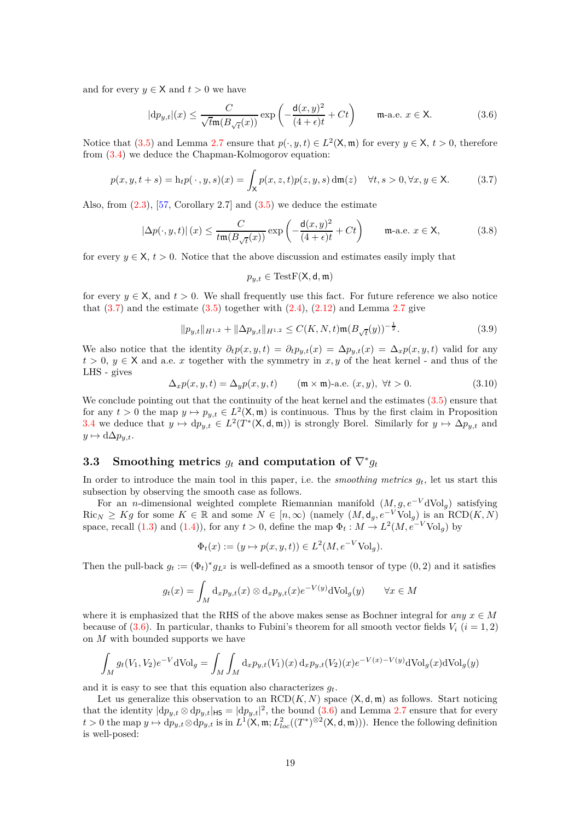and for every  $y \in \mathsf{X}$  and  $t > 0$  we have

<span id="page-18-2"></span>
$$
|\mathrm{d}p_{y,t}|(x) \le \frac{C}{\sqrt{t}\mathfrak{m}(B_{\sqrt{t}}(x))} \exp\left(-\frac{\mathsf{d}(x,y)^2}{(4+\epsilon)t} + Ct\right) \qquad \text{m-a.e. } x \in \mathsf{X}.\tag{3.6}
$$

Notice that [\(3.5\)](#page-17-1) and Lemma [2.7](#page-10-5) ensure that  $p(\cdot, y, t) \in L^2(\mathsf{X}, \mathfrak{m})$  for every  $y \in \mathsf{X}, t > 0$ , therefore from [\(3.4\)](#page-17-2) we deduce the Chapman-Kolmogorov equation:

<span id="page-18-1"></span>
$$
p(x, y, t+s) = h_t p(\cdot, y, s)(x) = \int_X p(x, z, t) p(z, y, s) d\mathfrak{m}(z) \quad \forall t, s > 0, \forall x, y \in \mathsf{X}.
$$
 (3.7)

Also, from  $(2.3)$ ,  $[57, Corollary 2.7]$  and  $(3.5)$  we deduce the estimate

<span id="page-18-3"></span>
$$
|\Delta p(\cdot, y, t)| (x) \le \frac{C}{t \mathfrak{m}(B_{\sqrt{t}}(x))} \exp\left(-\frac{\mathsf{d}(x, y)^2}{(4 + \epsilon)t} + Ct\right) \qquad \text{m-a.e. } x \in \mathsf{X}, \tag{3.8}
$$

for every  $y \in X$ ,  $t > 0$ . Notice that the above discussion and estimates easily imply that

$$
p_{y,t} \in TestF(\mathsf{X},\mathsf{d},\mathfrak{m})
$$

for every  $y \in X$ , and  $t > 0$ . We shall frequently use this fact. For future reference we also notice that  $(3.7)$  and the estimate  $(3.5)$  together with  $(2.4)$ ,  $(2.12)$  and Lemma [2.7](#page-10-5) give

<span id="page-18-4"></span>
$$
||p_{y,t}||_{H^{1,2}} + ||\Delta p_{y,t}||_{H^{1,2}} \le C(K, N, t) \mathfrak{m}(B_{\sqrt{t}}(y))^{-\frac{1}{2}}.
$$
\n(3.9)

We also notice that the identity  $\partial_t p(x, y, t) = \partial_t p_{y,t}(x) = \Delta p_{y,t}(x) = \Delta_x p(x, y, t)$  valid for any  $t > 0, y \in X$  and a.e. *x* together with the symmetry in *x, y* of the heat kernel - and thus of the LHS - gives

<span id="page-18-5"></span>
$$
\Delta_x p(x, y, t) = \Delta_y p(x, y, t) \qquad (\mathfrak{m} \times \mathfrak{m})\text{-a.e. } (x, y), \ \forall t > 0. \tag{3.10}
$$

We conclude pointing out that the continuity of the heat kernel and the estimates  $(3.5)$  ensure that for any  $t > 0$  the map  $y \mapsto p_{y,t} \in L^2(\mathsf{X}, \mathfrak{m})$  is continuous. Thus by the first claim in Proposition [3.4](#page-16-1) we deduce that  $y \mapsto dp_{y,t} \in L^2(T^*(\mathsf{X},\mathsf{d},\mathfrak{m}))$  is strongly Borel. Similarly for  $y \mapsto \Delta p_{y,t}$  and  $y \mapsto d\Delta p_{y,t}.$ 

# <span id="page-18-0"></span>**3.3** Smoothing metrics  $g_t$  and computation of  $\nabla^* g_t$

In order to introduce the main tool in this paper, i.e. the *smoothing metrics*  $g_t$ , let us start this subsection by observing the smooth case as follows.

For an *n*-dimensional weighted complete Riemannian manifold (*M, g, e*−*<sup>V</sup>* dVol*g*) satisfying  $\text{Ric}_N \geq Kg$  for some  $K \in \mathbb{R}$  and some  $N \in [n, \infty)$  (namely  $(M, d_g, e^{-V} \text{Vol}_g)$ ) is an  $\text{RCD}(K, N)$ space, recall  $(1.3)$  and  $(1.4)$ ), for any  $t > 0$ , define the map  $\Phi_t : M \to L^2(M, e^{-V} \text{Vol}_g)$  by

$$
\Phi_t(x) := (y \mapsto p(x, y, t)) \in L^2(M, e^{-V} \text{Vol}_g).
$$

Then the pull-back  $g_t := (\Phi_t)^* g_{L^2}$  is well-defined as a smooth tensor of type  $(0, 2)$  and it satisfies

$$
g_t(x) = \int_M \mathrm{d}_x p_{y,t}(x) \otimes \mathrm{d}_x p_{y,t}(x) e^{-V(y)} \mathrm{dVol}_g(y) \qquad \forall x \in M
$$

where it is emphasized that the RHS of the above makes sense as Bochner integral for  $any \, x \in M$ because of [\(3.6\)](#page-18-2). In particular, thanks to Fubini's theorem for all smooth vector fields  $V_i$  ( $i = 1, 2$ ) on *M* with bounded supports we have

$$
\int_M g_t(V_1, V_2) e^{-V} dVol_g = \int_M \int_M d_x p_{y,t}(V_1)(x) d_x p_{y,t}(V_2)(x) e^{-V(x) - V(y)} dVol_g(x) dVol_g(y)
$$

and it is easy to see that this equation also characterizes *gt*.

Let us generalize this observation to an  $RCD(K, N)$  space  $(X, d, \mathfrak{m})$  as follows. Start noticing that the identity  $|dp_{y,t} \otimes dp_{y,t}|_{\text{HS}} = |dp_{y,t}|^2$ , the bound [\(3.6\)](#page-18-2) and Lemma [2.7](#page-10-5) ensure that for every  $t > 0$  the map  $y \mapsto dp_{y,t} \otimes dp_{y,t}$  is in  $L^1(\mathsf{X}, \mathfrak{m}; L^2_{loc}((T^*)^{\otimes 2}(\mathsf{X}, \mathsf{d}, \mathfrak{m})))$ . Hence the following definition is well-posed: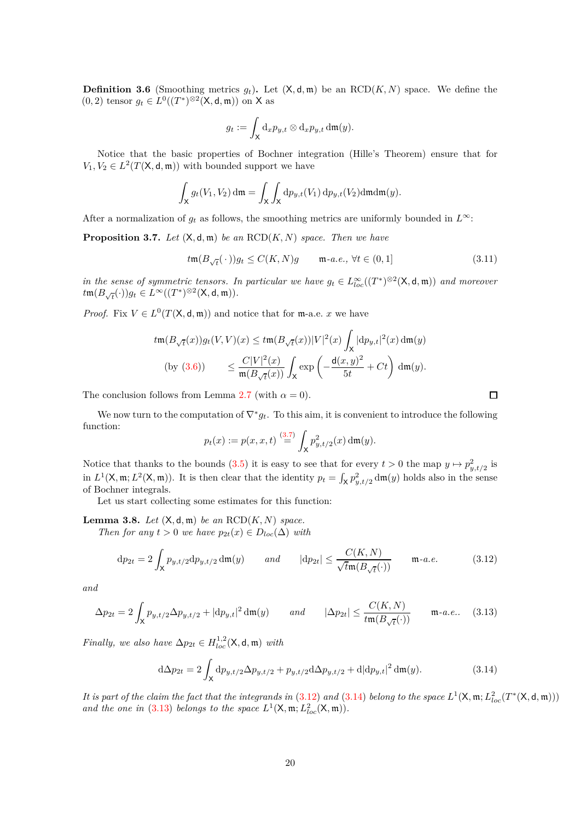**Definition 3.6** (Smoothing metrics  $g_t$ ). Let  $(X, d, m)$  be an  $RCD(K, N)$  space. We define the  $(0, 2)$  tensor  $g_t \in L^0((T^*)^{\otimes 2}(\mathsf{X}, \mathsf{d}, \mathfrak{m}))$  on **X** as

$$
g_t := \int_{\mathsf{X}} \mathrm{d}_x p_{y,t} \otimes \mathrm{d}_x p_{y,t} \, \mathrm{d}\mathfrak{m}(y).
$$

Notice that the basic properties of Bochner integration (Hille's Theorem) ensure that for  $V_1, V_2 \in L^2(T(\mathsf{X}, \mathsf{d}, \mathfrak{m}))$  with bounded support we have

$$
\int_{\mathsf{X}} g_t(V_1, V_2) \, \mathrm{d}\mathfrak{m} = \int_{\mathsf{X}} \int_{\mathsf{X}} \mathrm{d}p_{y,t}(V_1) \, \mathrm{d}p_{y,t}(V_2) \mathrm{d}\mathfrak{m} \mathrm{d}\mathfrak{m}(y).
$$

After a normalization of  $g_t$  as follows, the smoothing metrics are uniformly bounded in  $L^\infty$ :

**Proposition 3.7.** *Let*  $(X, d, m)$  *be an*  $RCD(K, N)$  *space. Then we have* 

<span id="page-19-4"></span>
$$
tm(B_{\sqrt{t}}(\cdot))g_t \le C(K,N)g \qquad \mathfrak{m}\text{-}a.e., \ \forall t \in (0,1] \tag{3.11}
$$

*in the sense of symmetric tensors. In particular we have*  $g_t \in L^{\infty}_{loc}((T^*)^{\otimes 2}(\mathsf{X},\mathsf{d},\mathfrak{m}))$  and moreover  $t\mathfrak{m}(B_{\sqrt{t}}(\cdot))g_t \in L^\infty((T^*)^{\otimes 2}(\mathsf{X},\mathsf{d},\mathfrak{m})).$ 

*Proof.* Fix  $V \in L^0(T(\mathsf{X}, \mathsf{d}, \mathfrak{m}))$  and notice that for m-a.e. *x* we have

$$
t\mathfrak{m}(B_{\sqrt{t}}(x))g_t(V,V)(x) \leq t\mathfrak{m}(B_{\sqrt{t}}(x))|V|^2(x)\int_X|\mathrm{d}p_{y,t}|^2(x)\,\mathrm{d}\mathfrak{m}(y)
$$
  
(by (3.6)) 
$$
\leq \frac{C|V|^2(x)}{\mathfrak{m}(B_{\sqrt{t}}(x))}\int_X \exp\left(-\frac{\mathrm{d}(x,y)^2}{5t} + Ct\right)\,\mathrm{d}\mathfrak{m}(y).
$$

The conclusion follows from Lemma [2.7](#page-10-5) (with  $\alpha = 0$ ).

We now turn to the computation of  $\nabla^* g_t$ . To this aim, it is convenient to introduce the following function:

$$
p_t(x) := p(x, x, t) \stackrel{(3.7)}{=} \int_X p_{y, t/2}^2(x) \, dm(y).
$$

Notice that thanks to the bounds [\(3.5\)](#page-17-1) it is easy to see that for every  $t > 0$  the map  $y \mapsto p_{y,t/2}^2$  is in  $L^1(\mathsf{X}, \mathfrak{m}; L^2(\mathsf{X}, \mathfrak{m}))$ . It is then clear that the identity  $p_t = \int_{\mathsf{X}} p_{y,t/2}^2 d\mathfrak{m}(y)$  holds also in the sense of Bochner integrals.

Let us start collecting some estimates for this function:

<span id="page-19-3"></span>**Lemma 3.8.** *Let*  $(X, d, m)$  *be an*  $RCD(K, N)$  *space.* 

*Then for any*  $t > 0$  *we have*  $p_{2t}(x) \in D_{loc}(\Delta)$  *with* 

<span id="page-19-0"></span>
$$
\mathrm{d}p_{2t} = 2 \int_X p_{y,t/2} \mathrm{d}p_{y,t/2} \,\mathrm{d}\mathfrak{m}(y) \qquad and \qquad |\mathrm{d}p_{2t}| \le \frac{C(K,N)}{\sqrt{t}\mathfrak{m}(B_{\sqrt{t}}(\cdot))} \qquad \mathfrak{m}\text{-}a.e. \tag{3.12}
$$

*and*

<span id="page-19-2"></span>
$$
\Delta p_{2t} = 2 \int_X p_{y,t/2} \Delta p_{y,t/2} + |\mathrm{d}p_{y,t}|^2 \, \mathrm{d}\mathfrak{m}(y) \qquad \text{and} \qquad |\Delta p_{2t}| \le \frac{C(K,N)}{t \mathfrak{m}(B_{\sqrt{t}}(\cdot))} \qquad \mathfrak{m}\text{-}a.e.. \tag{3.13}
$$

*Finally, we also have*  $\Delta p_{2t} \in H_{loc}^{1,2}(\mathsf{X}, \mathsf{d}, \mathfrak{m})$  *with* 

<span id="page-19-1"></span>
$$
d\Delta p_{2t} = 2\int_{\mathsf{X}} dp_{y,t/2} \Delta p_{y,t/2} + p_{y,t/2} d\Delta p_{y,t/2} + d|dp_{y,t}|^2 dm(y).
$$
 (3.14)

*It is part of the claim the fact that the integrands in [\(3.12\)](#page-19-0) and [\(3.14\)](#page-19-1) belong to the space*  $L^1(\mathsf{X}, \mathfrak{m}; L^2_{loc}(T^*(\mathsf{X}, \mathsf{d}, \mathfrak{m})))$ and the one in [\(3.13\)](#page-19-2) belongs to the space  $L^1(\mathsf{X}, \mathfrak{m}; L^2_{loc}(\mathsf{X}, \mathfrak{m}))$ .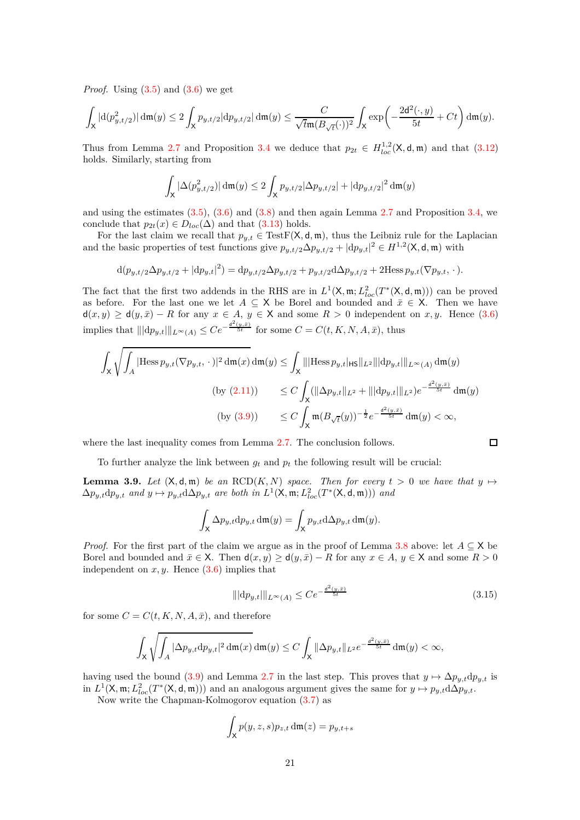*Proof.* Using  $(3.5)$  and  $(3.6)$  we get

$$
\int_{\mathsf{X}}|\mathrm{d}(p_{y,t/2}^2)|\,\mathrm{d}\mathfrak{m}(y)\leq 2\int_{\mathsf{X}}p_{y,t/2}|\mathrm{d} p_{y,t/2}|\,\mathrm{d}\mathfrak{m}(y)\leq \frac{C}{\sqrt{t}\mathfrak{m}(B_{\sqrt{t}}(\cdot))^2}\int_{\mathsf{X}}\exp\!\left(-\frac{2\mathsf{d}^2(\cdot,y)}{5t}+Ct\right)\mathrm{d}\mathfrak{m}(y).
$$

Thus from Lemma [2.7](#page-10-5) and Proposition [3.4](#page-16-1) we deduce that  $p_{2t} \in H_{loc}^{1,2}(\mathsf{X}, \mathsf{d}, \mathfrak{m})$  and that [\(3.12\)](#page-19-0) holds. Similarly, starting from

$$
\int_{\mathsf{X}} |\Delta(p_{y,t/2}^2)| \, \mathrm{d}\mathfrak{m}(y) \leq 2 \int_{\mathsf{X}} p_{y,t/2} |\Delta p_{y,t/2}| + |\mathrm{d} p_{y,t/2}|^2 \, \mathrm{d}\mathfrak{m}(y)
$$

and using the estimates  $(3.5)$ ,  $(3.6)$  and  $(3.8)$  and then again Lemma [2.7](#page-10-5) and Proposition [3.4,](#page-16-1) we conclude that  $p_{2t}(x) \in D_{loc}(\Delta)$  and that [\(3.13\)](#page-19-2) holds.

For the last claim we recall that  $p_{y,t} \in TestF(X, d, \mathfrak{m})$ , thus the Leibniz rule for the Laplacian and the basic properties of test functions give  $p_{y,t/2} \Delta p_{y,t/2} + |\mathrm{d}p_{y,t}|^2 \in H^{1,2}(\mathsf{X}, \mathsf{d}, \mathfrak{m})$  with

$$
\mathrm{d}(p_{y,t/2}\Delta p_{y,t/2} + |\mathrm{d}p_{y,t}|^2) = \mathrm{d}p_{y,t/2}\Delta p_{y,t/2} + p_{y,t/2}\mathrm{d}\Delta p_{y,t/2} + 2\mathrm{Hess}\, p_{y,t}(\nabla p_{y,t}, \cdot).
$$

The fact that the first two addends in the RHS are in  $L^1(\mathsf{X}, \mathfrak{m}; L^2_{loc}(T^*(\mathsf{X}, \mathsf{d}, \mathfrak{m})))$  can be proved as before. For the last one we let  $A \subseteq X$  be Borel and bounded and  $\bar{x} \in X$ . Then we have  $d(x, y) \ge d(y, \bar{x}) - R$  for any  $x \in A$ ,  $y \in X$  and some  $R > 0$  independent on  $x, y$ . Hence [\(3.6\)](#page-18-2) implies that  $\| |dp_{y,t}||_{L^{\infty}(A)} \leq Ce^{-\frac{d^2(y,\bar{x})}{5t}}$  for some  $C = C(t, K, N, A, \bar{x})$ , thus

$$
\int_{\mathsf{X}} \sqrt{\int_{A} |\text{Hess}\, p_{y,t}(\nabla p_{y,t}, \cdot)|^2 \, d\mathfrak{m}(x)} \, d\mathfrak{m}(y) \le \int_{\mathsf{X}} |||\text{Hess}\, p_{y,t}|\text{Hs}||_{L^2} |||d p_{y,t}|||_{L^{\infty}(A)} \, d\mathfrak{m}(y)
$$
\n
$$
\text{(by (2.11))} \qquad \le C \int_{\mathsf{X}} (||\Delta p_{y,t}||_{L^2} + |||d p_{y,t}|||_{L^2}) e^{-\frac{d^2(y,\bar{x})}{5t}} \, d\mathfrak{m}(y)
$$
\n
$$
\text{(by (3.9))} \qquad \le C \int_{\mathsf{X}} \mathfrak{m}(B_{\sqrt{t}}(y))^{-\frac{1}{2}} e^{-\frac{d^2(y,\bar{x})}{5t}} \, d\mathfrak{m}(y) < \infty,
$$

where the last inequality comes from Lemma [2.7.](#page-10-5) The conclusion follows.

To further analyze the link between  $g_t$  and  $p_t$  the following result will be crucial:

<span id="page-20-1"></span>**Lemma 3.9.** *Let*  $(X, d, m)$  *be an*  $RCD(K, N)$  *space. Then for every*  $t > 0$  *we have that*  $y \mapsto$  $\Delta p_{y,t} dp_{y,t}$  *and*  $y \mapsto p_{y,t} d\Delta p_{y,t}$  *are both in*  $L^1(\mathsf{X}, \mathfrak{m}; L^2_{loc}(T^*(\mathsf{X}, \mathsf{d}, \mathfrak{m})))$  *and* 

$$
\int_{\mathsf{X}} \Delta p_{y,t} \mathrm{d}p_{y,t} \mathrm{d}\mathfrak{m}(y) = \int_{\mathsf{X}} p_{y,t} \mathrm{d} \Delta p_{y,t} \mathrm{d}\mathfrak{m}(y).
$$

*Proof.* For the first part of the claim we argue as in the proof of Lemma [3.8](#page-19-3) above: let  $A \subseteq X$  be Borel and bounded and  $\bar{x} \in X$ . Then  $d(x, y) \geq d(y, \bar{x}) - R$  for any  $x \in A$ ,  $y \in X$  and some  $R > 0$ independent on  $x, y$ . Hence  $(3.6)$  implies that

<span id="page-20-0"></span>
$$
\| |dp_{y,t}||_{L^{\infty}(A)} \leq Ce^{-\frac{d^2(y,\bar{x})}{5t}} \tag{3.15}
$$

for some  $C = C(t, K, N, A, \bar{x})$ , and therefore

$$
\int_{\mathsf X} \sqrt{\int_{A} |\Delta p_{y,t} dp_{y,t}|^2 \, \mathrm{d}\mathfrak m(x)} \, \mathrm{d}\mathfrak m(y) \leq C \int_{\mathsf X} ||\Delta p_{y,t}||_{L^2} e^{-\frac{d^2(y,\bar x)}{5t}} \, \mathrm{d}\mathfrak m(y) < \infty,
$$

having used the bound [\(3.9\)](#page-18-4) and Lemma [2.7](#page-10-5) in the last step. This proves that  $y \mapsto \Delta p_{y,t} d p_{y,t}$  is in  $L^1(\mathsf{X}, \mathfrak{m}; L^2_{loc}(T^*(\mathsf{X}, \mathsf{d}, \mathfrak{m})))$  and an analogous argument gives the same for  $y \mapsto p_{y,t}d\Delta p_{y,t}$ .

Now write the Chapman-Kolmogorov equation [\(3.7\)](#page-18-1) as

$$
\int_{\mathsf{X}} p(y, z, s) p_{z,t} \, \mathrm{d}\mathfrak{m}(z) = p_{y,t+s}
$$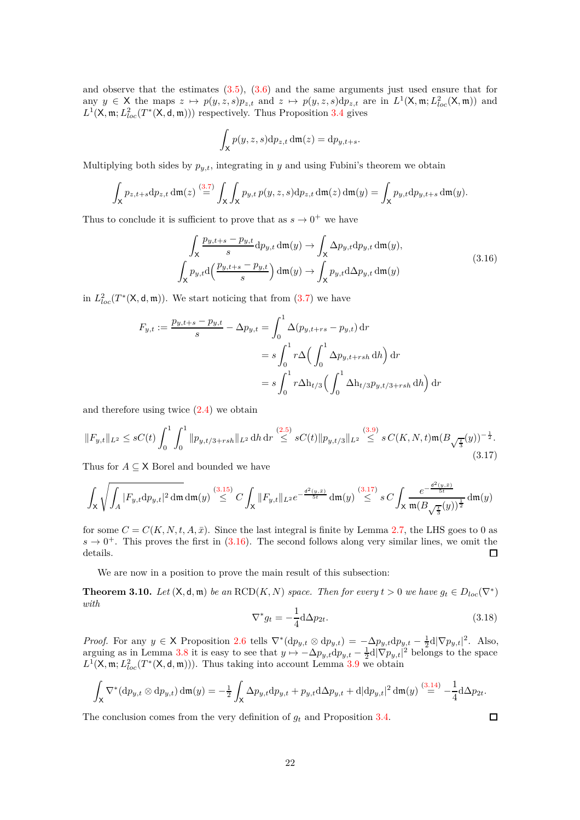and observe that the estimates  $(3.5)$ ,  $(3.6)$  and the same arguments just used ensure that for any  $y \in X$  the maps  $z \mapsto p(y, z, s)p_{z,t}$  and  $z \mapsto p(y, z, s)dp_{z,t}$  are in  $L^1(X, \mathfrak{m}; L^2_{loc}(X, \mathfrak{m}))$  and  $L^1(\mathsf{X}, \mathfrak{m}; L^2_{loc}(T^*(\mathsf{X}, \mathsf{d}, \mathfrak{m}))$  respectively. Thus Proposition [3.4](#page-16-1) gives

$$
\int_X p(y, z, s) dp_{z,t} d\mathfrak{m}(z) = dp_{y,t+s}.
$$

Multiplying both sides by  $p_{y,t}$ , integrating in *y* and using Fubini's theorem we obtain

$$
\int_{\mathsf{X}} p_{z,t+s} dp_{z,t} \, \mathrm{d}\mathfrak{m}(z) \stackrel{(3.7)}{=} \int_{\mathsf{X}} \int_{\mathsf{X}} p_{y,t} \, p(y,z,s) \mathrm{d}p_{z,t} \, \mathrm{d}\mathfrak{m}(z) \, \mathrm{d}\mathfrak{m}(y) = \int_{\mathsf{X}} p_{y,t} \mathrm{d}p_{y,t+s} \, \mathrm{d}\mathfrak{m}(y).
$$

Thus to conclude it is sufficient to prove that as  $s \to 0^+$  we have

$$
\int_{X} \frac{p_{y,t+s} - p_{y,t}}{s} dp_{y,t} dm(y) \to \int_{X} \Delta p_{y,t} dp_{y,t} dm(y),
$$
\n
$$
\int_{X} p_{y,t} d\left(\frac{p_{y,t+s} - p_{y,t}}{s}\right) dm(y) \to \int_{X} p_{y,t} d\Delta p_{y,t} dm(y)
$$
\n(3.16)

<span id="page-21-1"></span>in  $L^2_{loc}(T^*(\mathsf{X},\mathsf{d},\mathfrak{m}))$ . We start noticing that from  $(3.7)$  we have

$$
F_{y,t} := \frac{p_{y,t+s} - p_{y,t}}{s} - \Delta p_{y,t} = \int_0^1 \Delta(p_{y,t+rs} - p_{y,t}) dr
$$
  

$$
= s \int_0^1 r \Delta \left( \int_0^1 \Delta p_{y,t+rsh} dh \right) dr
$$
  

$$
= s \int_0^1 r \Delta h_{t/3} \left( \int_0^1 \Delta h_{t/3} p_{y,t/3+rsh} dh \right) dr
$$

and therefore using twice [\(2.4\)](#page-7-2) we obtain

<span id="page-21-0"></span>
$$
||F_{y,t}||_{L^2} \le sC(t) \int_0^1 \int_0^1 ||p_{y,t/3+rsh}||_{L^2} \, dh \, dr \stackrel{(2.5)}{\le} sC(t) ||p_{y,t/3}||_{L^2} \stackrel{(3.9)}{\le} sC(K,N,t) \mathfrak{m}(B_{\sqrt{\frac{t}{3}}}(y))^{-\frac{1}{2}}.
$$
\n
$$
(3.17)
$$

Thus for  $A \subseteq \mathsf{X}$  Borel and bounded we have

$$
\int_{\mathsf X} \sqrt{\int_{A} |F_{y,t} \mathrm d p_{y,t}|^2 \, \mathrm{d}\mathfrak m \, \mathrm d \mathfrak m(y)} \stackrel{(3.15)}{\leq} C \int_{\mathsf X} \|F_{y,t}\|_{L^2} e^{-\frac{\mathrm{d}^2(y,\bar x)}{5t}} \, \mathrm{d}\mathfrak m(y) \stackrel{(3.17)}{\leq} s \, C \int_{\mathsf X} \frac{e^{-\frac{\mathrm{d}^2(y,\bar x)}{5t}}}{\mathfrak m(B_{\sqrt{\frac{t}{3}}}(y))^{\frac{1}{2}}} \, \mathrm{d}\mathfrak m(y)
$$

for some  $C = C(K, N, t, A, \bar{x})$ . Since the last integral is finite by Lemma [2.7,](#page-10-5) the LHS goes to 0 as  $s \to 0^+$ . This proves the first in [\(3.16\)](#page-21-1). The second follows along very similar lines, we omit the details. 口

We are now in a position to prove the main result of this subsection:

**Theorem 3.10.** *Let*  $(X, d, m)$  *be an*  $\text{RCD}(K, N)$  *space. Then for every*  $t > 0$  *we have*  $g_t \in D_{loc}(\nabla^*)$ *with*

<span id="page-21-2"></span>
$$
\nabla^* g_t = -\frac{1}{4} \mathrm{d} \Delta p_{2t}.\tag{3.18}
$$

*Proof.* For any  $y \in \mathsf{X}$  Proposition [2.6](#page-10-6) tells  $\nabla^*(dp_{y,t} \otimes dp_{y,t}) = -\Delta p_{y,t} dp_{y,t} - \frac{1}{2}d|\nabla p_{y,t}|^2$ . Also, arguing as in Lemma [3.8](#page-19-3) it is easy to see that  $y \mapsto -\Delta p_{y,t} dp_{y,t} - \frac{1}{2} d|\nabla p_{y,t}|^2$  belongs to the space  $L^1(\mathsf{X}, \mathfrak{m}; L^2_{loc}(T^*(\mathsf{X}, \mathsf{d}, \mathfrak{m})))$ . Thus taking into account Lemma [3.9](#page-20-1) we obtain

$$
\int_{\mathsf{X}} \nabla^*(\mathrm{d}p_{y,t} \otimes \mathrm{d}p_{y,t}) \, \mathrm{d}\mathfrak{m}(y) = -\frac{1}{2} \int_{\mathsf{X}} \Delta p_{y,t} \mathrm{d}p_{y,t} + p_{y,t} \mathrm{d}\Delta p_{y,t} + \mathrm{d}|\mathrm{d}p_{y,t}|^2 \, \mathrm{d}\mathfrak{m}(y) \stackrel{(3.14)}{=} -\frac{1}{4} \mathrm{d}\Delta p_{2t}.
$$

The conclusion comes from the very definition of *g<sup>t</sup>* and Proposition [3.4.](#page-16-1)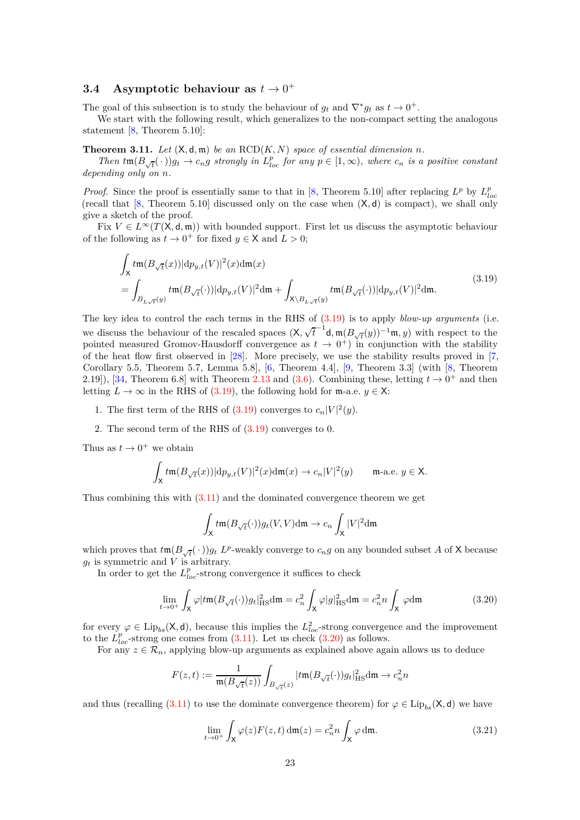# <span id="page-22-0"></span>**3.4** Asymptotic behaviour as  $t \to 0^+$

The goal of this subsection is to study the behaviour of  $g_t$  and  $\nabla^* g_t$  as  $t \to 0^+$ .

We start with the following result, which generalizes to the non-compact setting the analogous statement [\[8,](#page-28-10) Theorem 5.10]:

<span id="page-22-4"></span>**Theorem 3.11.** *Let*  $(X, d, \mathfrak{m})$  *be an*  $RCD(K, N)$  *space of essential dimension n*.

Then  $tm(B_{\sqrt{t}}(\cdot))g_t \to c_n g$  strongly in  $L_{loc}^p$  for any  $p \in [1,\infty)$ , where  $c_n$  is a positive constant *depending only on n.*

*Proof.* Since the proof is essentially same to that in [\[8,](#page-28-10) Theorem 5.10] after replacing  $L^p$  by  $L^p_{loc}$ (recall that [\[8,](#page-28-10) Theorem 5.10] discussed only on the case when (X*,* d) is compact), we shall only give a sketch of the proof.

Fix  $V \in L^{\infty}(T(\mathsf{X},\mathsf{d},\mathfrak{m}))$  with bounded support. First let us discuss the asymptotic behaviour of the following as  $t \to 0^+$  for fixed  $y \in \mathsf{X}$  and  $L > 0$ ;

$$
\int_{\mathsf{X}} t \mathfrak{m}(B_{\sqrt{t}}(x)) |\mathrm{d}p_{y,t}(V)|^2(x) \mathrm{d}\mathfrak{m}(x)
$$
\n
$$
= \int_{B_{L\sqrt{t}}(y)} t \mathfrak{m}(B_{\sqrt{t}}(\cdot)) |\mathrm{d}p_{y,t}(V)|^2 \mathrm{d}\mathfrak{m} + \int_{\mathsf{X}\backslash B_{L\sqrt{t}}(y)} t \mathfrak{m}(B_{\sqrt{t}}(\cdot)) |\mathrm{d}p_{y,t}(V)|^2 \mathrm{d}\mathfrak{m}.
$$
\n(3.19)

<span id="page-22-1"></span>The key idea to control the each terms in the RHS of [\(3.19\)](#page-22-1) is to apply *blow-up arguments* (i.e. we discuss the behaviour of the rescaled spaces  $(X, \sqrt{t}^{-1}d, m(B_{\sqrt{t}}(y))^{-1}m, y)$  with respect to the pointed measured Gromov-Hausdorff convergence as  $t \to 0^+$  in conjunction with the stability of the heat flow first observed in [\[28\]](#page-29-0). More precisely, we use the stability results proved in [\[7,](#page-28-17) Corollary 5.5, Theorem 5.7, Lemma 5.8], [\[6,](#page-28-18) Theorem 4.4], [\[9,](#page-28-13) Theorem 3.3] (with [\[8,](#page-28-10) Theorem 2.19]), [\[34,](#page-29-13) Theorem 6.8] with Theorem [2.13](#page-12-4) and [\(3.6\)](#page-18-2). Combining these, letting  $t \to 0^+$  and then letting  $L \to \infty$  in the RHS of [\(3.19\)](#page-22-1), the following hold for m-a.e.  $y \in X$ :

- 1. The first term of the RHS of  $(3.19)$  converges to  $c_n|V|^2(y)$ .
- 2. The second term of the RHS of [\(3.19\)](#page-22-1) converges to 0.

Thus as  $t \to 0^+$  we obtain

$$
\int_{\mathsf X} t \mathfrak m(B_{\sqrt{t}}(x)) |\mathrm{d} p_{y,t}(V)|^2(x) \mathrm{d}\mathfrak m(x) \to c_n |V|^2(y) \qquad \text{m-a.e. } y \in \mathsf X.
$$

Thus combining this with [\(3.11\)](#page-19-4) and the dominated convergence theorem we get

$$
\int_{\mathsf{X}} t \mathfrak{m}(B_{\sqrt{t}}(\cdot)) g_t(V, V) d\mathfrak{m} \to c_n \int_{\mathsf{X}} |V|^2 d\mathfrak{m}
$$

which proves that  $t \mathfrak{m}(B_{\sqrt{t}}(\cdot))g_t$  *L*<sup>*p*</sup>-weakly converge to  $c_n g$  on any bounded subset *A* of **X** because  $g_t$  is symmetric and  $V$  is arbitrary.

In order to get the  $L_{loc}^p$ -strong convergence it suffices to check

<span id="page-22-2"></span>
$$
\lim_{t \to 0^+} \int_{\mathsf{X}} \varphi |t \mathfrak{m}(B_{\sqrt{t}}(\cdot)) g_t|_{\text{HS}}^2 \text{d}\mathfrak{m} = c_n^2 \int_{\mathsf{X}} \varphi |g|_{\text{HS}}^2 \text{d}\mathfrak{m} = c_n^2 n \int_{\mathsf{X}} \varphi \text{d}\mathfrak{m}
$$
(3.20)

for every  $\varphi \in \text{Lip}_{bs}(\mathsf{X},\mathsf{d})$ , because this implies the  $L^2_{loc}$ -strong convergence and the improvement to the  $L_{loc}^p$ -strong one comes from  $(3.11)$ . Let us check  $(3.20)$  as follows.

For any  $z \in \mathcal{R}_n$ , applying blow-up arguments as explained above again allows us to deduce

$$
F(z,t) := \frac{1}{\mathfrak{m}(B_{\sqrt{t}}(z))} \int_{B_{\sqrt{t}}(z)} |t\mathfrak{m}(B_{\sqrt{t}}(\cdot))g_t|^2_{\mathrm{HS}} \mathrm{d}\mathfrak{m} \to c_n^2 n
$$

and thus (recalling [\(3.11\)](#page-19-4) to use the dominate convergence theorem) for  $\varphi \in \text{Lip}_{bs}(\mathsf{X},\mathsf{d})$  we have

<span id="page-22-3"></span>
$$
\lim_{t \to 0^+} \int_{\mathsf{X}} \varphi(z) F(z, t) \, \mathrm{d}\mathfrak{m}(z) = c_n^2 n \int_{\mathsf{X}} \varphi \, \mathrm{d}\mathfrak{m}.
$$
 (3.21)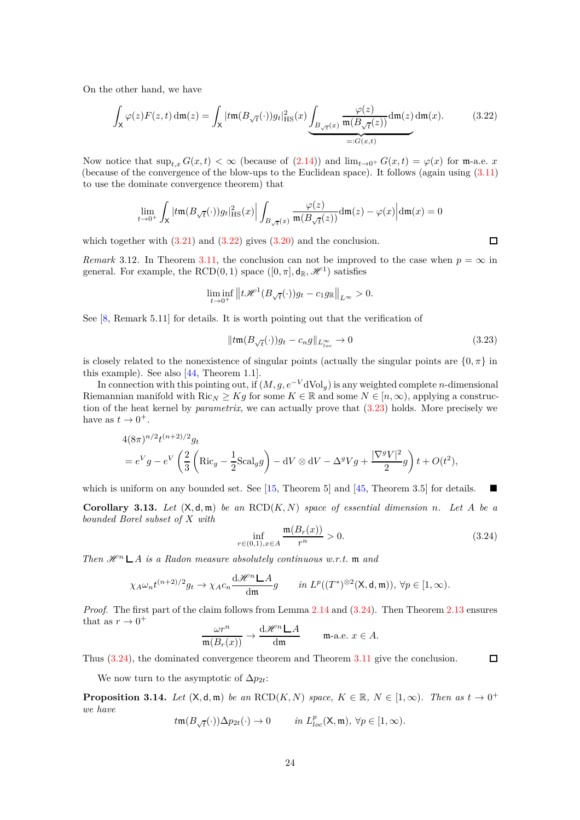On the other hand, we have

<span id="page-23-0"></span>
$$
\int_{\mathsf{X}} \varphi(z) F(z, t) \, \mathrm{d}\mathfrak{m}(z) = \int_{\mathsf{X}} |t\mathfrak{m}(B_{\sqrt{t}}(\cdot)) g_t|_{\mathrm{HS}}^2(x) \underbrace{\int_{B_{\sqrt{t}}(x)} \frac{\varphi(z)}{\mathfrak{m}(B_{\sqrt{t}}(z))} \mathrm{d}\mathfrak{m}(z) \, \mathrm{d}\mathfrak{m}(x)}_{=:G(x, t)}.
$$
\n(3.22)

Now notice that  $\sup_{t,x} G(x,t) < \infty$  (because of [\(2.14\)](#page-10-4)) and  $\lim_{t\to 0^+} G(x,t) = \varphi(x)$  for m-a.e. *x* (because of the convergence of the blow-ups to the Euclidean space). It follows (again using [\(3.11\)](#page-19-4) to use the dominate convergence theorem) that

$$
\lim_{t \to 0^+} \int_{\mathsf{X}} |\mathit{tm}(B_{\sqrt{t}}(\cdot))g_t|_{\mathrm{HS}}^2(x) \Big| \int_{B_{\sqrt{t}}(x)} \frac{\varphi(z)}{\mathfrak{m}(B_{\sqrt{t}}(z))} \mathrm{d}\mathfrak{m}(z) - \varphi(x) \Big| \mathrm{d}\mathfrak{m}(x) = 0
$$

which together with  $(3.21)$  and  $(3.22)$  gives  $(3.20)$  and the conclusion.

*Remark* 3.12. In Theorem [3.11,](#page-22-4) the conclusion can not be improved to the case when  $p = \infty$  in general. For example, the RCD $(0, 1)$  space  $([0, \pi], \mathbf{d}_{\mathbb{R}}, \mathcal{H}^1)$  satisfies

$$
\liminf_{t \to 0^+} ||t\mathcal{H}^1(B_{\sqrt{t}}(\cdot))g_t - c_1 g_{\mathbb{R}}||_{L^{\infty}} > 0.
$$

See [\[8,](#page-28-10) Remark 5.11] for details. It is worth pointing out that the verification of

<span id="page-23-1"></span>
$$
||tm(B_{\sqrt{t}}(\cdot))g_t - c_n g||_{L^{\infty}_{loc}} \to 0
$$
\n(3.23)

is closely related to the nonexistence of singular points (actually the singular points are  $\{0, \pi\}$  in this example). See also [\[44,](#page-30-18) Theorem 1.1].

In connection with this pointing out, if  $(M, g, e^{-V}dVol_q)$  is any weighted complete *n*-dimensional Riemannian manifold with  $\text{Ric}_N \geq Kg$  for some  $K \in \mathbb{R}$  and some  $N \in [n, \infty)$ , applying a construction of the heat kernel by *parametrix*, we can actually prove that [\(3.23\)](#page-23-1) holds. More precisely we have as  $t \to 0^+$ .

$$
4(8\pi)^{n/2}t^{(n+2)/2}g_t
$$
  
=  $e^Vg - e^V\left(\frac{2}{3}\left(\text{Ric}_g - \frac{1}{2}\text{Scal}_gg\right) - dV \otimes dV - \Delta^gVg + \frac{|\nabla^gV|^2}{2}g\right)t + O(t^2),$ 

which is uniform on any bounded set. See  $[15,$  Theorem 5 and  $[45,$  Theorem 3.5 for details.

<span id="page-23-4"></span>**Corollary 3.13.** Let  $(X, d, m)$  be an  $RCD(K, N)$  space of essential dimension *n*. Let A be a *bounded Borel subset of X with*  $\sqrt{B}$ 

<span id="page-23-2"></span>
$$
\inf_{r \in (0,1), x \in A} \frac{\mathfrak{m}(B_r(x))}{r^n} > 0.
$$
\n(3.24)

*Then*  $\mathscr{H}^n \mathsf{L}$  *A is a Radon measure absolutely continuous w.r.t.* m *and* 

$$
\chi_A \omega_n t^{(n+2)/2} g_t \to \chi_A c_n \frac{\mathrm{d} \mathscr{H}^n \mathsf{L} A}{\mathrm{d} \mathfrak{m}} g \qquad \text{in } L^p((T^*)^{\otimes 2}(\mathsf{X}, \mathsf{d}, \mathfrak{m})), \ \forall p \in [1, \infty).
$$

*Proof.* The first part of the claim follows from Lemma [2.14](#page-12-5) and [\(3.24\)](#page-23-2). Then Theorem [2.13](#page-12-4) ensures that as  $r \to 0^+$ dH *<sup>n</sup> A*

$$
\frac{\omega r^n}{\mathfrak{m}(B_r(x))}\to \frac{\mathrm{d}\mathscr{H}^n\,\mathsf{L}\,A}{\mathrm{d}\mathfrak{m}}\qquad\text{m-a.e. }x\in A.
$$

Thus [\(3.24\)](#page-23-2), the dominated convergence theorem and Theorem [3.11](#page-22-4) give the conclusion.

We now turn to the asymptotic of  $\Delta p_{2t}$ :

<span id="page-23-3"></span>**Proposition 3.14.** *Let*  $(X, d, \mathfrak{m})$  *be an*  $RCD(K, N)$  *space,*  $K \in \mathbb{R}$ ,  $N \in [1, \infty)$ *. Then as*  $t \to 0^+$ *we have t*m(*B*<sup>√</sup>

$$
t\mathfrak{m}(B_{\sqrt{t}}(\cdot))\Delta p_{2t}(\cdot)\to 0\qquad\text{ in }L^p_{loc}(\mathsf{X},\mathfrak{m}),~\forall p\in[1,\infty).
$$

 $\Box$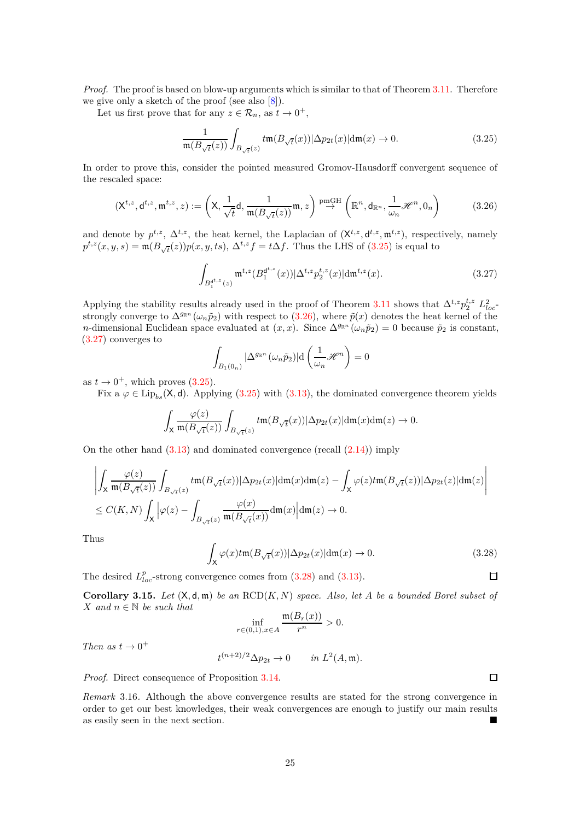*Proof.* The proof is based on blow-up arguments which is similar to that of Theorem [3.11.](#page-22-4) Therefore we give only a sketch of the proof (see also [\[8\]](#page-28-10)).

Let us first prove that for any  $z \in \mathcal{R}_n$ , as  $t \to 0^+$ ,

<span id="page-24-0"></span>
$$
\frac{1}{\mathfrak{m}(B_{\sqrt{t}}(z))} \int_{B_{\sqrt{t}}(z)} t \mathfrak{m}(B_{\sqrt{t}}(x)) |\Delta p_{2t}(x)| d\mathfrak{m}(x) \to 0. \tag{3.25}
$$

In order to prove this, consider the pointed measured Gromov-Hausdorff convergent sequence of the rescaled space:

<span id="page-24-1"></span>
$$
(\mathsf{X}^{t,z},\mathsf{d}^{t,z},\mathfrak{m}^{t,z},z) := \left(\mathsf{X},\frac{1}{\sqrt{t}}\mathsf{d},\frac{1}{\mathfrak{m}(B_{\sqrt{t}}(z))}\mathfrak{m},z\right) \stackrel{\text{pmGH}}{\rightarrow} \left(\mathbb{R}^n,\mathsf{d}_{\mathbb{R}^n},\frac{1}{\omega_n}\mathcal{H}^n,0_n\right) \tag{3.26}
$$

and denote by  $p^{t,z}$ ,  $\Delta^{t,z}$ , the heat kernel, the Laplacian of  $(\mathsf{X}^{t,z}, \mathsf{d}^{t,z}, \mathfrak{m}^{t,z})$ , respectively, namely  $p^{t,z}(x, y, s) = \mathfrak{m}(B_{\sqrt{t}}(z))p(x, y, ts), \Delta^{t,z}f = t\Delta f$ . Thus the LHS of [\(3.25\)](#page-24-0) is equal to

<span id="page-24-2"></span>
$$
\int_{B_1^{d^{t,z}}(z)} \mathfrak{m}^{t,z}(B_1^{d^{t,z}}(x)) |\Delta^{t,z} p_2^{t,z}(x)| dm^{t,z}(x).
$$
 (3.27)

Applying the stability results already used in the proof of Theorem [3.11](#page-22-4) shows that  $\Delta^{t,z} p_2^{t,z} L_{loc}^2$ strongly converge to  $\Delta^{g_{\mathbb{R}^n}}(\omega_n\tilde{p}_2)$  with respect to [\(3.26\)](#page-24-1), where  $\tilde{p}(x)$  denotes the heat kernel of the *n*-dimensional Euclidean space evaluated at  $(x, x)$ . Since  $\Delta^{g_{\mathbb{R}^n}}(\omega_n \tilde{p}_2) = 0$  because  $\tilde{p}_2$  is constant, [\(3.27\)](#page-24-2) converges to

$$
\int_{B_1(0_n)}|\Delta^{g_{\mathbb{R}^n}}(\omega_n\tilde{p}_2)|\mathrm{d}\left(\frac{1}{\omega_n}\mathscr{H}^n\right)=0
$$

as  $t \to 0^+$ , which proves [\(3.25\)](#page-24-0).

Fix a  $\varphi \in \text{Lip}_{bs}(\mathsf{X},\mathsf{d})$ . Applying [\(3.25\)](#page-24-0) with [\(3.13\)](#page-19-2), the dominated convergence theorem yields

$$
\int_{\mathsf X} \frac{\varphi(z)}{\mathfrak m(B_{\sqrt{t}}(z))} \int_{B_{\sqrt{t}}(z)} t \mathfrak m(B_{\sqrt{t}}(x)) |\Delta p_{2t}(x)| {\rm d}\mathfrak m(x){\rm d}\mathfrak m(z) \to 0.
$$

On the other hand  $(3.13)$  and dominated convergence (recall  $(2.14)$ ) imply

$$
\begin{aligned}&\left|\int_{\mathsf X} \frac{\varphi(z)}{\mathfrak m(B_{\sqrt{t}}(z))} \int_{B_{\sqrt{t}}(z)} t \mathfrak m(B_{\sqrt{t}}(x)) |\Delta p_{2t}(x)| \mathrm{d}\mathfrak m(x) \mathrm{d}\mathfrak m(z) - \int_{\mathsf X} \varphi(z) t \mathfrak m(B_{\sqrt{t}}(z)) |\Delta p_{2t}(z)| \mathrm{d}\mathfrak m(z)\right|\\&\leq C(K,N) \int_{\mathsf X} \Big| \varphi(z) - \int_{B_{\sqrt{t}}(z)} \frac{\varphi(x)}{\mathfrak m(B_{\sqrt{t}}(x))} \mathrm{d}\mathfrak m(x) \Big| \mathrm{d}\mathfrak m(z) \to 0.\end{aligned}
$$

Thus

<span id="page-24-3"></span>
$$
\int_{X} \varphi(x)t \mathfrak{m}(B_{\sqrt{t}}(x)) |\Delta p_{2t}(x)| d\mathfrak{m}(x) \to 0.
$$
\n(3.28)  
argence comes from (3.28) and (3.13).

The desired  $L_{loc}^p$ -strong convergence comes from  $(3.28)$  and  $(3.13)$ .

<span id="page-24-4"></span>**Corollary 3.15.** Let  $(X, d, m)$  be an  $RCD(K, N)$  space. Also, let A be a bounded Borel subset of *X and n* ∈ N *be such that*

$$
\inf_{r \in (0,1), x \in A} \frac{\mathfrak{m}(B_r(x))}{r^n} > 0.
$$

*Then as*  $t \to 0^+$ 

$$
t^{(n+2)/2} \Delta p_{2t} \to 0 \quad in \, L^2(A, \mathfrak{m}).
$$

*Proof.* Direct consequence of Proposition [3.14.](#page-23-3)

*Remark* 3.16*.* Although the above convergence results are stated for the strong convergence in order to get our best knowledges, their weak convergences are enough to justify our main results as easily seen in the next section.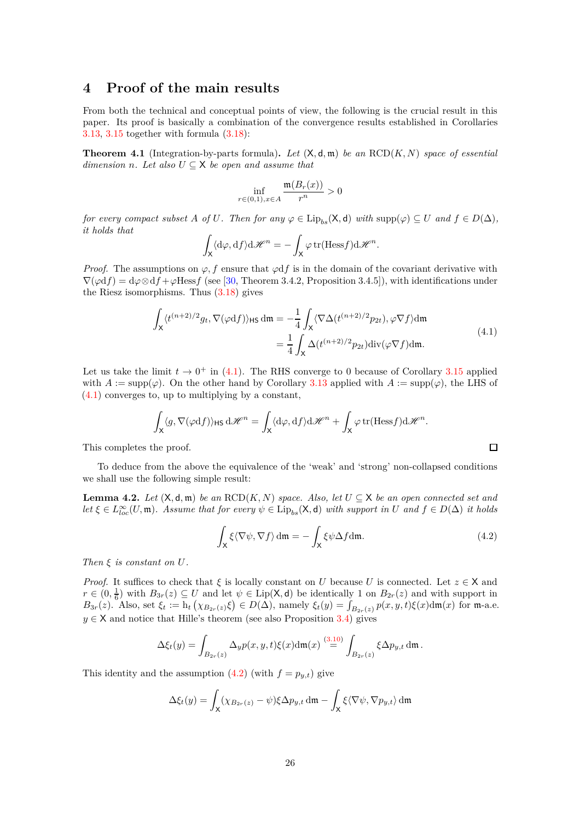## <span id="page-25-0"></span>**4 Proof of the main results**

From both the technical and conceptual points of view, the following is the crucial result in this paper. Its proof is basically a combination of the convergence results established in Corollaries [3.13,](#page-23-4) [3.15](#page-24-4) together with formula [\(3.18\)](#page-21-2):

<span id="page-25-1"></span>**Theorem 4.1** (Integration-by-parts formula)**.** *Let* (X*,* d*,* m) *be an* RCD(*K, N*) *space of essential dimension n.* Let also  $U \subseteq X$  be open and assume that

$$
\inf_{r \in (0,1), x \in A} \frac{\mathfrak{m}(B_r(x))}{r^n} > 0
$$

*for every compact subset A of U. Then for any*  $\varphi \in \text{Lip}_{bs}(\mathsf{X}, \mathsf{d})$  *with*  $\text{supp}(\varphi) \subseteq U$  *and*  $f \in D(\Delta)$ *, it holds that*

$$
\int_{\mathsf{X}} \langle d\varphi, df \rangle d\mathscr{H}^n = -\int_{\mathsf{X}} \varphi \operatorname{tr}(\operatorname{Hess} f) d\mathscr{H}^n.
$$

*Proof.* The assumptions on  $\varphi$ , f ensure that  $\varphi$ df is in the domain of the covariant derivative with  $\nabla(\varphi df) = d\varphi \otimes df + \varphi \text{Hess} f$  (see [\[30,](#page-29-12) Theorem 3.4.2, Proposition 3.4.5]), with identifications under the Riesz isomorphisms. Thus [\(3.18\)](#page-21-2) gives

$$
\int_{\mathsf{X}} \langle t^{(n+2)/2} g_t, \nabla(\varphi df) \rangle_{\text{HS}} \, \mathrm{d}\mathfrak{m} = -\frac{1}{4} \int_{\mathsf{X}} \langle \nabla \Delta(t^{(n+2)/2} p_{2t}), \varphi \nabla f \rangle \mathrm{d}\mathfrak{m}
$$
\n
$$
= \frac{1}{4} \int_{\mathsf{X}} \Delta(t^{(n+2)/2} p_{2t}) \mathrm{div}(\varphi \nabla f) \mathrm{d}\mathfrak{m}.
$$
\n(4.1)

<span id="page-25-2"></span>Let us take the limit  $t \to 0^+$  in [\(4.1\)](#page-25-2). The RHS converge to 0 because of Corollary [3.15](#page-24-4) applied with  $A := \text{supp}(\varphi)$ . On the other hand by Corollary [3.13](#page-23-4) applied with  $A := \text{supp}(\varphi)$ , the LHS of [\(4.1\)](#page-25-2) converges to, up to multiplying by a constant,

$$
\int_{\mathsf{X}} \langle g, \nabla(\varphi \mathrm{d} f) \rangle_{\mathsf{HS}} \, \mathrm{d} \mathscr{H}^n = \int_{\mathsf{X}} \langle \mathrm{d} \varphi, \mathrm{d} f \rangle \mathrm{d} \mathscr{H}^n + \int_{\mathsf{X}} \varphi \, \mathrm{tr}(\mathrm{Hess} f) \mathrm{d} \mathscr{H}^n.
$$

This completes the proof.

To deduce from the above the equivalence of the 'weak' and 'strong' non-collapsed conditions we shall use the following simple result:

<span id="page-25-4"></span>**Lemma 4.2.** *Let*  $(X, d, m)$  *be an* RCD $(K, N)$  *space. Also, let*  $U \subseteq X$  *be an open connected set and*  $let \xi \in L^{\infty}_{loc}(U, \mathfrak{m})$ *. Assume that for every*  $\psi \in \text{Lip}_{bs}(\mathsf{X}, \mathsf{d})$  *with support in*  $U$  *and*  $f \in D(\Delta)$  *it holds* 

<span id="page-25-3"></span>
$$
\int_{\mathsf{X}} \xi \langle \nabla \psi, \nabla f \rangle \, \mathrm{d}\mathfrak{m} = -\int_{\mathsf{X}} \xi \psi \Delta f \mathrm{d}\mathfrak{m}.\tag{4.2}
$$

 $\Box$ 

*Then ξ is constant on U.*

*Proof.* It suffices to check that  $\xi$  is locally constant on *U* because *U* is connected. Let  $z \in X$  and  $r \in (0, \frac{1}{6})$  with  $B_{3r}(z) \subseteq U$  and let  $\psi \in \text{Lip}(\mathsf{X}, \mathsf{d})$  be identically 1 on  $B_{2r}(z)$  and with support in  $B_{3r}(z)$ . Also, set  $\xi_t := h_t(\chi_{B_{2r}(z)}\xi) \in D(\Delta)$ , namely  $\xi_t(y) = \int_{B_{2r}(z)} p(x, y, t)\xi(x) d\mathfrak{m}(x)$  for m-a.e.  $y \in X$  and notice that Hille's theorem (see also Proposition [3.4\)](#page-16-1) gives

$$
\Delta \xi_t(y)=\int_{B_{2r}(z)}\Delta_y p(x,y,t)\xi(x)\mathrm{d}\mathfrak{m}(x)\stackrel{(3.10)}{=}\int_{B_{2r}(z)}\xi\Delta p_{y,t}\,\mathrm{d}\mathfrak{m}\,.
$$

This identity and the assumption  $(4.2)$  (with  $f = p_{y,t}$ ) give

$$
\Delta \xi_t(y) = \int_{\mathsf{X}} (\chi_{B_{2r}(z)} - \psi) \xi \Delta p_{y,t} \, \mathrm{d}\mathfrak{m} - \int_{\mathsf{X}} \xi \langle \nabla \psi, \nabla p_{y,t} \rangle \, \mathrm{d}\mathfrak{m}
$$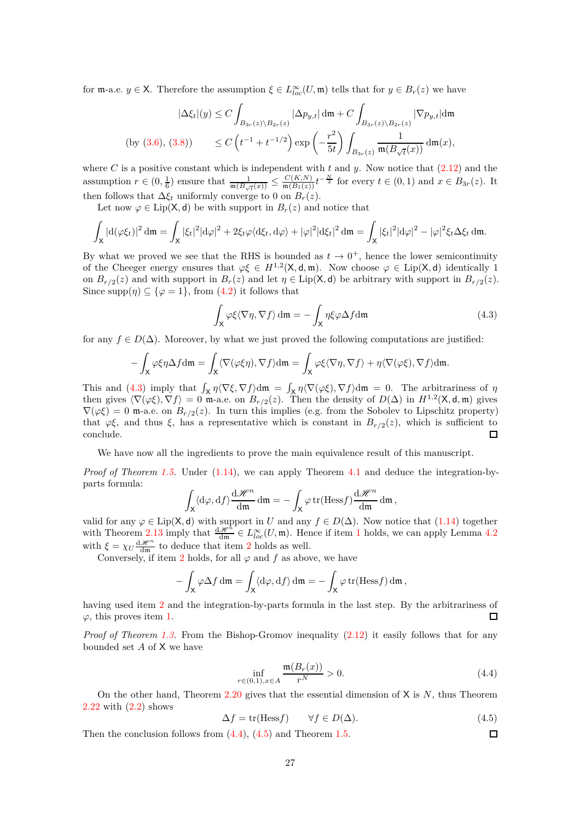for  $\mathfrak{m}$ -a.e.  $y \in \mathsf{X}$ . Therefore the assumption  $\xi \in L^{\infty}_{loc}(U, \mathfrak{m})$  tells that for  $y \in B_r(z)$  we have

$$
|\Delta \xi_t|(y) \le C \int_{B_{3r}(z)\backslash B_{2r}(z)} |\Delta p_{y,t}| \, d\mathfrak{m} + C \int_{B_{3r}(z)\backslash B_{2r}(z)} |\nabla p_{y,t}| \, d\mathfrak{m}
$$
  
(by (3.6), (3.8)) 
$$
\le C \left( t^{-1} + t^{-1/2} \right) \exp\left( -\frac{r^2}{5t} \right) \int_{B_{3r}(z)} \frac{1}{\mathfrak{m}(B_{\sqrt{t}}(x))} \, d\mathfrak{m}(x),
$$

where *C* is a positive constant which is independent with  $t$  and  $y$ . Now notice that  $(2.12)$  and the assumption  $r \in (0, \frac{1}{6})$  ensure that  $\frac{1}{\mathfrak{m}(B_{\sqrt{t}}(x))} \leq \frac{C(K,N)}{\mathfrak{m}(B_1(z))} t^{-\frac{N}{2}}$  for every  $t \in (0,1)$  and  $x \in B_{3r}(z)$ . It then follows that  $\Delta \xi_t$  uniformly converge to 0 on  $B_r(z)$ .

Let now  $\varphi \in \text{Lip}(\mathsf{X}, \mathsf{d})$  be with support in  $B_r(z)$  and notice that

$$
\int_{\mathsf{X}} |\mathrm{d}(\varphi \xi_t)|^2 \, \mathrm{d}\mathfrak{m} = \int_{\mathsf{X}} |\xi_t|^2 |\mathrm{d}\varphi|^2 + 2\xi_t \varphi \langle \mathrm{d}\xi_t, \mathrm{d}\varphi \rangle + |\varphi|^2 |\mathrm{d}\xi_t|^2 \, \mathrm{d}\mathfrak{m} = \int_{\mathsf{X}} |\xi_t|^2 |\mathrm{d}\varphi|^2 - |\varphi|^2 \xi_t \Delta \xi_t \, \mathrm{d}\mathfrak{m}.
$$

By what we proved we see that the RHS is bounded as  $t \to 0^+$ , hence the lower semicontinuity of the Cheeger energy ensures that  $\varphi \xi \in H^{1,2}(\mathsf{X},\mathsf{d},\mathfrak{m})$ . Now choose  $\varphi \in \text{Lip}(\mathsf{X},\mathsf{d})$  identically 1 on  $B_{r/2}(z)$  and with support in  $B_r(z)$  and let  $\eta \in \text{Lip}(\mathsf{X}, \mathsf{d})$  be arbitrary with support in  $B_{r/2}(z)$ . Since  $\text{supp}(\eta) \subseteq {\varphi = 1}$ , from [\(4.2\)](#page-25-3) it follows that

<span id="page-26-0"></span>
$$
\int_{\mathsf{X}} \varphi \xi \langle \nabla \eta, \nabla f \rangle \, \mathrm{d}\mathfrak{m} = -\int_{\mathsf{X}} \eta \xi \varphi \Delta f \mathrm{d}\mathfrak{m} \tag{4.3}
$$

for any  $f \in D(\Delta)$ . Moreover, by what we just proved the following computations are justified:

$$
-\int_{\mathsf{X}}\varphi\xi\eta\Delta f\mathrm{d}\mathfrak{m}=\int_{\mathsf{X}}\langle\nabla(\varphi\xi\eta),\nabla f\rangle\mathrm{d}\mathfrak{m}=\int_{\mathsf{X}}\varphi\xi\langle\nabla\eta,\nabla f\rangle+\eta\langle\nabla(\varphi\xi),\nabla f\rangle\mathrm{d}\mathfrak{m}.
$$

This and [\(4.3\)](#page-26-0) imply that  $\int_X \eta \langle \nabla \xi, \nabla f \rangle dm = \int_X \eta \langle \nabla (\varphi \xi), \nabla f \rangle dm = 0$ . The arbitrariness of  $\eta$ then gives  $\langle \nabla(\varphi \xi), \nabla f \rangle = 0$  m-a.e. on  $B_{r/2}(z)$ . Then the density of  $D(\Delta)$  in  $H^{1,2}(\mathsf{X}, \mathsf{d}, \mathfrak{m})$  gives  $\nabla(\varphi\xi) = 0$  m-a.e. on  $B_{r/2}(z)$ . In turn this implies (e.g. from the Sobolev to Lipschitz property) that  $\varphi\xi$ , and thus  $\xi$ , has a representative which is constant in  $B_{r/2}(z)$ , which is sufficient to conclude.  $\Box$ 

We have now all the ingredients to prove the main equivalence result of this manuscript.

*Proof of Theorem [1.5.](#page-5-1)* Under [\(1.14\)](#page-5-2), we can apply Theorem [4.1](#page-25-1) and deduce the integration-byparts formula:

$$
\int_{\mathsf{X}} \langle d\varphi, df \rangle \frac{\mathrm{d}\mathscr{H}^n}{\mathrm{d}\mathfrak{m}} \mathrm{d}\mathfrak{m} = -\int_{\mathsf{X}} \varphi \,\mathrm{tr}(\text{Hess} f) \frac{\mathrm{d}\mathscr{H}^n}{\mathrm{d}\mathfrak{m}} \mathrm{d}\mathfrak{m},
$$

valid for any  $\varphi \in \text{Lip}(X, \mathsf{d})$  with support in *U* and any  $f \in D(\Delta)$ . Now notice that [\(1.14\)](#page-5-2) together with Theorem [2.13](#page-12-4) imply that  $\frac{d\mathscr{H}^n}{dm} \in L^{\infty}_{loc}(U, \mathfrak{m})$ . Hence if item [1](#page-5-3) holds, we can apply Lemma [4.2](#page-25-4) with  $\xi = \chi_U \frac{d\mathscr{H}^n}{dm}$  to deduce that item [2](#page-5-4) holds as well.

Conversely, if item [2](#page-5-4) holds, for all  $\varphi$  and  $f$  as above, we have

$$
-\int_{\mathsf{X}} \varphi \Delta f \, \mathrm{d}\mathfrak{m} = \int_{\mathsf{X}} \langle \mathrm{d}\varphi, \mathrm{d}f \rangle \, \mathrm{d}\mathfrak{m} = -\int_{\mathsf{X}} \varphi \, \mathrm{tr}(\mathrm{Hess} f) \, \mathrm{d}\mathfrak{m},
$$

having used item [2](#page-5-4) and the integration-by-parts formula in the last step. By the arbitrariness of  $\varphi$ , this proves item [1.](#page-5-3) П

*Proof of Theorem [1.3.](#page-2-3)* From the Bishop-Gromov inequality [\(2.12\)](#page-10-1) it easily follows that for any bounded set *A* of X we have

<span id="page-26-1"></span>
$$
\inf_{r \in (0,1), x \in A} \frac{\mathfrak{m}(B_r(x))}{r^N} > 0.
$$
\n(4.4)

 $\Box$ 

On the other hand, Theorem [2.20](#page-13-0) gives that the essential dimension of X is *N*, thus Theorem [2.22](#page-14-6) with [\(2.2\)](#page-7-4) shows

<span id="page-26-2"></span>
$$
\Delta f = \text{tr}(\text{Hess} f) \qquad \forall f \in D(\Delta). \tag{4.5}
$$

Then the conclusion follows from [\(4.4\)](#page-26-1), [\(4.5\)](#page-26-2) and Theorem [1.5.](#page-5-1)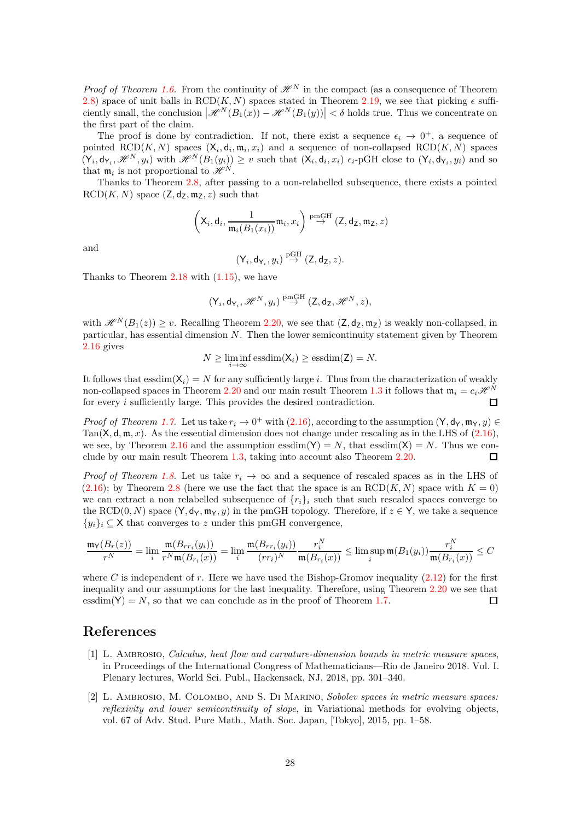*Proof of Theorem [1.6.](#page-5-6)* From the continuity of  $\mathcal{H}^N$  in the compact (as a consequence of Theorem [2.8\)](#page-11-0) space of unit balls in RCD(*K, N*) spaces stated in Theorem [2.19,](#page-13-7) we see that picking  $\epsilon$  sufficiently small, the conclusion  $|\mathcal{H}^N(B_1(x)) - \mathcal{H}^N(B_1(y))| < \delta$  holds true. Thus we concentrate on the first part of the claim.

The proof is done by contradiction. If not, there exist a sequence  $\epsilon_i \to 0^+$ , a sequence of pointed  $\text{RCD}(K, N)$  spaces  $(X_i, d_i, \mathfrak{m}_i, x_i)$  and a sequence of non-collapsed  $\text{RCD}(K, N)$  spaces  $(Y_i, \mathsf{d}_{Y_i}, \mathcal{H}^N, y_i)$  with  $\mathcal{H}^N(B_1(y_i)) \geq v$  such that  $(X_i, \mathsf{d}_i, x_i)$   $\epsilon_i$ -pGH close to  $(Y_i, \mathsf{d}_{Y_i}, y_i)$  and so that  $m_i$  is not proportional to  $\mathscr{H}^N$ .

Thanks to Theorem [2.8,](#page-11-0) after passing to a non-relabelled subsequence, there exists a pointed  $RCD(K, N)$  space  $(Z, d_Z, m_Z, z)$  such that

$$
\left({\mathsf X}_i, {\mathsf d}_i, \frac{1}{\mathfrak m_i(B_1(x_i))}\mathfrak m_i, x_i\right) \stackrel{\text{pmGH}}{\rightarrow} (\mathsf Z, {\mathsf d}_{\mathsf Z}, \mathfrak m_{\mathsf Z}, z)
$$

and

$$
(\mathsf{Y}_i,\mathsf{d}_{\mathsf{Y}_i},y_i)\stackrel{\mathrm{pGH}}{\to}(\mathsf{Z},\mathsf{d}_{\mathsf{Z}},z).
$$

Thanks to Theorem  $2.18$  with  $(1.15)$ , we have

$$
(\mathsf{Y}_i,\mathsf{d}_{\mathsf{Y}_i},\mathscr{H}^N,y_i)\stackrel{\mathrm{pmGH}}{\rightarrow}(\mathsf{Z},\mathsf{d}_{\mathsf{Z}},\mathscr{H}^N,z),
$$

with  $\mathscr{H}^N(B_1(z)) \geq v$ . Recalling Theorem [2.20,](#page-13-0) we see that  $(Z, d_Z, m_Z)$  is weakly non-collapsed, in particular, has essential dimension *N*. Then the lower semicontinuity statement given by Theorem [2.16](#page-12-2) gives

$$
N \ge \liminf_{i \to \infty} \operatorname{essdim}(\mathsf{X}_i) \ge \operatorname{essdim}(\mathsf{Z}) = N.
$$

It follows that  $\text{essdim}(\mathsf{X}_i) = N$  for any sufficiently large *i*. Thus from the characterization of weakly non-collapsed spaces in Theorem [2.20](#page-13-0) and our main result Theorem [1.3](#page-2-3) it follows that  $\mathfrak{m}_i = c_i \mathcal{H}^N$ for every *i* sufficiently large. This provides the desired contradiction.  $\Box$ 

*Proof of Theorem [1.7.](#page-5-5)* Let us take  $r_i \to 0^+$  with [\(2.16\)](#page-11-3), according to the assumption  $(Y, d_Y, m_Y, y) \in$ Tan( $X, d, m, x$ ). As the essential dimension does not change under rescaling as in the LHS of  $(2.16)$ , we see, by Theorem [2.16](#page-12-2) and the assumption essdim( $Y$ ) = *N*, that essdim( $X$ ) = *N*. Thus we conclude by our main result Theorem [1.3,](#page-2-3) taking into account also Theorem [2.20.](#page-13-0)  $\Box$ 

*Proof of Theorem [1.8.](#page-6-5)* Let us take  $r_i \rightarrow \infty$  and a sequence of rescaled spaces as in the LHS of  $(2.16)$ ; by Theorem [2.8](#page-11-0) (here we use the fact that the space is an  $RCD(K, N)$  space with  $K = 0$ ) we can extract a non relabelled subsequence of  $\{r_i\}_i$  such that such rescaled spaces converge to the RCD(0*, N*) space  $(Y, d_Y, m_Y, y)$  in the pmGH topology. Therefore, if  $z \in Y$ , we take a sequence  $\{y_i\}_i \subseteq X$  that converges to *z* under this pmGH convergence,

$$
\frac{\mathfrak{m}_\mathsf{Y}(B_r(z))}{r^N}=\lim_i\frac{\mathfrak{m}(B_{rr_i}(y_i))}{r^N\mathfrak{m}(B_{r_i}(x))}=\lim_i\frac{\mathfrak{m}(B_{rr_i}(y_i))}{(rr_i)^N}\frac{r_i^N}{\mathfrak{m}(B_{r_i}(x))}\leq \limsup_i\mathfrak{m}(B_1(y_i))\frac{r_i^N}{\mathfrak{m}(B_{r_i}(x))}\leq C
$$

where  $C$  is independent of  $r$ . Here we have used the Bishop-Gromov inequality  $(2.12)$  for the first inequality and our assumptions for the last inequality. Therefore, using Theorem [2.20](#page-13-0) we see that essdim(Y) = *N*, so that we can conclude as in the proof of Theorem [1.7.](#page-5-5)  $\Box$ 

# <span id="page-27-0"></span>**References**

- [1] L. Ambrosio, *Calculus, heat flow and curvature-dimension bounds in metric measure spaces*, in Proceedings of the International Congress of Mathematicians—Rio de Janeiro 2018. Vol. I. Plenary lectures, World Sci. Publ., Hackensack, NJ, 2018, pp. 301–340.
- <span id="page-27-1"></span>[2] L. Ambrosio, M. Colombo, and S. Di Marino, *Sobolev spaces in metric measure spaces: reflexivity and lower semicontinuity of slope*, in Variational methods for evolving objects, vol. 67 of Adv. Stud. Pure Math., Math. Soc. Japan, [Tokyo], 2015, pp. 1–58.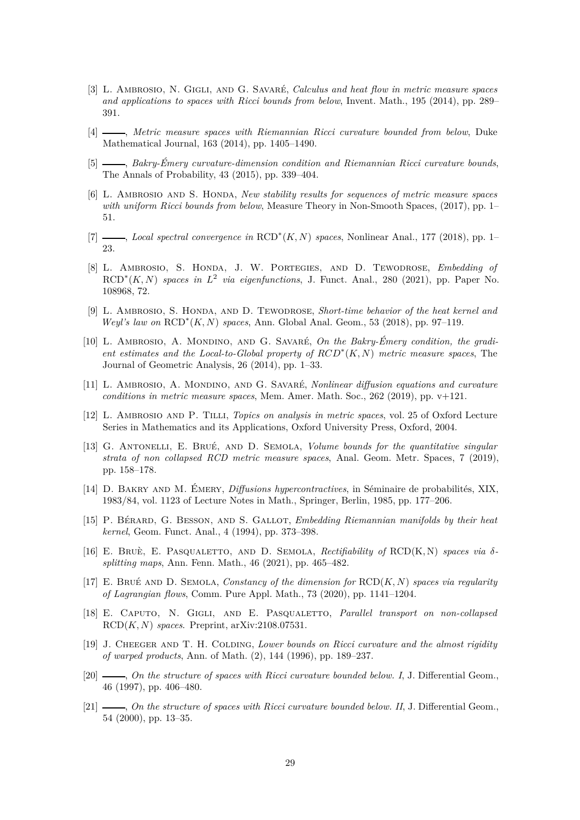- <span id="page-28-0"></span>[3] L. Ambrosio, N. Gigli, and G. Savaré, *Calculus and heat flow in metric measure spaces and applications to spaces with Ricci bounds from below*, Invent. Math., 195 (2014), pp. 289– 391.
- <span id="page-28-1"></span>[4] , *Metric measure spaces with Riemannian Ricci curvature bounded from below*, Duke Mathematical Journal, 163 (2014), pp. 1405–1490.
- <span id="page-28-7"></span>[5] , *Bakry-Émery curvature-dimension condition and Riemannian Ricci curvature bounds*, The Annals of Probability, 43 (2015), pp. 339–404.
- <span id="page-28-18"></span>[6] L. AMBROSIO AND S. HONDA, *New stability results for sequences of metric measure spaces with uniform Ricci bounds from below*, Measure Theory in Non-Smooth Spaces, (2017), pp. 1– 51.
- <span id="page-28-17"></span><span id="page-28-10"></span>[7] , *Local spectral convergence in* RCD<sup>∗</sup> (*K, N*) *spaces*, Nonlinear Anal., 177 (2018), pp. 1– 23.
- [8] L. Ambrosio, S. Honda, J. W. Portegies, and D. Tewodrose, *Embedding of*  $RCD^*(K, N)$  *spaces in*  $L^2$  *via eigenfunctions*, J. Funct. Anal., 280 (2021), pp. Paper No. 108968, 72.
- <span id="page-28-13"></span>[9] L. Ambrosio, S. Honda, and D. Tewodrose, *Short-time behavior of the heat kernel and Weyl's law on* RCD<sup>∗</sup> (*K, N*) *spaces*, Ann. Global Anal. Geom., 53 (2018), pp. 97–119.
- <span id="page-28-15"></span>[10] L. Ambrosio, A. Mondino, and G. Savaré, *On the Bakry-Émery condition, the gradient estimates and the Local-to-Global property of RCD*<sup>∗</sup> (*K, N*) *metric measure spaces*, The Journal of Geometric Analysis, 26 (2014), pp. 1–33.
- <span id="page-28-11"></span>[11] L. Ambrosio, A. Mondino, and G. Savaré, *Nonlinear diffusion equations and curvature conditions in metric measure spaces*, Mem. Amer. Math. Soc., 262 (2019), pp. v+121.
- <span id="page-28-14"></span>[12] L. Ambrosio and P. Tilli, *Topics on analysis in metric spaces*, vol. 25 of Oxford Lecture Series in Mathematics and its Applications, Oxford University Press, Oxford, 2004.
- <span id="page-28-5"></span>[13] G. Antonelli, E. Brué, and D. Semola, *Volume bounds for the quantitative singular strata of non collapsed RCD metric measure spaces*, Anal. Geom. Metr. Spaces, 7 (2019), pp. 158–178.
- <span id="page-28-6"></span>[14] D. Bakry and M. Émery, *Diffusions hypercontractives*, in Séminaire de probabilités, XIX, 1983/84, vol. 1123 of Lecture Notes in Math., Springer, Berlin, 1985, pp. 177–206.
- <span id="page-28-9"></span>[15] P. Bérard, G. Besson, and S. Gallot, *Embedding Riemannian manifolds by their heat kernel*, Geom. Funct. Anal., 4 (1994), pp. 373–398.
- <span id="page-28-12"></span>[16] E. BRUÈ, E. PASQUALETTO, AND D. SEMOLA, *Rectifiability of*  $RCD(K,N)$  *spaces via*  $\delta$ *splitting maps*, Ann. Fenn. Math., 46 (2021), pp. 465–482.
- <span id="page-28-8"></span>[17] E. Brué and D. Semola, *Constancy of the dimension for* RCD(*K, N*) *spaces via regularity of Lagrangian flows*, Comm. Pure Appl. Math., 73 (2020), pp. 1141–1204.
- <span id="page-28-16"></span>[18] E. Caputo, N. Gigli, and E. Pasqualetto, *Parallel transport on non-collapsed* RCD(*K, N*) *spaces*. Preprint, arXiv:2108.07531.
- <span id="page-28-2"></span>[19] J. Cheeger and T. H. Colding, *Lower bounds on Ricci curvature and the almost rigidity of warped products*, Ann. of Math. (2), 144 (1996), pp. 189–237.
- <span id="page-28-3"></span>[20]  $\_\_\_\_\_$  *On the structure of spaces with Ricci curvature bounded below. I, J. Differential Geom.*, 46 (1997), pp. 406–480.
- <span id="page-28-4"></span>[21]  $\_\_\_\_\_$ , *On the structure of spaces with Ricci curvature bounded below. II*, J. Differential Geom. 54 (2000), pp. 13–35.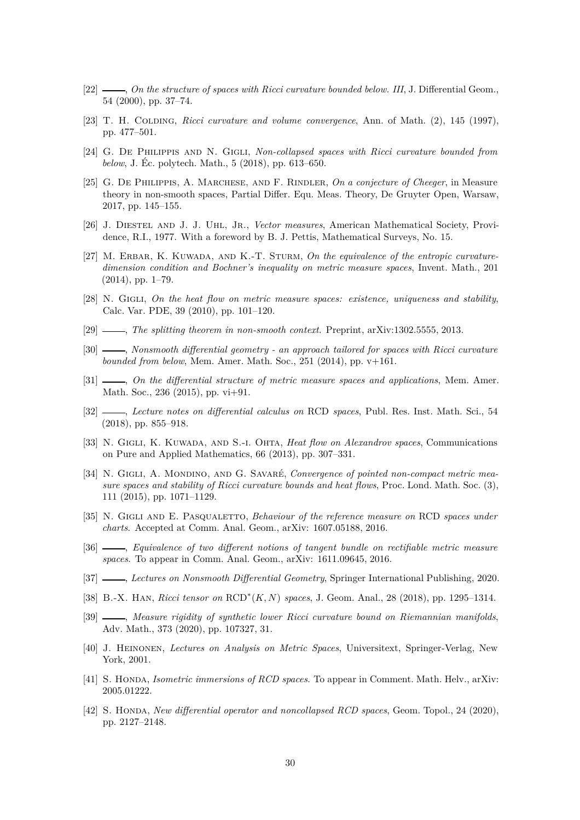- <span id="page-29-4"></span><span id="page-29-3"></span>[22]  $\_\_\_\_\_$ , *On the structure of spaces with Ricci curvature bounded below. III*, J. Differential Geom., 54 (2000), pp. 37–74.
- <span id="page-29-5"></span>[23] T. H. Colding, *Ricci curvature and volume convergence*, Ann. of Math. (2), 145 (1997), pp. 477–501.
- <span id="page-29-18"></span>[24] G. De Philippis and N. Gigli, *Non-collapsed spaces with Ricci curvature bounded from below*, J. Éc. polytech. Math., 5 (2018), pp. 613–650.
- [25] G. De Philippis, A. Marchese, and F. Rindler, *On a conjecture of Cheeger*, in Measure theory in non-smooth spaces, Partial Differ. Equ. Meas. Theory, De Gruyter Open, Warsaw, 2017, pp. 145–155.
- <span id="page-29-20"></span><span id="page-29-7"></span>[26] J. Diestel and J. J. Uhl, Jr., *Vector measures*, American Mathematical Society, Providence, R.I., 1977. With a foreword by B. J. Pettis, Mathematical Surveys, No. 15.
- [27] M. ERBAR, K. KUWADA, AND K.-T. STURM, On the equivalence of the entropic curvature*dimension condition and Bochner's inequality on metric measure spaces*, Invent. Math., 201 (2014), pp. 1–79.
- <span id="page-29-0"></span>[28] N. Gigli, *On the heat flow on metric measure spaces: existence, uniqueness and stability*, Calc. Var. PDE, 39 (2010), pp. 101–120.
- <span id="page-29-17"></span><span id="page-29-12"></span>[29] , *The splitting theorem in non-smooth context*. Preprint, arXiv:1302.5555, 2013.
- [30] , *Nonsmooth differential geometry an approach tailored for spaces with Ricci curvature bounded from below*, Mem. Amer. Math. Soc., 251 (2014), pp. v+161.
- <span id="page-29-2"></span>[31] , *On the differential structure of metric measure spaces and applications*, Mem. Amer. Math. Soc., 236 (2015), pp. vi+91.
- <span id="page-29-15"></span>[32] , *Lecture notes on differential calculus on* RCD *spaces*, Publ. Res. Inst. Math. Sci., 54 (2018), pp. 855–918.
- <span id="page-29-1"></span>[33] N. Gigli, K. Kuwada, and S.-i. Ohta, *Heat flow on Alexandrov spaces*, Communications on Pure and Applied Mathematics, 66 (2013), pp. 307–331.
- <span id="page-29-13"></span>[34] N. GIGLI, A. MONDINO, AND G. SAVARÉ, *Convergence of pointed non-compact metric measure spaces and stability of Ricci curvature bounds and heat flows*, Proc. Lond. Math. Soc. (3), 111 (2015), pp. 1071–1129.
- <span id="page-29-6"></span>[35] N. Gigli and E. Pasqualetto, *Behaviour of the reference measure on* RCD *spaces under charts*. Accepted at Comm. Anal. Geom., arXiv: 1607.05188, 2016.
- <span id="page-29-19"></span>[36] , *Equivalence of two different notions of tangent bundle on rectifiable metric measure spaces*. To appear in Comm. Anal. Geom., arXiv: 1611.09645, 2016.
- <span id="page-29-14"></span><span id="page-29-11"></span>[37] , *Lectures on Nonsmooth Differential Geometry*, Springer International Publishing, 2020.
- <span id="page-29-8"></span>[38] B.-X. Han, *Ricci tensor on* RCD<sup>∗</sup> (*K, N*) *spaces*, J. Geom. Anal., 28 (2018), pp. 1295–1314.
- [39] , *Measure rigidity of synthetic lower Ricci curvature bound on Riemannian manifolds*, Adv. Math., 373 (2020), pp. 107327, 31.
- <span id="page-29-10"></span>[40] J. Heinonen, *Lectures on Analysis on Metric Spaces*, Universitext, Springer-Verlag, New York, 2001.
- <span id="page-29-16"></span><span id="page-29-9"></span>[41] S. Honda, *Isometric immersions of RCD spaces*. To appear in Comment. Math. Helv., arXiv: 2005.01222.
- [42] S. Honda, *New differential operator and noncollapsed RCD spaces*, Geom. Topol., 24 (2020), pp. 2127–2148.